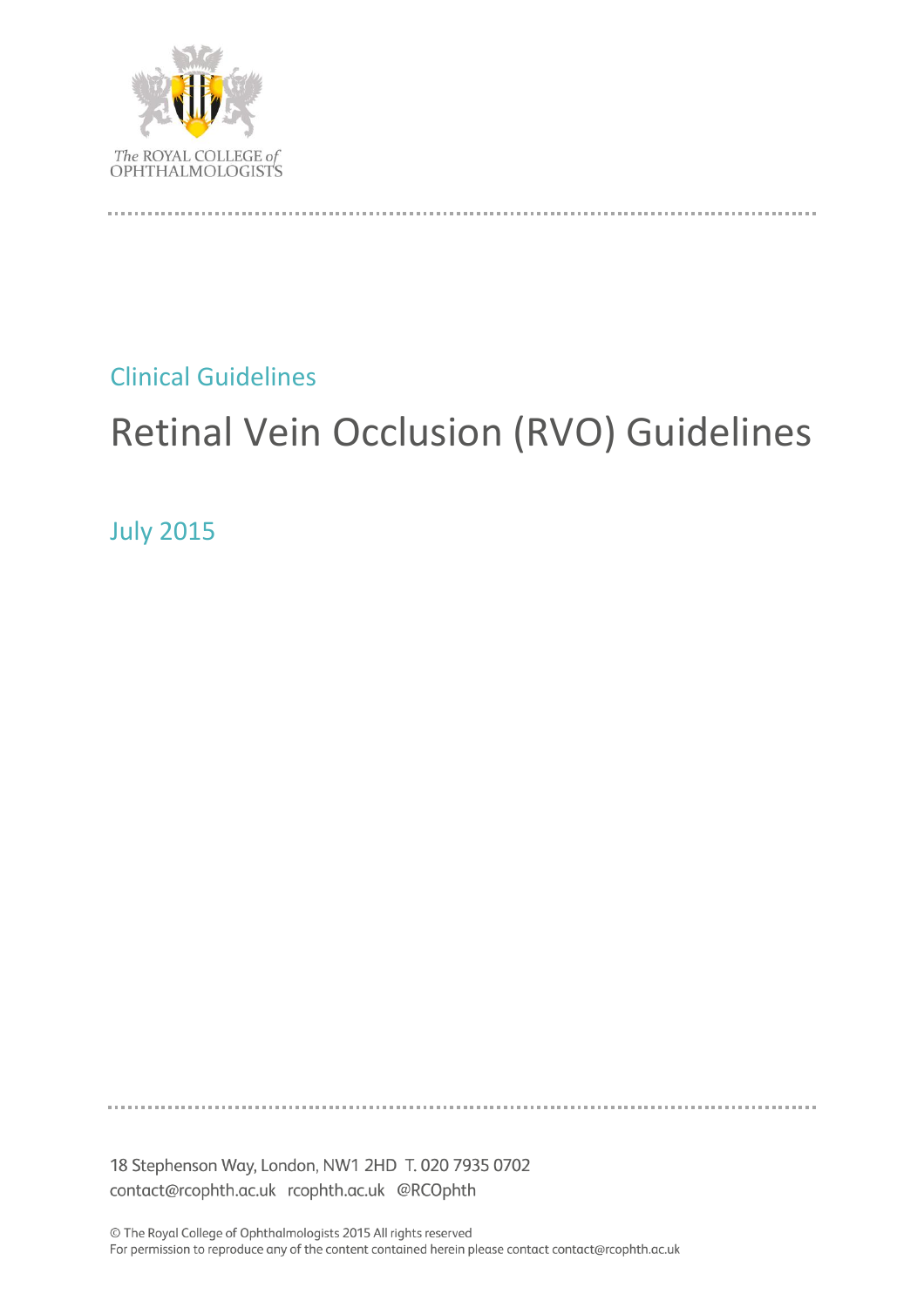

Clinical Guidelines

# Retinal Vein Occlusion (RVO) Guidelines

July 2015

18 Stephenson Way, London, NW1 2HD T. 020 7935 0702 contact@rcophth.ac.uk rcophth.ac.uk @RCOphth

© The Royal College of Ophthalmologists 2015 All rights reserved For permission to reproduce any of the content contained herein please contact contact@rcophth.ac.uk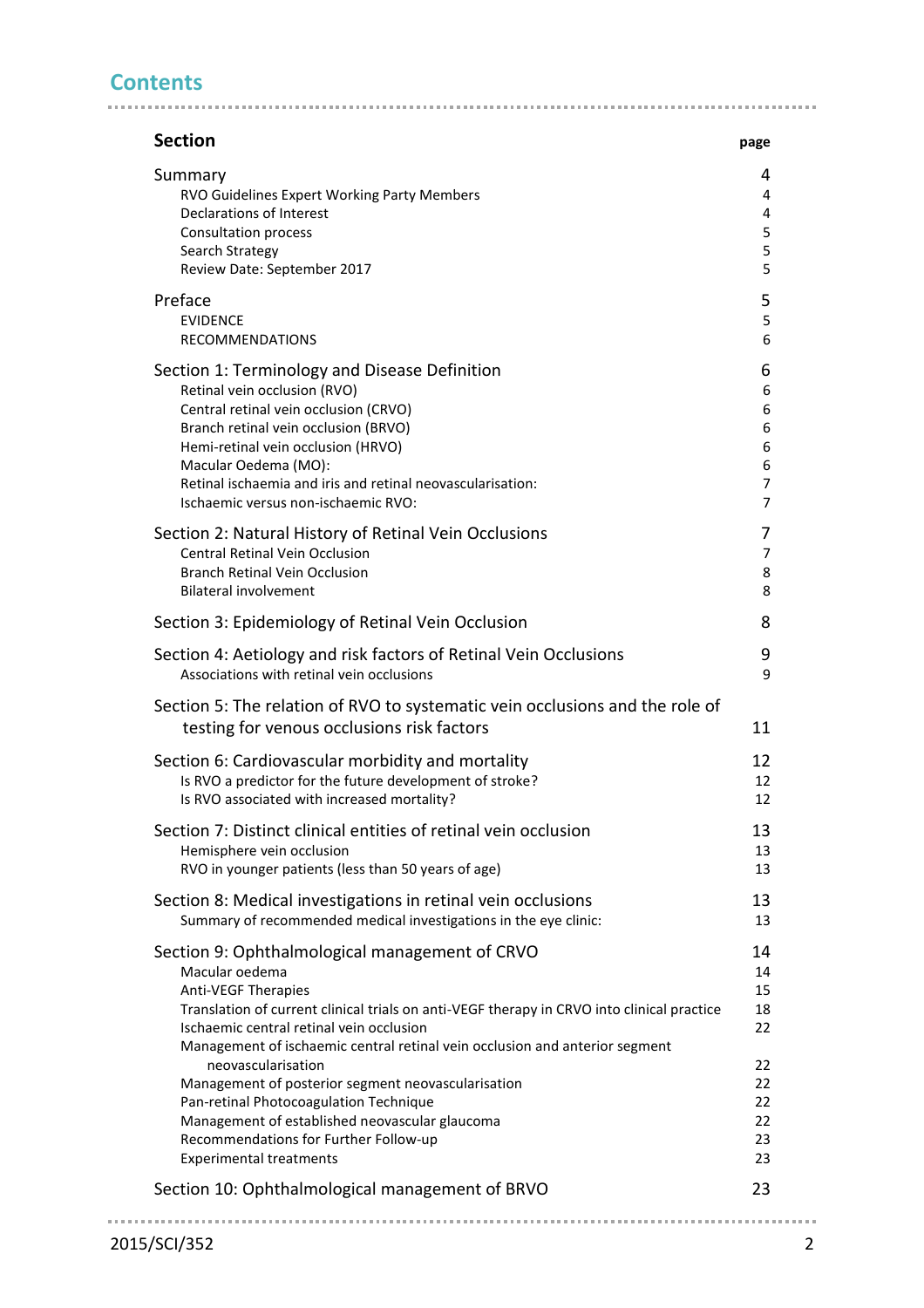# **Contents**

| <b>Section</b>                                                                                                | page           |
|---------------------------------------------------------------------------------------------------------------|----------------|
| Summary                                                                                                       | 4              |
| RVO Guidelines Expert Working Party Members                                                                   | 4              |
| <b>Declarations of Interest</b>                                                                               | 4              |
| <b>Consultation process</b>                                                                                   | 5              |
| Search Strategy                                                                                               |                |
| Review Date: September 2017                                                                                   | 5              |
| Preface                                                                                                       | 5              |
| <b>EVIDENCE</b>                                                                                               | 5              |
| <b>RECOMMENDATIONS</b>                                                                                        | 6              |
| Section 1: Terminology and Disease Definition                                                                 | 6              |
| Retinal vein occlusion (RVO)                                                                                  | 6              |
| Central retinal vein occlusion (CRVO)                                                                         | 6              |
| Branch retinal vein occlusion (BRVO)                                                                          | 6              |
| Hemi-retinal vein occlusion (HRVO)                                                                            | 6              |
| Macular Oedema (MO):                                                                                          | 6              |
| Retinal ischaemia and iris and retinal neovascularisation:                                                    | $\overline{7}$ |
| Ischaemic versus non-ischaemic RVO:                                                                           | 7              |
| Section 2: Natural History of Retinal Vein Occlusions                                                         | 7              |
| Central Retinal Vein Occlusion                                                                                | $\overline{7}$ |
| <b>Branch Retinal Vein Occlusion</b>                                                                          | 8              |
| <b>Bilateral involvement</b>                                                                                  | 8              |
| Section 3: Epidemiology of Retinal Vein Occlusion                                                             | 8              |
| Section 4: Aetiology and risk factors of Retinal Vein Occlusions<br>Associations with retinal vein occlusions | 9<br>9         |
|                                                                                                               |                |
| Section 5: The relation of RVO to systematic vein occlusions and the role of                                  |                |
| testing for venous occlusions risk factors                                                                    | 11             |
| Section 6: Cardiovascular morbidity and mortality                                                             | 12             |
| Is RVO a predictor for the future development of stroke?                                                      | 12             |
| Is RVO associated with increased mortality?                                                                   | 12             |
| Section 7: Distinct clinical entities of retinal vein occlusion                                               | 13             |
| Hemisphere vein occlusion                                                                                     | 13             |
| RVO in younger patients (less than 50 years of age)                                                           | 13             |
| Section 8: Medical investigations in retinal vein occlusions                                                  | 13             |
| Summary of recommended medical investigations in the eye clinic:                                              | 13             |
| Section 9: Ophthalmological management of CRVO                                                                | 14             |
| Macular oedema                                                                                                | 14             |
| <b>Anti-VEGF Therapies</b>                                                                                    | 15             |
| Translation of current clinical trials on anti-VEGF therapy in CRVO into clinical practice                    | 18             |
| Ischaemic central retinal vein occlusion                                                                      | 22             |
| Management of ischaemic central retinal vein occlusion and anterior segment                                   |                |
| neovascularisation                                                                                            | 22             |
| Management of posterior segment neovascularisation                                                            | 22             |
| Pan-retinal Photocoagulation Technique                                                                        | 22             |
| Management of established neovascular glaucoma                                                                | 22<br>23       |
| Recommendations for Further Follow-up<br><b>Experimental treatments</b>                                       | 23             |
|                                                                                                               |                |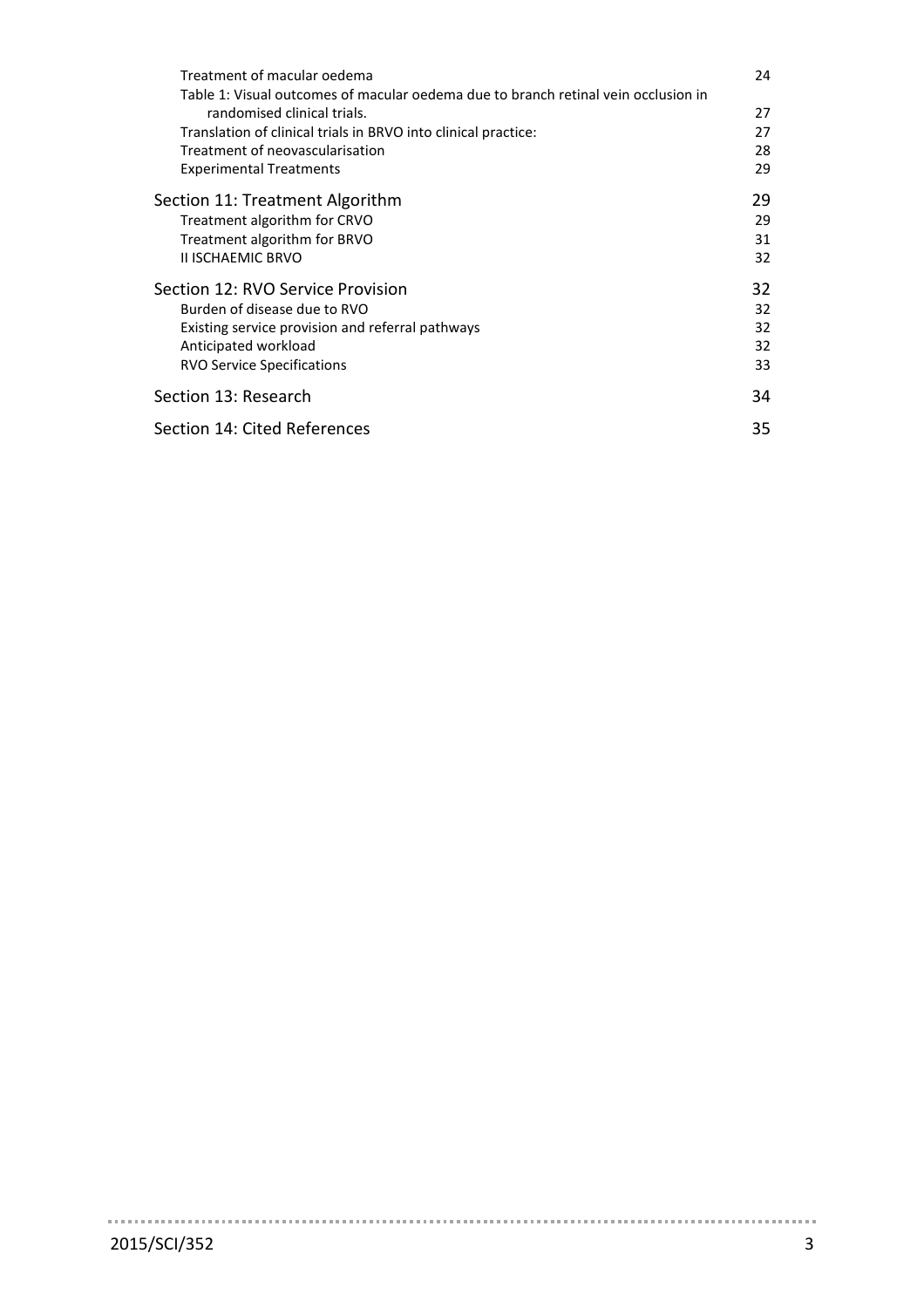| Treatment of macular oedema                                                        | 24 |
|------------------------------------------------------------------------------------|----|
| Table 1: Visual outcomes of macular oedema due to branch retinal vein occlusion in |    |
| randomised clinical trials.                                                        | 27 |
| Translation of clinical trials in BRVO into clinical practice:                     | 27 |
| Treatment of neovascularisation                                                    | 28 |
| <b>Experimental Treatments</b>                                                     | 29 |
| Section 11: Treatment Algorithm                                                    |    |
| Treatment algorithm for CRVO                                                       | 29 |
| Treatment algorithm for BRVO                                                       | 31 |
| <b>II ISCHAEMIC BRVO</b>                                                           | 32 |
| Section 12: RVO Service Provision                                                  | 32 |
| Burden of disease due to RVO                                                       | 32 |
| Existing service provision and referral pathways                                   | 32 |
| Anticipated workload                                                               | 32 |
| <b>RVO Service Specifications</b>                                                  | 33 |
| Section 13: Research                                                               | 34 |
| Section 14: Cited References                                                       | 35 |

 $\sim 100$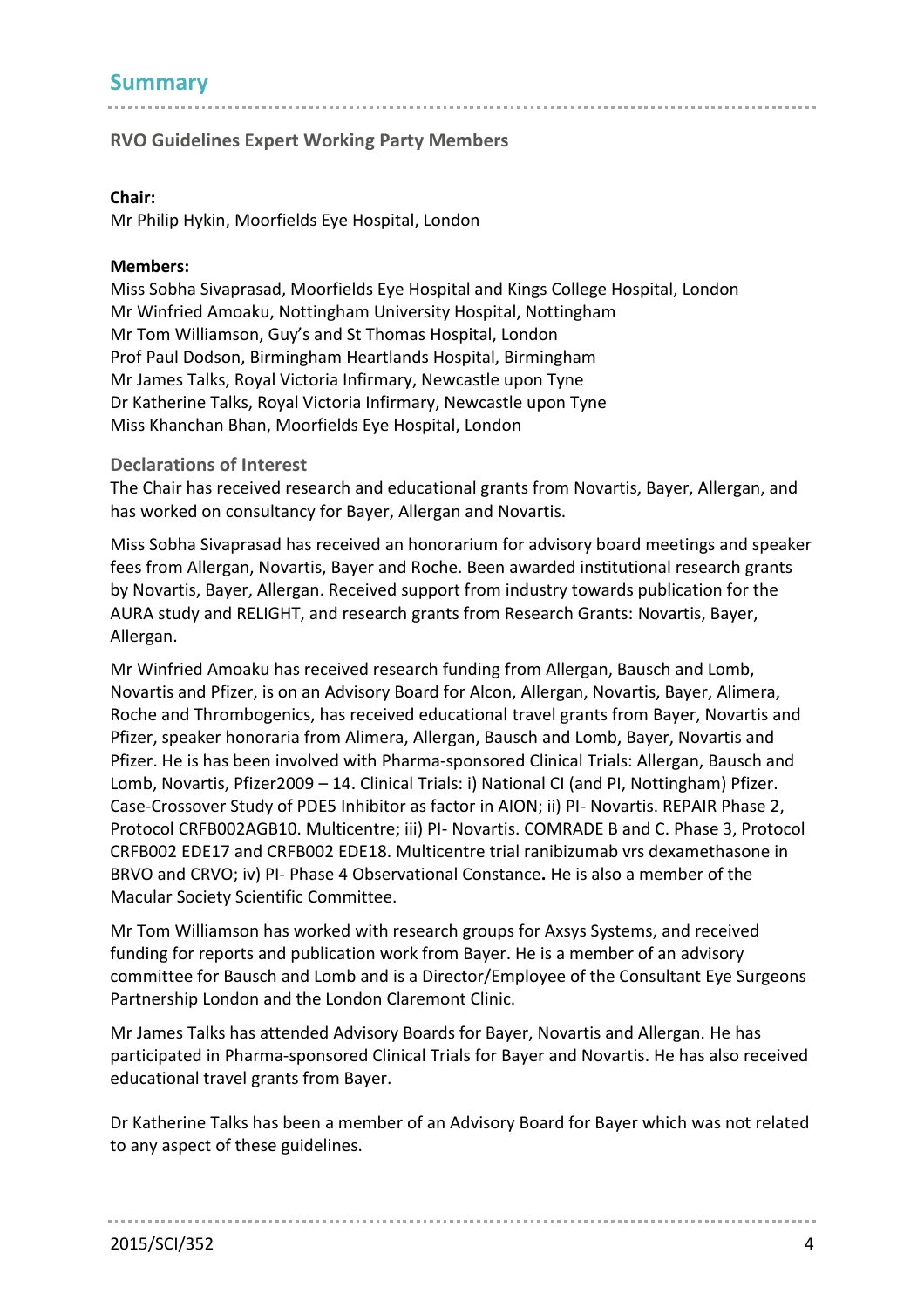# **Summary**

## **RVO Guidelines Expert Working Party Members**

#### **Chair:**

Mr Philip Hykin, Moorfields Eye Hospital, London

#### **Members:**

Miss Sobha Sivaprasad, Moorfields Eye Hospital and Kings College Hospital, London Mr Winfried Amoaku, Nottingham University Hospital, Nottingham Mr Tom Williamson, Guy's and St Thomas Hospital, London Prof Paul Dodson, Birmingham Heartlands Hospital, Birmingham Mr James Talks, Royal Victoria Infirmary, Newcastle upon Tyne Dr Katherine Talks, Royal Victoria Infirmary, Newcastle upon Tyne Miss Khanchan Bhan, Moorfields Eye Hospital, London

#### **Declarations of Interest**

The Chair has received research and educational grants from Novartis, Bayer, Allergan, and has worked on consultancy for Bayer, Allergan and Novartis.

Miss Sobha Sivaprasad has received an honorarium for advisory board meetings and speaker fees from Allergan, Novartis, Bayer and Roche. Been awarded institutional research grants by Novartis, Bayer, Allergan. Received support from industry towards publication for the AURA study and RELIGHT, and research grants from Research Grants: Novartis, Bayer, Allergan.

Mr Winfried Amoaku has received research funding from Allergan, Bausch and Lomb, Novartis and Pfizer, is on an Advisory Board for Alcon, Allergan, Novartis, Bayer, Alimera, Roche and Thrombogenics, has received educational travel grants from Bayer, Novartis and Pfizer, speaker honoraria from Alimera, Allergan, Bausch and Lomb, Bayer, Novartis and Pfizer. He is has been involved with Pharma-sponsored Clinical Trials: Allergan, Bausch and Lomb, Novartis, Pfizer2009 – 14. Clinical Trials: i) National CI (and PI, Nottingham) Pfizer. Case-Crossover Study of PDE5 Inhibitor as factor in AION; ii) PI- Novartis. REPAIR Phase 2, Protocol CRFB002AGB10. Multicentre; iii) PI- Novartis. COMRADE B and C. Phase 3, Protocol CRFB002 EDE17 and CRFB002 EDE18. Multicentre trial ranibizumab vrs dexamethasone in BRVO and CRVO; iv) PI- Phase 4 Observational Constance**.** He is also a member of the Macular Society Scientific Committee.

Mr Tom Williamson has worked with research groups for Axsys Systems, and received funding for reports and publication work from Bayer. He is a member of an advisory committee for Bausch and Lomb and is a Director/Employee of the Consultant Eye Surgeons Partnership London and the London Claremont Clinic.

Mr James Talks has attended Advisory Boards for Bayer, Novartis and Allergan. He has participated in Pharma-sponsored Clinical Trials for Bayer and Novartis. He has also received educational travel grants from Bayer.

Dr Katherine Talks has been a member of an Advisory Board for Bayer which was not related to any aspect of these guidelines.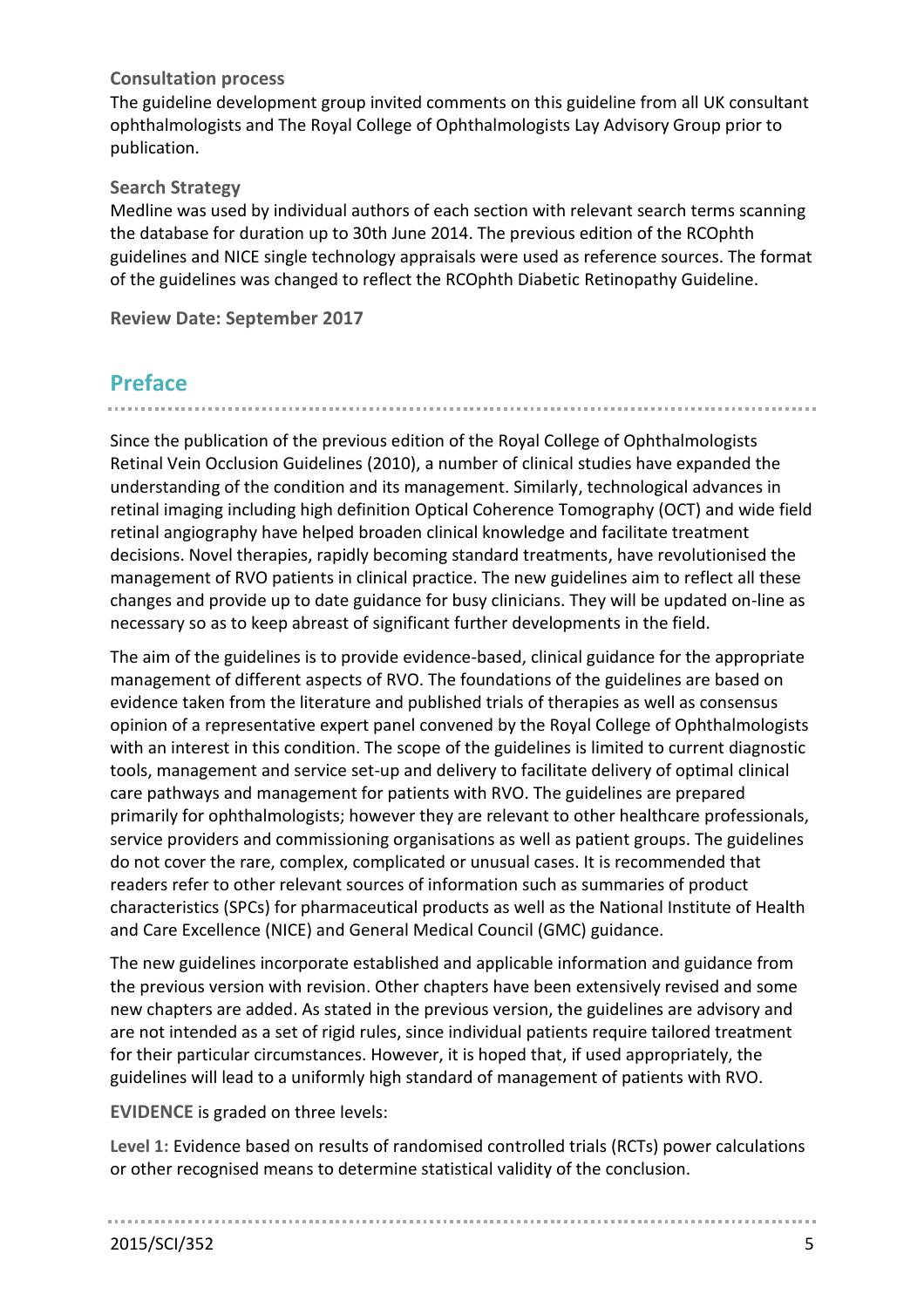## **Consultation process**

The guideline development group invited comments on this guideline from all UK consultant ophthalmologists and The Royal College of Ophthalmologists Lay Advisory Group prior to publication.

### **Search Strategy**

Medline was used by individual authors of each section with relevant search terms scanning the database for duration up to 30th June 2014. The previous edition of the RCOphth guidelines and NICE single technology appraisals were used as reference sources. The format of the guidelines was changed to reflect the RCOphth Diabetic Retinopathy Guideline.

**Review Date: September 2017**

# **Preface**

Since the publication of the previous edition of the Royal College of Ophthalmologists Retinal Vein Occlusion Guidelines (2010), a number of clinical studies have expanded the understanding of the condition and its management. Similarly, technological advances in retinal imaging including high definition Optical Coherence Tomography (OCT) and wide field retinal angiography have helped broaden clinical knowledge and facilitate treatment decisions. Novel therapies, rapidly becoming standard treatments, have revolutionised the management of RVO patients in clinical practice. The new guidelines aim to reflect all these changes and provide up to date guidance for busy clinicians. They will be updated on-line as necessary so as to keep abreast of significant further developments in the field.

The aim of the guidelines is to provide evidence-based, clinical guidance for the appropriate management of different aspects of RVO. The foundations of the guidelines are based on evidence taken from the literature and published trials of therapies as well as consensus opinion of a representative expert panel convened by the Royal College of Ophthalmologists with an interest in this condition. The scope of the guidelines is limited to current diagnostic tools, management and service set-up and delivery to facilitate delivery of optimal clinical care pathways and management for patients with RVO. The guidelines are prepared primarily for ophthalmologists; however they are relevant to other healthcare professionals, service providers and commissioning organisations as well as patient groups. The guidelines do not cover the rare, complex, complicated or unusual cases. It is recommended that readers refer to other relevant sources of information such as summaries of product characteristics (SPCs) for pharmaceutical products as well as the National Institute of Health and Care Excellence (NICE) and General Medical Council (GMC) guidance.

The new guidelines incorporate established and applicable information and guidance from the previous version with revision. Other chapters have been extensively revised and some new chapters are added. As stated in the previous version, the guidelines are advisory and are not intended as a set of rigid rules, since individual patients require tailored treatment for their particular circumstances. However, it is hoped that, if used appropriately, the guidelines will lead to a uniformly high standard of management of patients with RVO.

**EVIDENCE** is graded on three levels:

**Level 1:** Evidence based on results of randomised controlled trials (RCTs) power calculations or other recognised means to determine statistical validity of the conclusion.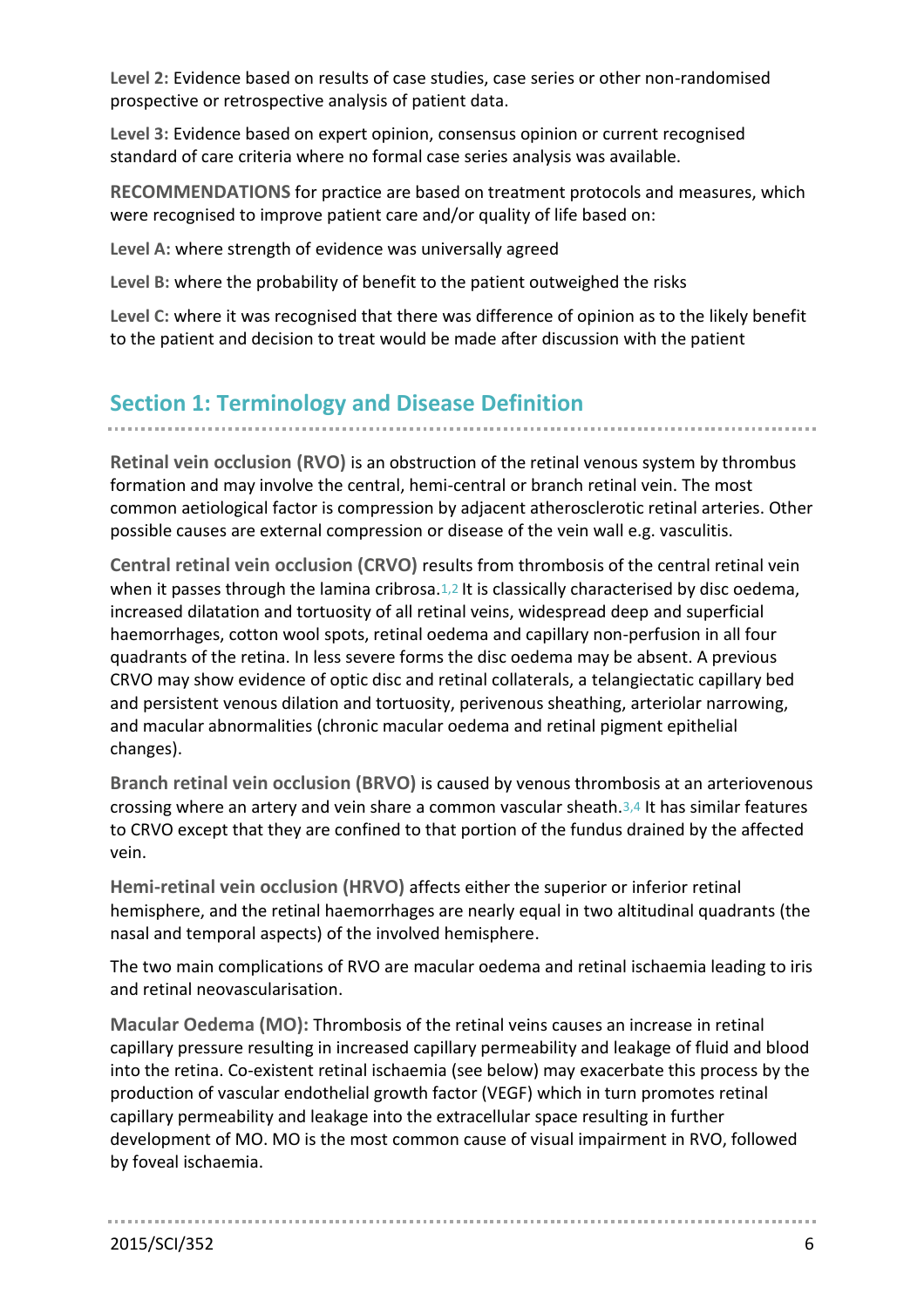**Level 2:** Evidence based on results of case studies, case series or other non-randomised prospective or retrospective analysis of patient data.

**Level 3:** Evidence based on expert opinion, consensus opinion or current recognised standard of care criteria where no formal case series analysis was available.

**RECOMMENDATIONS** for practice are based on treatment protocols and measures, which were recognised to improve patient care and/or quality of life based on:

**Level A:** where strength of evidence was universally agreed

**Level B:** where the probability of benefit to the patient outweighed the risks

**Level C:** where it was recognised that there was difference of opinion as to the likely benefit to the patient and decision to treat would be made after discussion with the patient

# **Section 1: Terminology and Disease Definition**

**Retinal vein occlusion (RVO)** is an obstruction of the retinal venous system by thrombus formation and may involve the central, hemi-central or branch retinal vein. The most common aetiological factor is compression by adjacent atherosclerotic retinal arteries. Other possible causes are external compression or disease of the vein wall e.g. vasculitis.

**Central retinal vein occlusion (CRVO)** results from thrombosis of the central retinal vein when it passes through the lamina cribrosa.<sup>[1,](#page-34-0)[2](#page-34-1)</sup> It is classically characterised by disc oedema, increased dilatation and tortuosity of all retinal veins, widespread deep and superficial haemorrhages, cotton wool spots, retinal oedema and capillary non-perfusion in all four quadrants of the retina. In less severe forms the disc oedema may be absent. A previous CRVO may show evidence of optic disc and retinal collaterals, a telangiectatic capillary bed and persistent venous dilation and tortuosity, perivenous sheathing, arteriolar narrowing, and macular abnormalities (chronic macular oedema and retinal pigment epithelial changes).

**Branch retinal vein occlusion (BRVO)** is caused by venous thrombosis at an arteriovenous crossing where an artery and vein share a common vascular sheath.[3,](#page-34-2)[4](#page-34-3) It has similar features to CRVO except that they are confined to that portion of the fundus drained by the affected vein.

**Hemi-retinal vein occlusion (HRVO)** affects either the superior or inferior retinal hemisphere, and the retinal haemorrhages are nearly equal in two altitudinal quadrants (the nasal and temporal aspects) of the involved hemisphere.

The two main complications of RVO are macular oedema and retinal ischaemia leading to iris and retinal neovascularisation.

**Macular Oedema (MO):** Thrombosis of the retinal veins causes an increase in retinal capillary pressure resulting in increased capillary permeability and leakage of fluid and blood into the retina. Co-existent retinal ischaemia (see below) may exacerbate this process by the production of vascular endothelial growth factor (VEGF) which in turn promotes retinal capillary permeability and leakage into the extracellular space resulting in further development of MO. MO is the most common cause of visual impairment in RVO, followed by foveal ischaemia.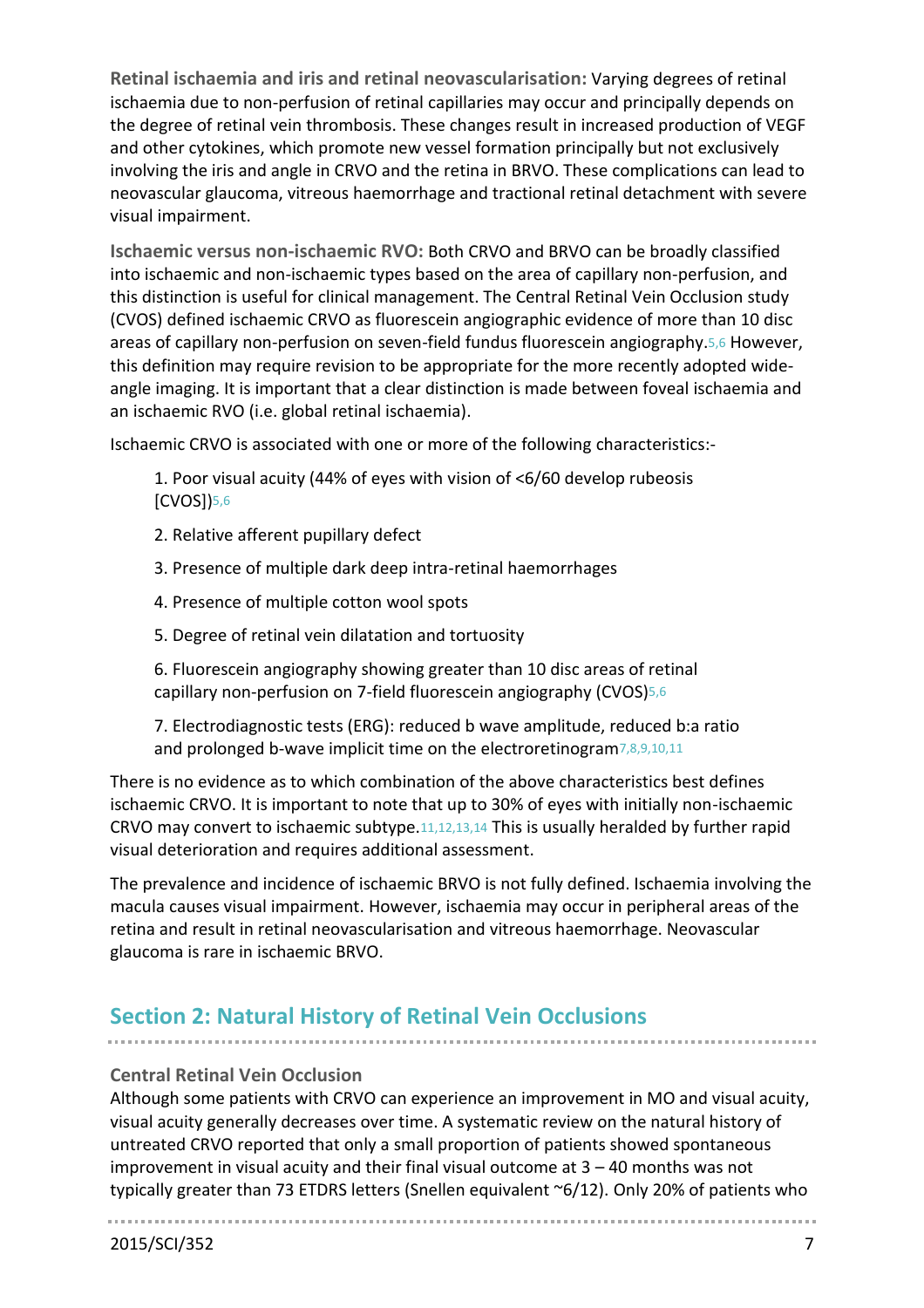**Retinal ischaemia and iris and retinal neovascularisation:** Varying degrees of retinal ischaemia due to non-perfusion of retinal capillaries may occur and principally depends on the degree of retinal vein thrombosis. These changes result in increased production of VEGF and other cytokines, which promote new vessel formation principally but not exclusively involving the iris and angle in CRVO and the retina in BRVO. These complications can lead to neovascular glaucoma, vitreous haemorrhage and tractional retinal detachment with severe visual impairment.

**Ischaemic versus non-ischaemic RVO:** Both CRVO and BRVO can be broadly classified into ischaemic and non-ischaemic types based on the area of capillary non-perfusion, and this distinction is useful for clinical management. The Central Retinal Vein Occlusion study (CVOS) defined ischaemic CRVO as fluorescein angiographic evidence of more than 10 disc areas of capillary non-perfusion on seven-field fundus fluorescein angiography.[5,](#page-34-4)[6](#page-34-5) However, this definition may require revision to be appropriate for the more recently adopted wideangle imaging. It is important that a clear distinction is made between foveal ischaemia and an ischaemic RVO (i.e. global retinal ischaemia).

Ischaemic CRVO is associated with one or more of the following characteristics:-

1. Poor visual acuity (44% of eyes with vision of <6/60 develop rubeosis [CVOS])[5,](#page-34-4)[6](#page-34-5)

- 2. Relative afferent pupillary defect
- 3. Presence of multiple dark deep intra-retinal haemorrhages
- 4. Presence of multiple cotton wool spots
- 5. Degree of retinal vein dilatation and tortuosity

6. Fluorescein angiography showing greater than 10 disc areas of retinal capillary non-perfusion on 7-field fluorescein angiography (CVOS)[5](#page-34-4)[,6](#page-34-5)

7. Electrodiagnostic tests (ERG): reduced b wave amplitude, reduced b:a ratio and prolonged b-wave implicit time on the electroretinogram[7,](#page-34-6)[8](#page-34-7)[,9](#page-34-8)[,10](#page-34-9)[,11](#page-34-10)

There is no evidence as to which combination of the above characteristics best defines ischaemic CRVO. It is important to note that up to 30% of eyes with initially non-ischaemic CRVO may convert to ischaemic subtype.[11](#page-34-10)[,12](#page-34-11)[,13,](#page-34-12)[14](#page-34-13) This is usually heralded by further rapid visual deterioration and requires additional assessment.

The prevalence and incidence of ischaemic BRVO is not fully defined. Ischaemia involving the macula causes visual impairment. However, ischaemia may occur in peripheral areas of the retina and result in retinal neovascularisation and vitreous haemorrhage. Neovascular glaucoma is rare in ischaemic BRVO.

# **Section 2: Natural History of Retinal Vein Occlusions**

#### **Central Retinal Vein Occlusion**

Although some patients with CRVO can experience an improvement in MO and visual acuity, visual acuity generally decreases over time. A systematic review on the natural history of untreated CRVO reported that only a small proportion of patients showed spontaneous improvement in visual acuity and their final visual outcome at  $3 - 40$  months was not typically greater than 73 ETDRS letters (Snellen equivalent ~6/12). Only 20% of patients who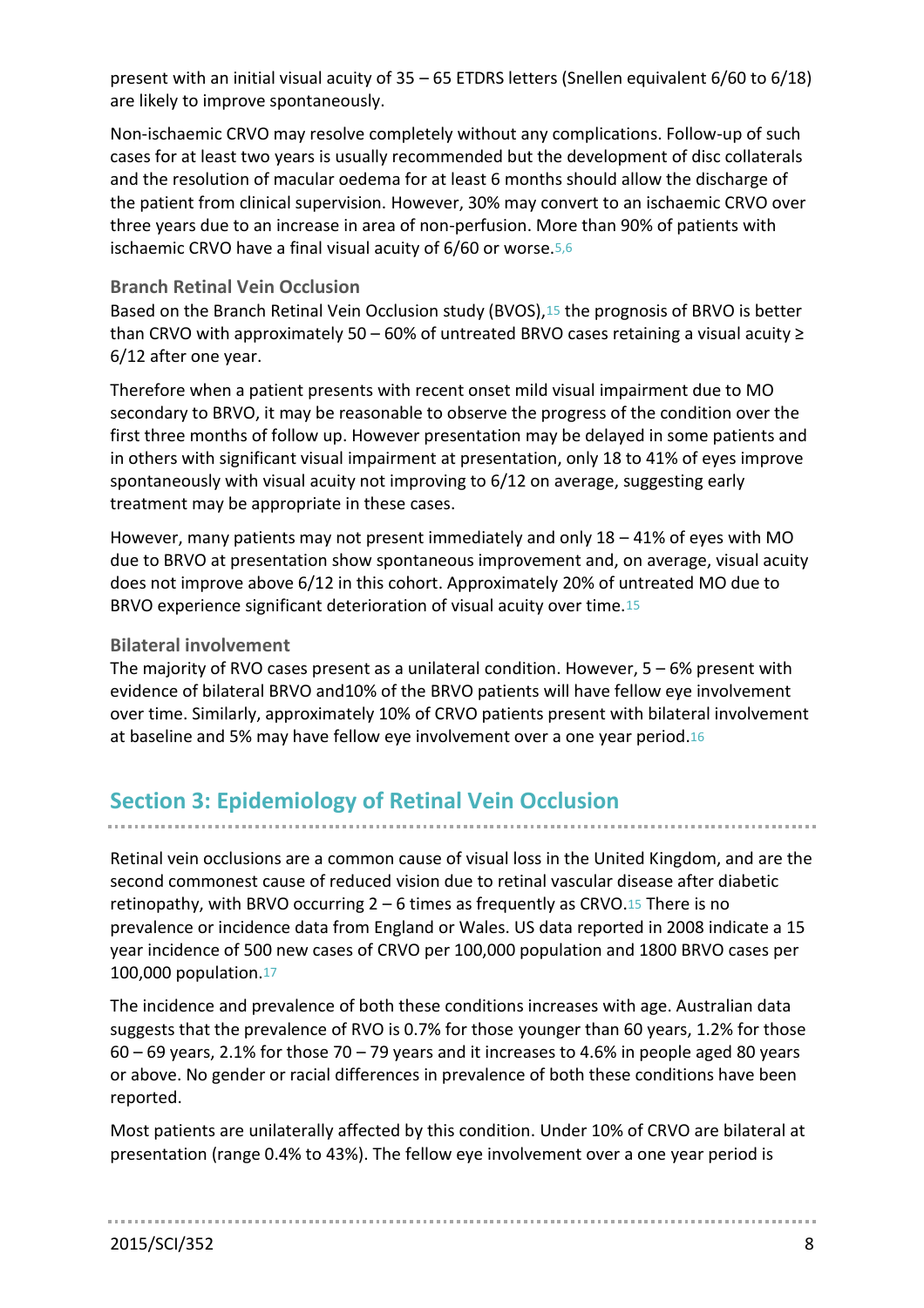present with an initial visual acuity of 35 – 65 ETDRS letters (Snellen equivalent 6/60 to 6/18) are likely to improve spontaneously.

Non-ischaemic CRVO may resolve completely without any complications. Follow-up of such cases for at least two years is usually recommended but the development of disc collaterals and the resolution of macular oedema for at least 6 months should allow the discharge of the patient from clinical supervision. However, 30% may convert to an ischaemic CRVO over three years due to an increase in area of non-perfusion. More than 90% of patients with ischaemic CRVO have a final visual acuity of 6/60 or worse.[5,](#page-34-4)[6](#page-34-5)

### **Branch Retinal Vein Occlusion**

Based on the Branch Retinal Vein Occlusion study (BVOS), [15](#page-34-14) the prognosis of BRVO is better than CRVO with approximately 50 – 60% of untreated BRVO cases retaining a visual acuity  $\ge$ 6/12 after one year.

Therefore when a patient presents with recent onset mild visual impairment due to MO secondary to BRVO, it may be reasonable to observe the progress of the condition over the first three months of follow up. However presentation may be delayed in some patients and in others with significant visual impairment at presentation, only 18 to 41% of eyes improve spontaneously with visual acuity not improving to 6/12 on average, suggesting early treatment may be appropriate in these cases.

However, many patients may not present immediately and only 18 – 41% of eyes with MO due to BRVO at presentation show spontaneous improvement and, on average, visual acuity does not improve above 6/12 in this cohort. Approximately 20% of untreated MO due to BRVO experience significant deterioration of visual acuity over time.[15](#page-34-14)

## **Bilateral involvement**

The majority of RVO cases present as a unilateral condition. However,  $5 - 6%$  present with evidence of bilateral BRVO and10% of the BRVO patients will have fellow eye involvement over time. Similarly, approximately 10% of CRVO patients present with bilateral involvement at baseline and 5% may have fellow eye involvement over a one year period.[16](#page-34-15)

# **Section 3: Epidemiology of Retinal Vein Occlusion**

Retinal vein occlusions are a common cause of visual loss in the United Kingdom, and are the second commonest cause of reduced vision due to retinal vascular disease after diabetic retinopathy, with BRVO occurring  $2 - 6$  times as frequently as CRVO.<sup>[15](#page-34-14)</sup> There is no prevalence or incidence data from England or Wales. US data reported in 2008 indicate a 15 year incidence of 500 new cases of CRVO per 100,000 population and 1800 BRVO cases per 100,000 population.[17](#page-34-16)

The incidence and prevalence of both these conditions increases with age. Australian data suggests that the prevalence of RVO is 0.7% for those younger than 60 years, 1.2% for those  $60 - 69$  years, 2.1% for those 70 – 79 years and it increases to 4.6% in people aged 80 years or above. No gender or racial differences in prevalence of both these conditions have been reported.

Most patients are unilaterally affected by this condition. Under 10% of CRVO are bilateral at presentation (range 0.4% to 43%). The fellow eye involvement over a one year period is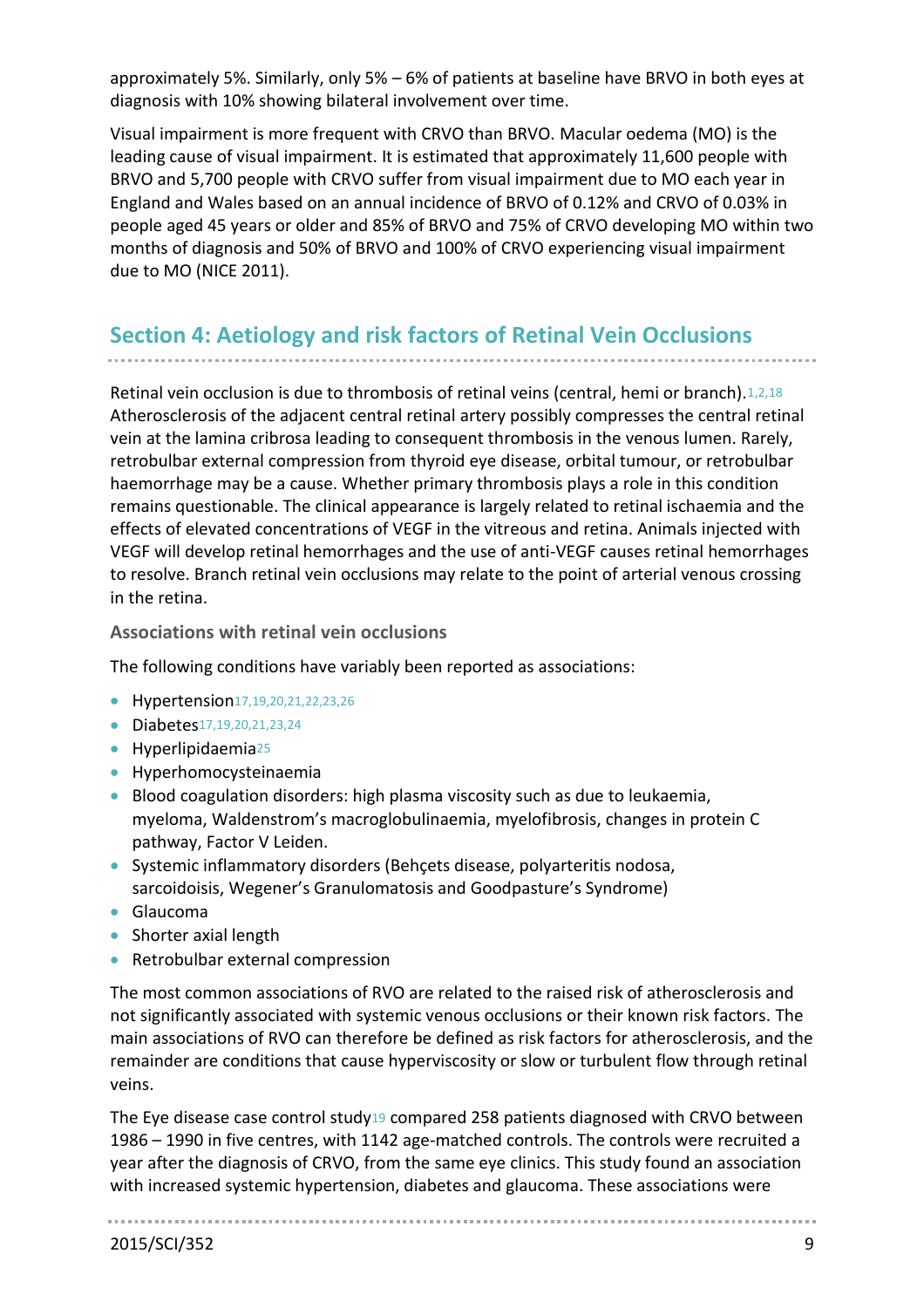approximately 5%. Similarly, only 5% – 6% of patients at baseline have BRVO in both eyes at diagnosis with 10% showing bilateral involvement over time.

Visual impairment is more frequent with CRVO than BRVO. Macular oedema (MO) is the leading cause of visual impairment. It is estimated that approximately 11,600 people with BRVO and 5,700 people with CRVO suffer from visual impairment due to MO each year in England and Wales based on an annual incidence of BRVO of 0.12% and CRVO of 0.03% in people aged 45 years or older and 85% of BRVO and 75% of CRVO developing MO within two months of diagnosis and 50% of BRVO and 100% of CRVO experiencing visual impairment due to MO (NICE 2011).

# **Section 4: Aetiology and risk factors of Retinal Vein Occlusions**

Retinal vein occlusion is due to thrombosis of retinal veins (central, hemi or branch).[1,](#page-34-0)[2,](#page-34-1)[18](#page-34-17) Atherosclerosis of the adjacent central retinal artery possibly compresses the central retinal vein at the lamina cribrosa leading to consequent thrombosis in the venous lumen. Rarely, retrobulbar external compression from thyroid eye disease, orbital tumour, or retrobulbar haemorrhage may be a cause. Whether primary thrombosis plays a role in this condition remains questionable. The clinical appearance is largely related to retinal ischaemia and the effects of elevated concentrations of VEGF in the vitreous and retina. Animals injected with VEGF will develop retinal hemorrhages and the use of anti-VEGF causes retinal hemorrhages to resolve. Branch retinal vein occlusions may relate to the point of arterial venous crossing in the retina.

**Associations with retinal vein occlusions**

The following conditions have variably been reported as associations:

- Hypertension[17](#page-34-16)[,19,](#page-34-18)[20,](#page-34-19)[21](#page-34-20)[,22,](#page-34-21)[23](#page-34-22)[,26](#page-34-23)
- Diabetes[17](#page-34-16)[,19,](#page-34-18)[20,](#page-34-19)[21](#page-34-20)[,23,](#page-34-22)[24](#page-34-24)
- Hyperlipidaemia<sup>[25](#page-34-25)</sup>
- Hyperhomocysteinaemia
- **Blood coagulation disorders: high plasma viscosity such as due to leukaemia,** myeloma, Waldenstrom's macroglobulinaemia, myelofibrosis, changes in protein C pathway, Factor V Leiden.
- Systemic inflammatory disorders (Behçets disease, polyarteritis nodosa, sarcoidoisis, Wegener's Granulomatosis and Goodpasture's Syndrome)
- Glaucoma
- Shorter axial length
- Retrobulbar external compression

The most common associations of RVO are related to the raised risk of atherosclerosis and not significantly associated with systemic venous occlusions or their known risk factors. The main associations of RVO can therefore be defined as risk factors for atherosclerosis, and the remainder are conditions that cause hyperviscosity or slow or turbulent flow through retinal veins.

The Eye disease case control study[19](#page-34-18) compared 258 patients diagnosed with CRVO between 1986 – 1990 in five centres, with 1142 age-matched controls. The controls were recruited a year after the diagnosis of CRVO, from the same eye clinics. This study found an association with increased systemic hypertension, diabetes and glaucoma. These associations were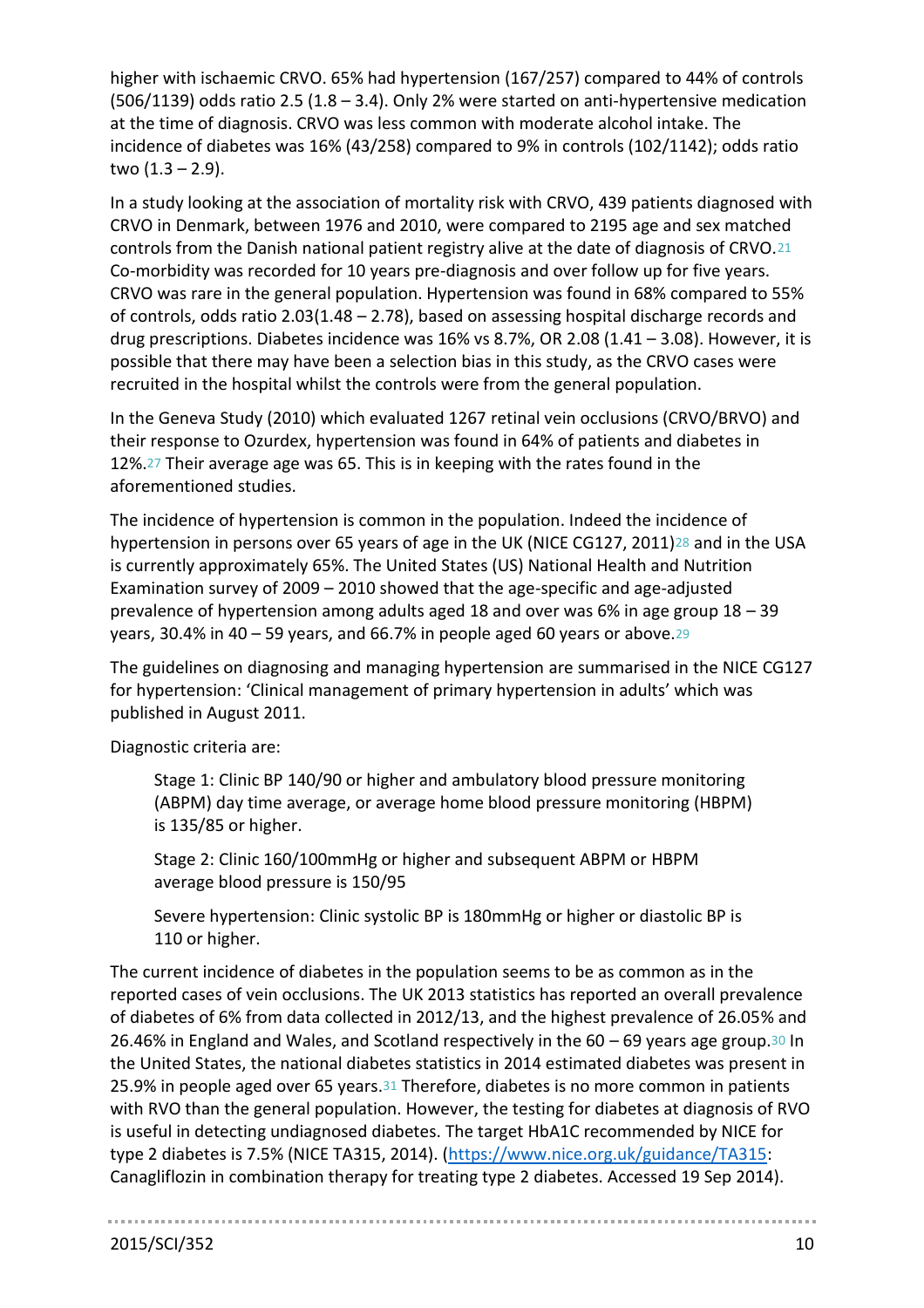higher with ischaemic CRVO. 65% had hypertension (167/257) compared to 44% of controls (506/1139) odds ratio 2.5 (1.8 – 3.4). Only 2% were started on anti-hypertensive medication at the time of diagnosis. CRVO was less common with moderate alcohol intake. The incidence of diabetes was 16% (43/258) compared to 9% in controls (102/1142); odds ratio two  $(1.3 - 2.9)$ .

In a study looking at the association of mortality risk with CRVO, 439 patients diagnosed with CRVO in Denmark, between 1976 and 2010, were compared to 2195 age and sex matched controls from the Danish national patient registry alive at the date of diagnosis of CRVO.[21](#page-34-20) Co-morbidity was recorded for 10 years pre-diagnosis and over follow up for five years. CRVO was rare in the general population. Hypertension was found in 68% compared to 55% of controls, odds ratio 2.03(1.48 – 2.78), based on assessing hospital discharge records and drug prescriptions. Diabetes incidence was 16% vs 8.7%, OR 2.08 (1.41 – 3.08). However, it is possible that there may have been a selection bias in this study, as the CRVO cases were recruited in the hospital whilst the controls were from the general population.

In the Geneva Study (2010) which evaluated 1267 retinal vein occlusions (CRVO/BRVO) and their response to Ozurdex, hypertension was found in 64% of patients and diabetes in 12%.[27](#page-34-26) Their average age was 65. This is in keeping with the rates found in the aforementioned studies.

The incidence of hypertension is common in the population. Indeed the incidence of hypertension in persons over 65 years of age in the UK (NICE CG127, 2011)<sup>28</sup> and in the USA is currently approximately 65%. The United States (US) National Health and Nutrition Examination survey of 2009 – 2010 showed that the age-specific and age-adjusted prevalence of hypertension among adults aged 18 and over was 6% in age group 18 – 39 years, 30.4% in 40 – 59 years, and 66.7% in people aged 60 years or above.29

The guidelines on diagnosing and managing hypertension are summarised in the NICE CG127 for hypertension: 'Clinical management of primary hypertension in adults' which was published in August 2011.

Diagnostic criteria are:

Stage 1: Clinic BP 140/90 or higher and ambulatory blood pressure monitoring (ABPM) day time average, or average home blood pressure monitoring (HBPM) is 135/85 or higher.

Stage 2: Clinic 160/100mmHg or higher and subsequent ABPM or HBPM average blood pressure is 150/95

Severe hypertension: Clinic systolic BP is 180mmHg or higher or diastolic BP is 110 or higher.

The current incidence of diabetes in the population seems to be as common as in the reported cases of vein occlusions. The UK 2013 statistics has reported an overall prevalence of diabetes of 6% from data collected in 2012/13, and the highest prevalence of 26.05% and 26.46% in England and Wales, and Scotland respectively in the 60 – 69 years age group.30 In the United States, the national diabetes statistics in 2014 estimated diabetes was present in 25.9% in people aged over 65 years.31 Therefore, diabetes is no more common in patients with RVO than the general population. However, the testing for diabetes at diagnosis of RVO is useful in detecting undiagnosed diabetes. The target HbA1C recommended by NICE for type 2 diabetes is 7.5% (NICE TA315, 2014). [\(https://www.nice.org.uk/guidance/TA315:](https://www.nice.org.uk/guidance/TA315) Canagliflozin in combination therapy for treating type 2 diabetes. Accessed 19 Sep 2014).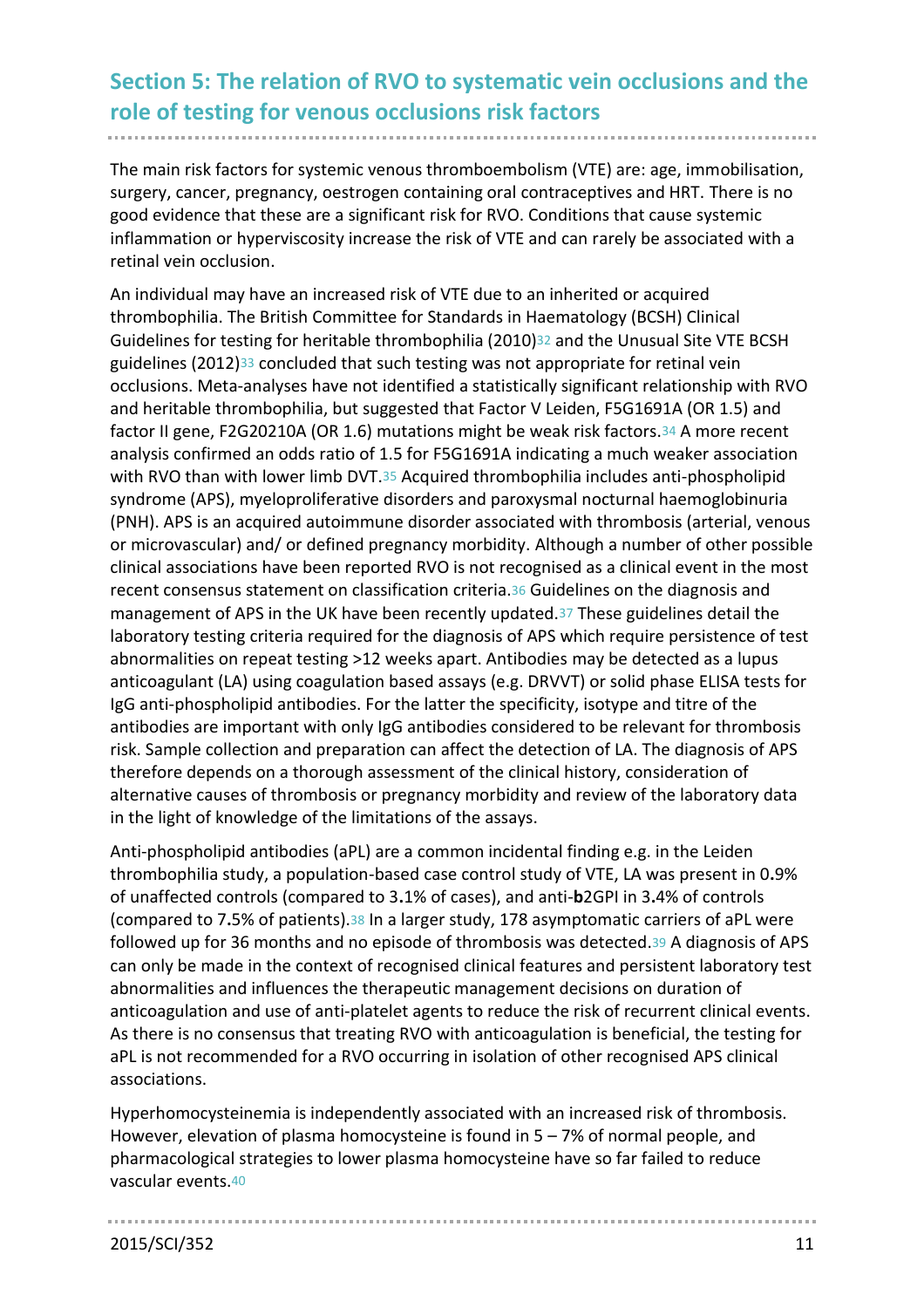# **Section 5: The relation of RVO to systematic vein occlusions and the role of testing for venous occlusions risk factors**

The main risk factors for systemic venous thromboembolism (VTE) are: age, immobilisation, surgery, cancer, pregnancy, oestrogen containing oral contraceptives and HRT. There is no good evidence that these are a significant risk for RVO. Conditions that cause systemic inflammation or hyperviscosity increase the risk of VTE and can rarely be associated with a retinal vein occlusion.

An individual may have an increased risk of VTE due to an inherited or acquired thrombophilia. The British Committee for Standards in Haematology (BCSH) Clinical Guidelines for testing for heritable thrombophilia (2010)<sup>32</sup> and the Unusual Site VTE BCSH guidelines (2012)33 concluded that such testing was not appropriate for retinal vein occlusions. Meta-analyses have not identified a statistically significant relationship with RVO and heritable thrombophilia, but suggested that Factor V Leiden, F5G1691A (OR 1.5) and factor II gene, F2G20210A (OR 1.6) mutations might be weak risk factors.34 A more recent analysis confirmed an odds ratio of 1.5 for F5G1691A indicating a much weaker association with RVO than with lower limb DVT.<sup>35</sup> Acquired thrombophilia includes anti-phospholipid syndrome (APS), myeloproliferative disorders and paroxysmal nocturnal haemoglobinuria (PNH). APS is an acquired autoimmune disorder associated with thrombosis (arterial, venous or microvascular) and/ or defined pregnancy morbidity. Although a number of other possible clinical associations have been reported RVO is not recognised as a clinical event in the most recent consensus statement on classification criteria.36 Guidelines on the diagnosis and management of APS in the UK have been recently updated.37 These guidelines detail the laboratory testing criteria required for the diagnosis of APS which require persistence of test abnormalities on repeat testing >12 weeks apart. Antibodies may be detected as a lupus anticoagulant (LA) using coagulation based assays (e.g. DRVVT) or solid phase ELISA tests for IgG anti-phospholipid antibodies. For the latter the specificity, isotype and titre of the antibodies are important with only IgG antibodies considered to be relevant for thrombosis risk. Sample collection and preparation can affect the detection of LA. The diagnosis of APS therefore depends on a thorough assessment of the clinical history, consideration of alternative causes of thrombosis or pregnancy morbidity and review of the laboratory data in the light of knowledge of the limitations of the assays.

Anti-phospholipid antibodies (aPL) are a common incidental finding e.g. in the Leiden thrombophilia study, a population-based case control study of VTE, LA was present in 0**.**9% of unaffected controls (compared to 3**.**1% of cases), and anti-**b**2GPI in 3**.**4% of controls (compared to 7**.**5% of patients).38 In a larger study, 178 asymptomatic carriers of aPL were followed up for 36 months and no episode of thrombosis was detected.39 A diagnosis of APS can only be made in the context of recognised clinical features and persistent laboratory test abnormalities and influences the therapeutic management decisions on duration of anticoagulation and use of anti-platelet agents to reduce the risk of recurrent clinical events. As there is no consensus that treating RVO with anticoagulation is beneficial, the testing for aPL is not recommended for a RVO occurring in isolation of other recognised APS clinical associations.

Hyperhomocysteinemia is independently associated with an increased risk of thrombosis. However, elevation of plasma homocysteine is found in 5 – 7% of normal people, and pharmacological strategies to lower plasma homocysteine have so far failed to reduce vascular events.40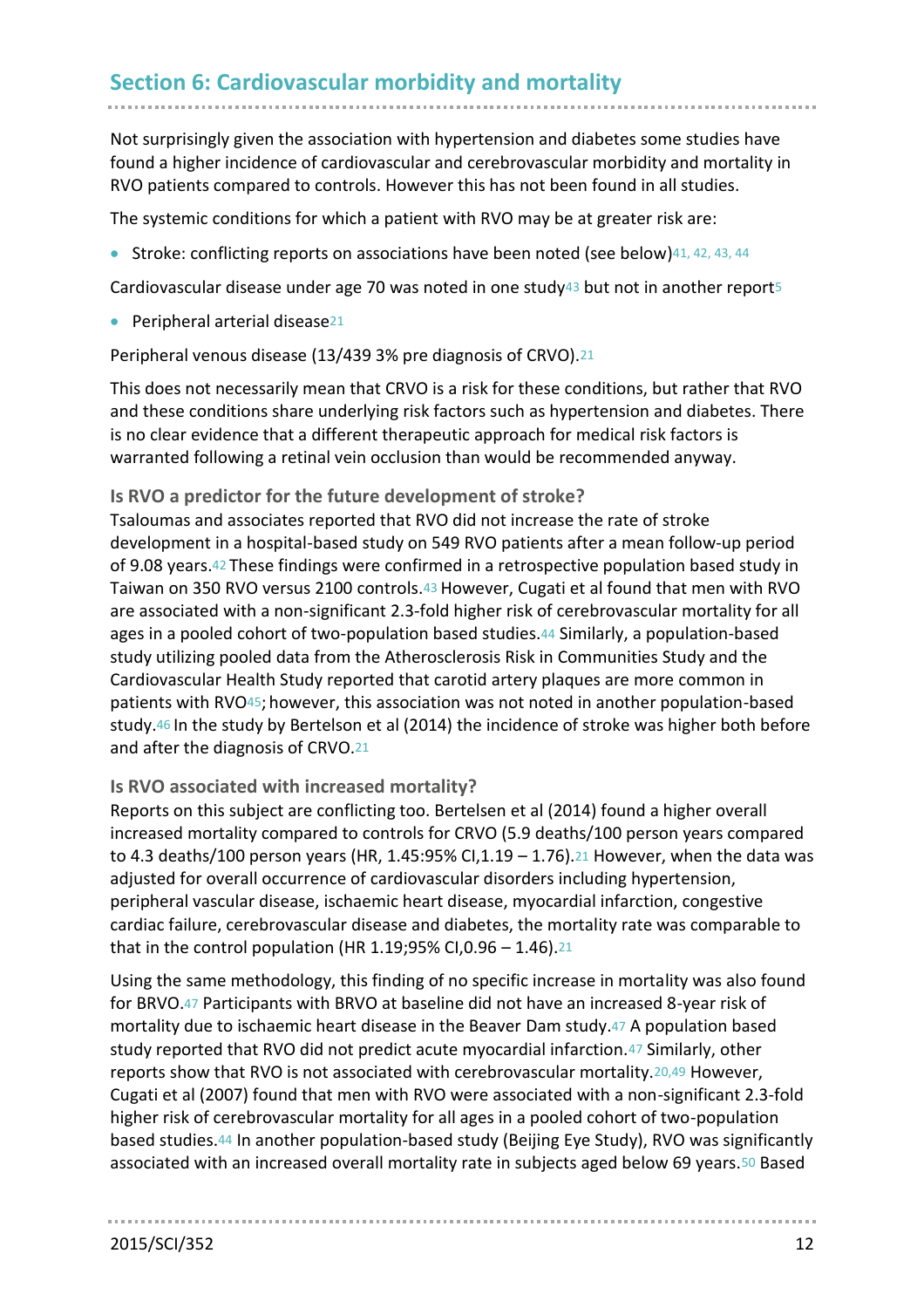# **Section 6: Cardiovascular morbidity and mortality**

Not surprisingly given the association with hypertension and diabetes some studies have found a higher incidence of cardiovascular and cerebrovascular morbidity and mortality in RVO patients compared to controls. However this has not been found in all studies.

The systemic conditions for which a patient with RVO may be at greater risk are:

• Stroke: conflicting reports on associations have been noted (see below)41, 42, 43, 44

Cardiovascular disease under age 70 was noted in one study43 but not in another report[5](#page-34-4)

**•** Peripheral arterial disease<sup>[21](#page-34-20)</sup>

Peripheral venous disease (13/439 3% pre diagnosis of CRVO).[21](#page-34-20)

This does not necessarily mean that CRVO is a risk for these conditions, but rather that RVO and these conditions share underlying risk factors such as hypertension and diabetes. There is no clear evidence that a different therapeutic approach for medical risk factors is warranted following a retinal vein occlusion than would be recommended anyway.

#### **Is RVO a predictor for the future development of stroke?**

Tsaloumas and associates reported that RVO did not increase the rate of stroke development in a hospital-based study on 549 RVO patients after a mean follow-up period of 9.08 years.42 These findings were confirmed in a retrospective population based study in Taiwan on 350 RVO versus 2100 controls.43 However, Cugati et al found that men with RVO are associated with a non-significant 2.3-fold higher risk of cerebrovascular mortality for all ages in a pooled cohort of two-population based studies.44 Similarly, a population-based study utilizing pooled data from the Atherosclerosis Risk in Communities Study and the Cardiovascular Health Study reported that carotid artery plaques are more common in patients with RVO45; however, this association was not noted in another population-based study.46 In the study by Bertelson et al (2014) the incidence of stroke was higher both before and after the diagnosis of CRVO.[21](#page-34-20)

#### **Is RVO associated with increased mortality?**

Reports on this subject are conflicting too. Bertelsen et al (2014) found a higher overall increased mortality compared to controls for CRVO (5.9 deaths/100 person years compared to 4.3 deaths/100 person years (HR, 1.45:95% CI,1.19 - 1.76).<sup>[21](#page-34-20)</sup> However, when the data was adjusted for overall occurrence of cardiovascular disorders including hypertension, peripheral vascular disease, ischaemic heart disease, myocardial infarction, congestive cardiac failure, cerebrovascular disease and diabetes, the mortality rate was comparable to that in the control population (HR 1.19;95% CI,0.96 - 1.46).<sup>[21](#page-34-20)</sup>

Using the same methodology, this finding of no specific increase in mortality was also found for BRVO.[47](#page-35-0) Participants with BRVO at baseline did not have an increased 8-year risk of mortality due to ischaemic heart disease in the Beaver Dam study.47 A population based study reported that RVO did not predict acute myocardial infarction.47 Similarly, other reports show that RVO is not associated with cerebrovascular mortality.[20,4](#page-34-19)9 However, Cugati et al (2007) found that men with RVO were associated with a non-significant 2.3-fold higher risk of cerebrovascular mortality for all ages in a pooled cohort of two-population based studies.44 In another population-based study (Beijing Eye Study), RVO was significantly associated with an increased overall mortality rate in subjects aged below 69 years.50 Based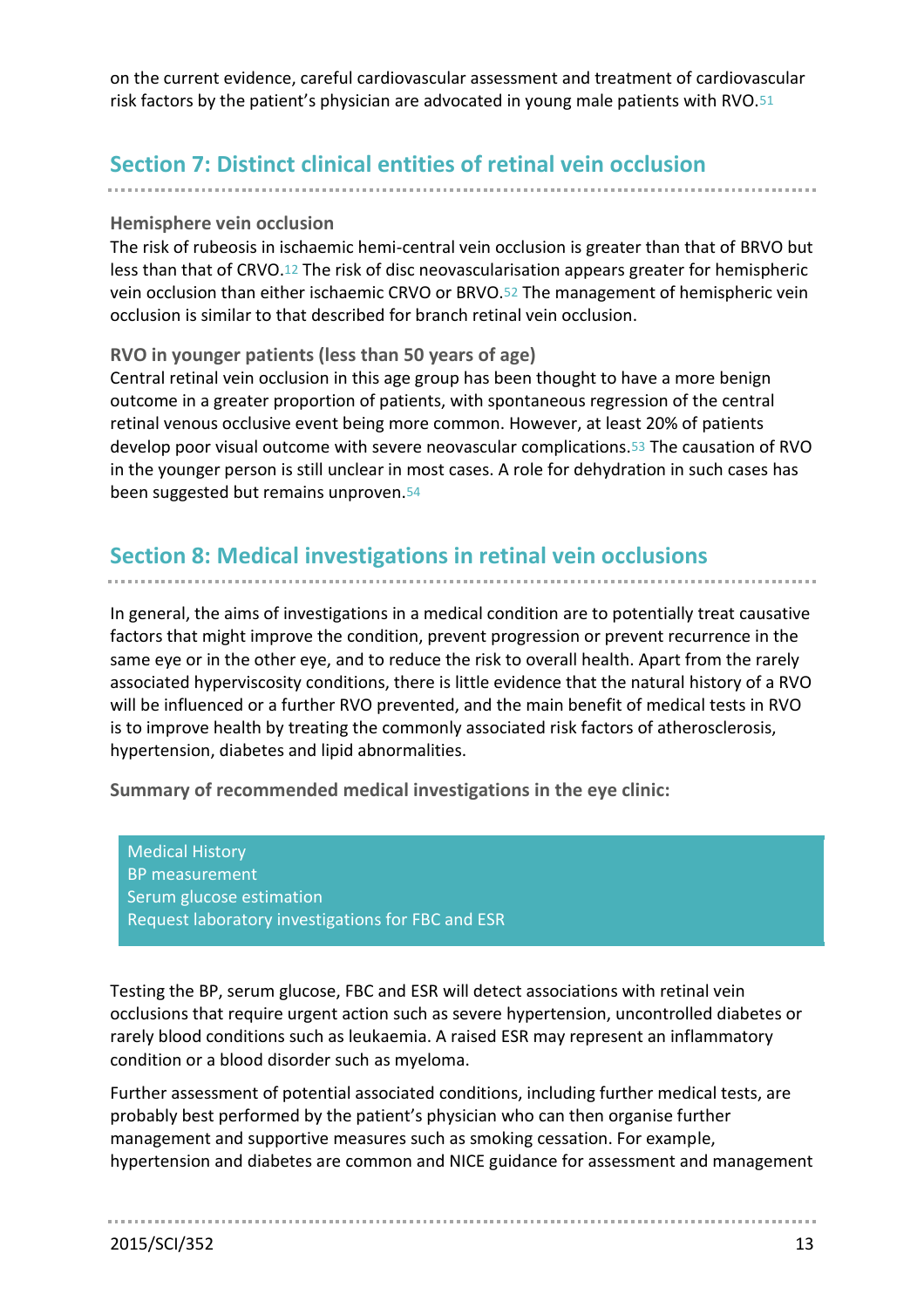on the current evidence, careful cardiovascular assessment and treatment of cardiovascular risk factors by the patient's physician are advocated in young male patients with RVO.51

# **Section 7: Distinct clinical entities of retinal vein occlusion**

### **Hemisphere vein occlusion**

The risk of rubeosis in ischaemic hemi-central vein occlusion is greater than that of BRVO but less than that of CRVO.[12](#page-34-11) The risk of disc neovascularisation appears greater for hemispheric vein occlusion than either ischaemic CRVO or BRVO.52 The management of hemispheric vein occlusion is similar to that described for branch retinal vein occlusion.

## **RVO in younger patients (less than 50 years of age)**

Central retinal vein occlusion in this age group has been thought to have a more benign outcome in a greater proportion of patients, with spontaneous regression of the central retinal venous occlusive event being more common. However, at least 20% of patients develop poor visual outcome with severe neovascular complications.53 The causation of RVO in the younger person is still unclear in most cases. A role for dehydration in such cases has been suggested but remains unproven.54

# **Section 8: Medical investigations in retinal vein occlusions**

In general, the aims of investigations in a medical condition are to potentially treat causative factors that might improve the condition, prevent progression or prevent recurrence in the same eye or in the other eye, and to reduce the risk to overall health. Apart from the rarely associated hyperviscosity conditions, there is little evidence that the natural history of a RVO will be influenced or a further RVO prevented, and the main benefit of medical tests in RVO is to improve health by treating the commonly associated risk factors of atherosclerosis, hypertension, diabetes and lipid abnormalities.

**Summary of recommended medical investigations in the eye clinic:**

Medical History BP measurement Serum glucose estimation Request laboratory investigations for FBC and ESR

Testing the BP, serum glucose, FBC and ESR will detect associations with retinal vein occlusions that require urgent action such as severe hypertension, uncontrolled diabetes or rarely blood conditions such as leukaemia. A raised ESR may represent an inflammatory condition or a blood disorder such as myeloma.

Further assessment of potential associated conditions, including further medical tests, are probably best performed by the patient's physician who can then organise further management and supportive measures such as smoking cessation. For example, hypertension and diabetes are common and NICE guidance for assessment and management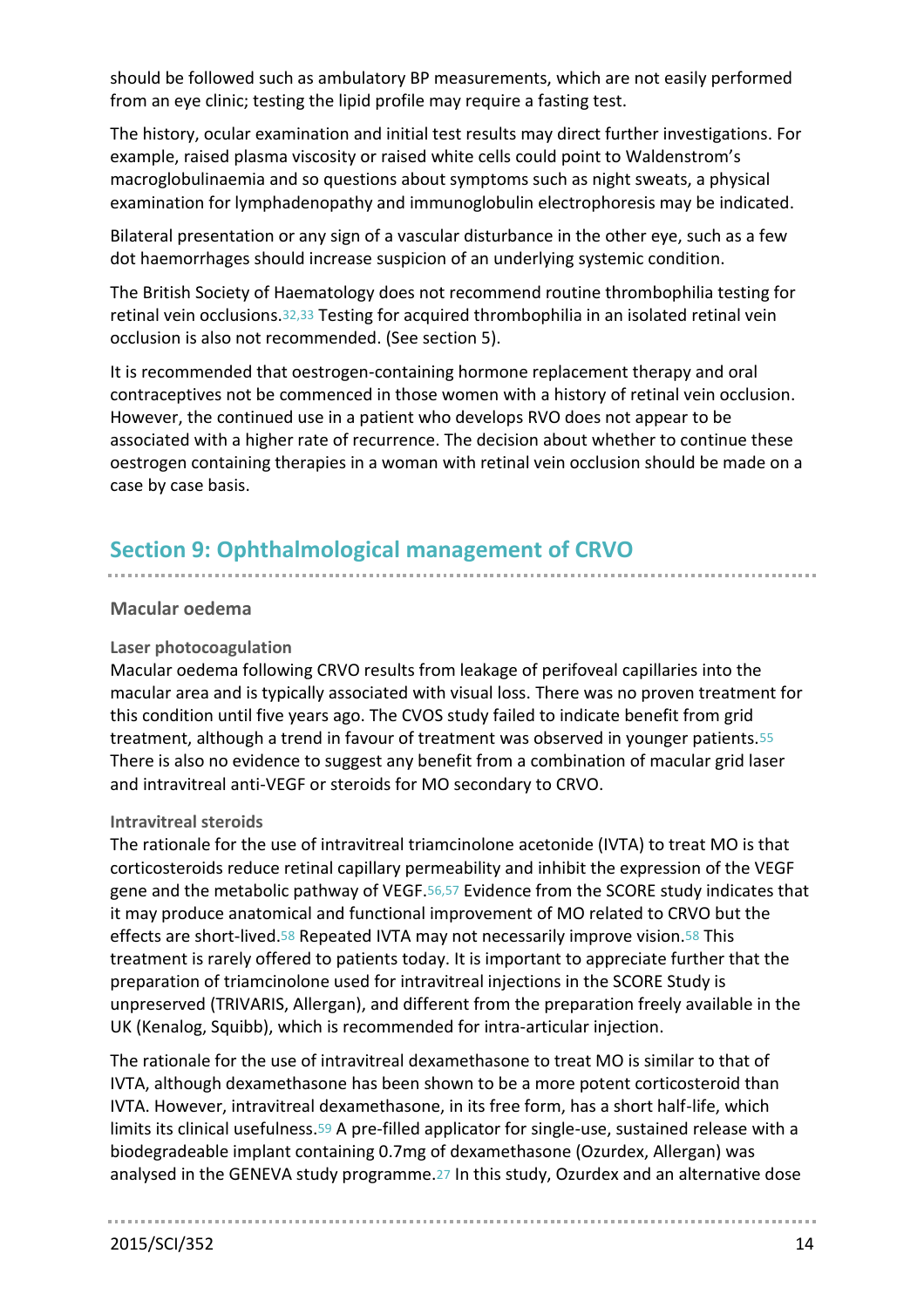should be followed such as ambulatory BP measurements, which are not easily performed from an eye clinic; testing the lipid profile may require a fasting test.

The history, ocular examination and initial test results may direct further investigations. For example, raised plasma viscosity or raised white cells could point to Waldenstrom's macroglobulinaemia and so questions about symptoms such as night sweats, a physical examination for lymphadenopathy and immunoglobulin electrophoresis may be indicated.

Bilateral presentation or any sign of a vascular disturbance in the other eye, such as a few dot haemorrhages should increase suspicion of an underlying systemic condition.

The British Society of Haematology does not recommend routine thrombophilia testing for retinal vein occlusions.32,33 Testing for acquired thrombophilia in an isolated retinal vein occlusion is also not recommended. (See section 5).

It is recommended that oestrogen-containing hormone replacement therapy and oral contraceptives not be commenced in those women with a history of retinal vein occlusion. However, the continued use in a patient who develops RVO does not appear to be associated with a higher rate of recurrence. The decision about whether to continue these oestrogen containing therapies in a woman with retinal vein occlusion should be made on a case by case basis.

# **Section 9: Ophthalmological management of CRVO**

#### **Macular oedema**

#### **Laser photocoagulation**

Macular oedema following CRVO results from leakage of perifoveal capillaries into the macular area and is typically associated with visual loss. There was no proven treatment for this condition until five years ago. The CVOS study failed to indicate benefit from grid treatment, although a trend in favour of treatment was observed in younger patients.55 There is also no evidence to suggest any benefit from a combination of macular grid laser and intravitreal anti-VEGF or steroids for MO secondary to CRVO.

#### **Intravitreal steroids**

The rationale for the use of intravitreal triamcinolone acetonide (IVTA) to treat MO is that corticosteroids reduce retinal capillary permeability and inhibit the expression of the VEGF gene and the metabolic pathway of VEGF.56,57 Evidence from the SCORE study indicates that it may produce anatomical and functional improvement of MO related to CRVO but the effects are short-lived.[58](#page-36-0) Repeated IVTA may not necessarily improve vision.58 This treatment is rarely offered to patients today. It is important to appreciate further that the preparation of triamcinolone used for intravitreal injections in the SCORE Study is unpreserved (TRIVARIS, Allergan), and different from the preparation freely available in the UK (Kenalog, Squibb), which is recommended for intra-articular injection.

The rationale for the use of intravitreal dexamethasone to treat MO is similar to that of IVTA, although dexamethasone has been shown to be a more potent corticosteroid than IVTA. However, intravitreal dexamethasone, in its free form, has a short half-life, which limits its clinical usefulness.59 A pre-filled applicator for single-use, sustained release with a biodegradeable implant containing 0.7mg of dexamethasone (Ozurdex, Allergan) was analysed in the GENEVA study programme.[27](#page-34-26) In this study, Ozurdex and an alternative dose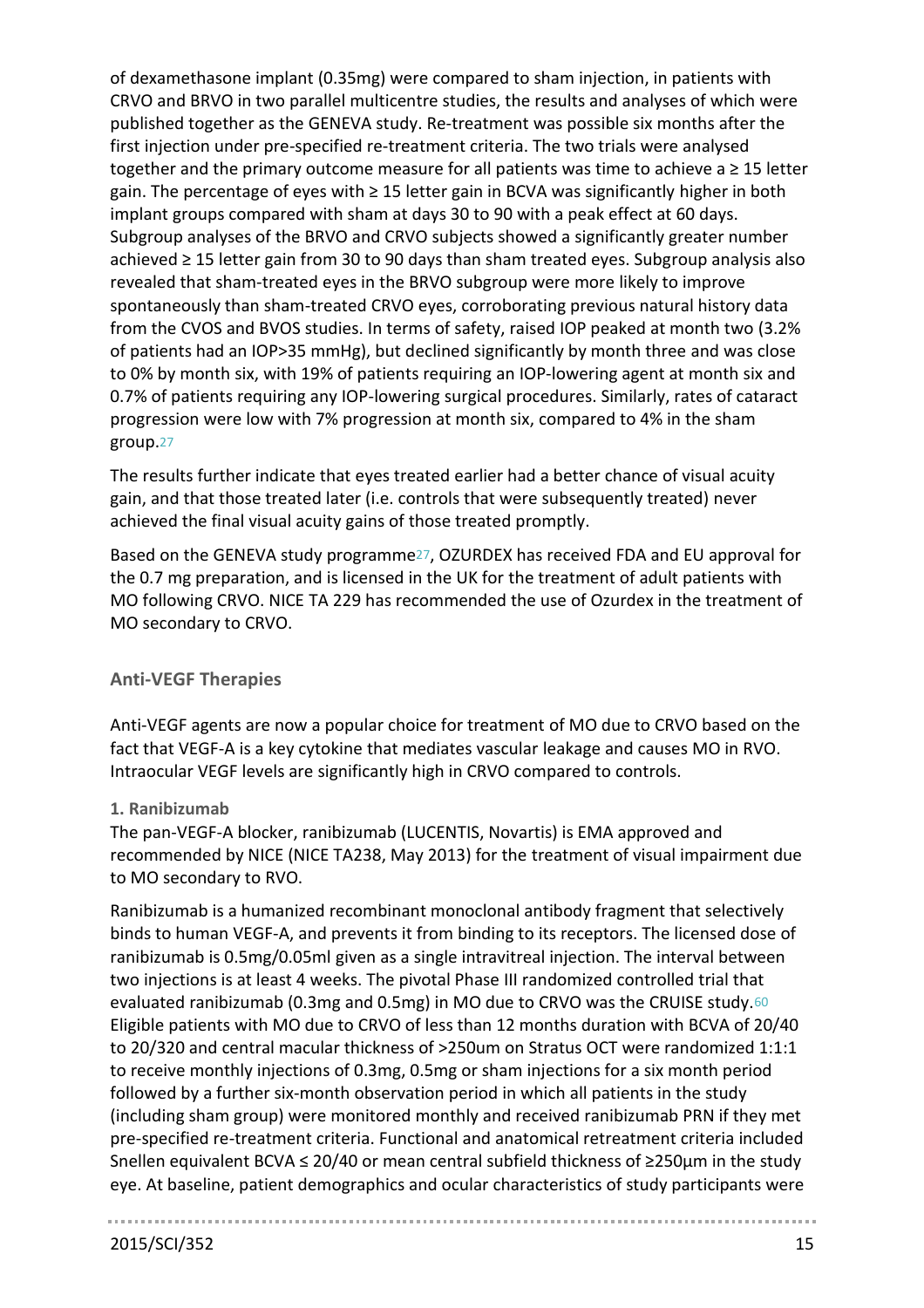of dexamethasone implant (0.35mg) were compared to sham injection, in patients with CRVO and BRVO in two parallel multicentre studies, the results and analyses of which were published together as the GENEVA study. Re-treatment was possible six months after the first injection under pre-specified re-treatment criteria. The two trials were analysed together and the primary outcome measure for all patients was time to achieve a ≥ 15 letter gain. The percentage of eyes with ≥ 15 letter gain in BCVA was significantly higher in both implant groups compared with sham at days 30 to 90 with a peak effect at 60 days. Subgroup analyses of the BRVO and CRVO subjects showed a significantly greater number achieved ≥ 15 letter gain from 30 to 90 days than sham treated eyes. Subgroup analysis also revealed that sham-treated eyes in the BRVO subgroup were more likely to improve spontaneously than sham-treated CRVO eyes, corroborating previous natural history data from the CVOS and BVOS studies. In terms of safety, raised IOP peaked at month two (3.2% of patients had an IOP>35 mmHg), but declined significantly by month three and was close to 0% by month six, with 19% of patients requiring an IOP-lowering agent at month six and 0.7% of patients requiring any IOP-lowering surgical procedures. Similarly, rates of cataract progression were low with 7% progression at month six, compared to 4% in the sham group.[27](#page-34-26)

The results further indicate that eyes treated earlier had a better chance of visual acuity gain, and that those treated later (i.e. controls that were subsequently treated) never achieved the final visual acuity gains of those treated promptly.

Based on the GENEVA study programme[27](#page-34-26), OZURDEX has received FDA and EU approval for the 0.7 mg preparation, and is licensed in the UK for the treatment of adult patients with MO following CRVO. NICE TA 229 has recommended the use of Ozurdex in the treatment of MO secondary to CRVO.

# **Anti-VEGF Therapies**

Anti-VEGF agents are now a popular choice for treatment of MO due to CRVO based on the fact that VEGF-A is a key cytokine that mediates vascular leakage and causes MO in RVO. Intraocular VEGF levels are significantly high in CRVO compared to controls.

## **1. Ranibizumab**

The pan-VEGF-A blocker, ranibizumab (LUCENTIS, Novartis) is EMA approved and recommended by NICE (NICE TA238, May 2013) for the treatment of visual impairment due to MO secondary to RVO.

Ranibizumab is a humanized recombinant monoclonal antibody fragment that selectively binds to human VEGF-A, and prevents it from binding to its receptors. The licensed dose of ranibizumab is 0.5mg/0.05ml given as a single intravitreal injection. The interval between two injections is at least 4 weeks. The pivotal Phase III randomized controlled trial that evaluated ranibizumab (0.3mg and 0.5mg) in MO due to CRVO was the CRUISE study.60 Eligible patients with MO due to CRVO of less than 12 months duration with BCVA of 20/40 to 20/320 and central macular thickness of >250um on Stratus OCT were randomized 1:1:1 to receive monthly injections of 0.3mg, 0.5mg or sham injections for a six month period followed by a further six-month observation period in which all patients in the study (including sham group) were monitored monthly and received ranibizumab PRN if they met pre-specified re-treatment criteria. Functional and anatomical retreatment criteria included Snellen equivalent BCVA ≤ 20/40 or mean central subfield thickness of ≥250µm in the study eye. At baseline, patient demographics and ocular characteristics of study participants were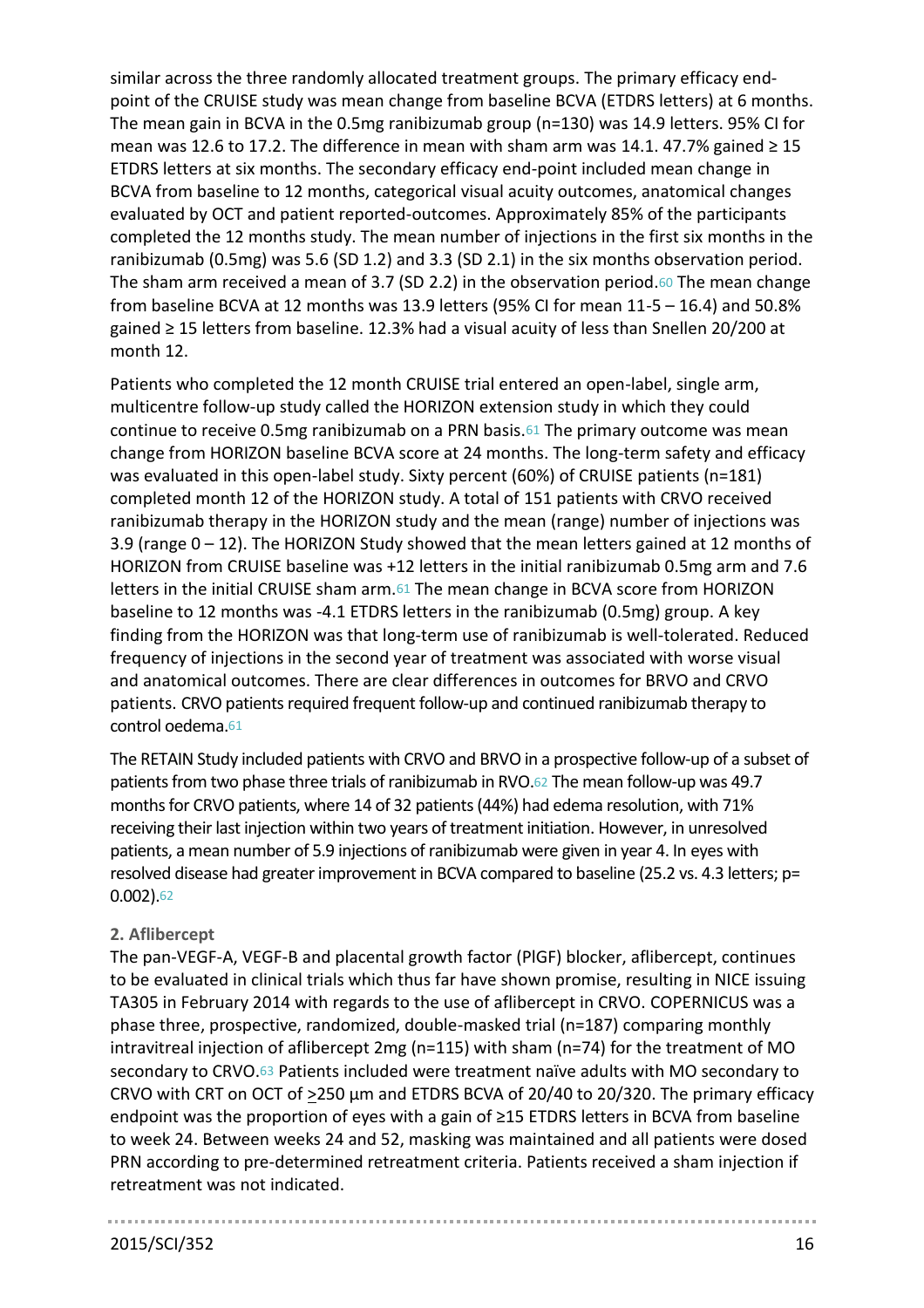similar across the three randomly allocated treatment groups. The primary efficacy endpoint of the CRUISE study was mean change from baseline BCVA (ETDRS letters) at 6 months. The mean gain in BCVA in the 0.5mg ranibizumab group (n=130) was 14.9 letters. 95% CI for mean was 12.6 to 17.2. The difference in mean with sham arm was 14.1. 47.7% gained  $\geq 15$ ETDRS letters at six months. The secondary efficacy end-point included mean change in BCVA from baseline to 12 months, categorical visual acuity outcomes, anatomical changes evaluated by OCT and patient reported-outcomes. Approximately 85% of the participants completed the 12 months study. The mean number of injections in the first six months in the ranibizumab (0.5mg) was 5.6 (SD 1.2) and 3.3 (SD 2.1) in the six months observation period. The sham arm received a mean of 3.7 (SD 2.2) in the observation period.60 The mean change from baseline BCVA at 12 months was 13.9 letters (95% CI for mean 11-5 – 16.4) and 50.8% gained ≥ 15 letters from baseline. 12.3% had a visual acuity of less than Snellen 20/200 at month 12.

Patients who completed the 12 month CRUISE trial entered an open-label, single arm, multicentre follow-up study called the HORIZON extension study in which they could continue to receive 0.5mg ranibizumab on a PRN basis.61 The primary outcome was mean change from HORIZON baseline BCVA score at 24 months. The long-term safety and efficacy was evaluated in this open-label study. Sixty percent (60%) of CRUISE patients (n=181) completed month 12 of the HORIZON study. A total of 151 patients with CRVO received ranibizumab therapy in the HORIZON study and the mean (range) number of injections was 3.9 (range 0 – 12). The HORIZON Study showed that the mean letters gained at 12 months of HORIZON from CRUISE baseline was +12 letters in the initial ranibizumab 0.5mg arm and 7.6 letters in the initial CRUISE sham arm.61 The mean change in BCVA score from HORIZON baseline to 12 months was -4.1 ETDRS letters in the ranibizumab (0.5mg) group. A key finding from the HORIZON was that long-term use of ranibizumab is well-tolerated. Reduced frequency of injections in the second year of treatment was associated with worse visual and anatomical outcomes. There are clear differences in outcomes for BRVO and CRVO patients. CRVO patients required frequent follow-up and continued ranibizumab therapy to control oedema.61

The RETAIN Study included patients with CRVO and BRVO in a prospective follow-up of a subset of patients from two phase three trials of ranibizumab in RVO.62 The mean follow-up was 49.7 months for CRVO patients, where 14 of 32 patients (44%) had edema resolution, with 71% receiving their last injection within two years of treatment initiation. However, in unresolved patients, a mean number of 5.9 injections of ranibizumab were given in year 4. In eyes with resolved disease had greater improvement in BCVA compared to baseline (25.2 vs. 4.3 letters; p= 0.002).62

## **2. Aflibercept**

The pan-VEGF-A, VEGF-B and placental growth factor (PlGF) blocker, aflibercept, continues to be evaluated in clinical trials which thus far have shown promise, resulting in NICE issuing TA305 in February 2014 with regards to the use of aflibercept in CRVO. COPERNICUS was a phase three, prospective, randomized, double-masked trial (n=187) comparing monthly intravitreal injection of aflibercept 2mg (n=115) with sham (n=74) for the treatment of MO secondary to CRVO.63 Patients included were treatment naïve adults with MO secondary to CRVO with CRT on OCT of  $\geq$ 250 µm and ETDRS BCVA of 20/40 to 20/320. The primary efficacy endpoint was the proportion of eyes with a gain of ≥15 ETDRS letters in BCVA from baseline to week 24. Between weeks 24 and 52, masking was maintained and all patients were dosed PRN according to pre-determined retreatment criteria. Patients received a sham injection if retreatment was not indicated.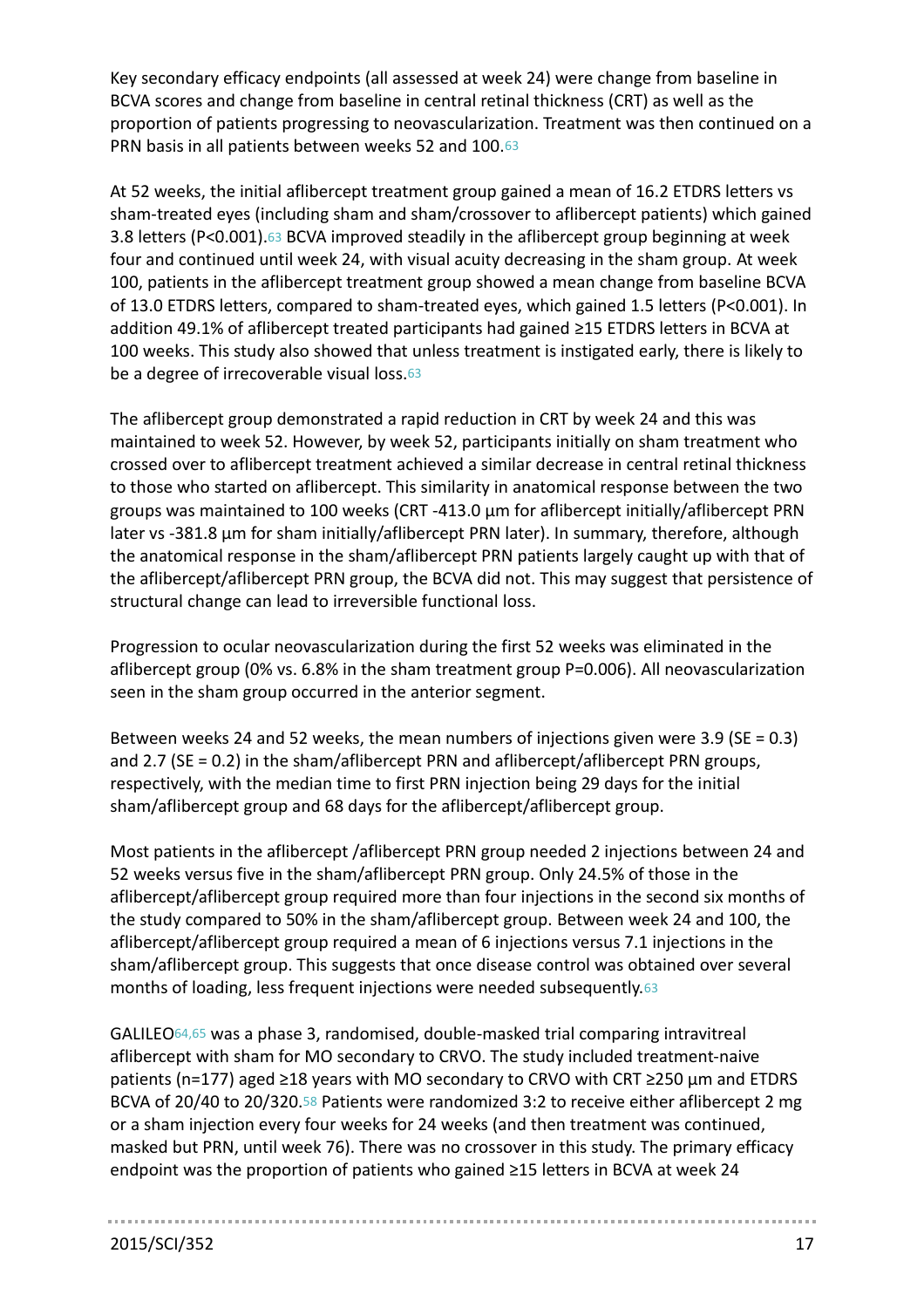Key secondary efficacy endpoints (all assessed at week 24) were change from baseline in BCVA scores and change from baseline in central retinal thickness (CRT) as well as the proportion of patients progressing to neovascularization. Treatment was then continued on a PRN basis in all patients between weeks 52 and 100.63

At 52 weeks, the initial aflibercept treatment group gained a mean of 16.2 ETDRS letters vs sham-treated eyes (including sham and sham/crossover to aflibercept patients) which gained 3.8 letters (P<0.001).63 BCVA improved steadily in the aflibercept group beginning at week four and continued until week 24, with visual acuity decreasing in the sham group. At week 100, patients in the aflibercept treatment group showed a mean change from baseline BCVA of 13.0 ETDRS letters, compared to sham-treated eyes, which gained 1.5 letters (P<0.001). In addition 49.1% of aflibercept treated participants had gained ≥15 ETDRS letters in BCVA at 100 weeks. This study also showed that unless treatment is instigated early, there is likely to be a degree of irrecoverable visual loss.63

The aflibercept group demonstrated a rapid reduction in CRT by week 24 and this was maintained to week 52. However, by week 52, participants initially on sham treatment who crossed over to aflibercept treatment achieved a similar decrease in central retinal thickness to those who started on aflibercept. This similarity in anatomical response between the two groups was maintained to 100 weeks (CRT -413.0 μm for aflibercept initially/aflibercept PRN later vs -381.8 μm for sham initially/aflibercept PRN later). In summary, therefore, although the anatomical response in the sham/aflibercept PRN patients largely caught up with that of the aflibercept/aflibercept PRN group, the BCVA did not. This may suggest that persistence of structural change can lead to irreversible functional loss.

Progression to ocular neovascularization during the first 52 weeks was eliminated in the aflibercept group (0% vs. 6.8% in the sham treatment group P=0.006). All neovascularization seen in the sham group occurred in the anterior segment.

Between weeks 24 and 52 weeks, the mean numbers of injections given were 3.9 (SE = 0.3) and 2.7 (SE = 0.2) in the sham/aflibercept PRN and aflibercept/aflibercept PRN groups, respectively, with the median time to first PRN injection being 29 days for the initial sham/aflibercept group and 68 days for the aflibercept/aflibercept group.

Most patients in the aflibercept /aflibercept PRN group needed 2 injections between 24 and 52 weeks versus five in the sham/aflibercept PRN group. Only 24.5% of those in the aflibercept/aflibercept group required more than four injections in the second six months of the study compared to 50% in the sham/aflibercept group. Between week 24 and 100, the aflibercept/aflibercept group required a mean of 6 injections versus 7.1 injections in the sham/aflibercept group. This suggests that once disease control was obtained over several months of loading, less frequent injections were needed subsequently.63

GALILEO64,65 was a phase 3, randomised, double-masked trial comparing intravitreal aflibercept with sham for MO secondary to CRVO. The study included treatment-naive patients (n=177) aged ≥18 years with MO secondary to CRVO with CRT ≥250 µm and ETDRS BCVA of 20/40 to 20/320.[58](#page-36-0) Patients were randomized 3:2 to receive either aflibercept 2 mg or a sham injection every four weeks for 24 weeks (and then treatment was continued, masked but PRN, until week 76). There was no crossover in this study. The primary efficacy endpoint was the proportion of patients who gained ≥15 letters in BCVA at week 24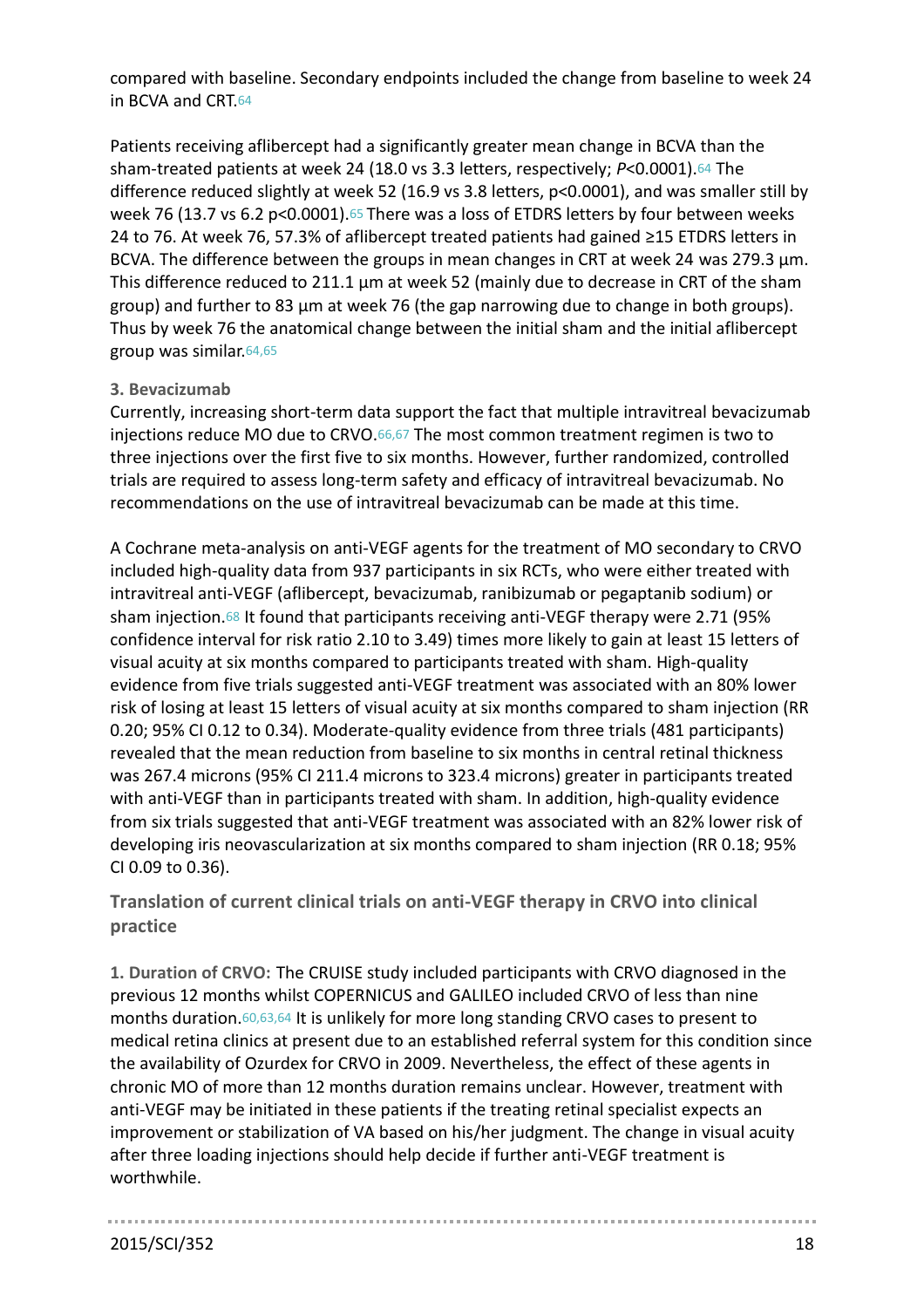compared with baseline. Secondary endpoints included the change from baseline to week 24 in BCVA and CRT.64

Patients receiving aflibercept had a significantly greater mean change in BCVA than the sham-treated patients at week 24 (18.0 vs 3.3 letters, respectively; *P*<0.0001).64 The difference reduced slightly at week 52 (16.9 vs 3.8 letters, p<0.0001), and was smaller still by week 76 (13.7 vs 6.2 p<0.0001).<sup>65</sup> There was a loss of ETDRS letters by four between weeks 24 to 76. At week 76, 57.3% of aflibercept treated patients had gained ≥15 ETDRS letters in BCVA. The difference between the groups in mean changes in CRT at week 24 was 279.3  $\mu$ m. This difference reduced to 211.1  $\mu$ m at week 52 (mainly due to decrease in CRT of the sham group) and further to 83  $\mu$ m at week 76 (the gap narrowing due to change in both groups). Thus by week 76 the anatomical change between the initial sham and the initial aflibercept group was similar.64,65

## **3. Bevacizumab**

Currently, increasing short-term data support the fact that multiple intravitreal bevacizumab injections reduce MO due to CRVO.66,67 The most common treatment regimen is two to three injections over the first five to six months. However, further randomized, controlled trials are required to assess long-term safety and efficacy of intravitreal bevacizumab. No recommendations on the use of intravitreal bevacizumab can be made at this time.

A Cochrane meta-analysis on anti-VEGF agents for the treatment of MO secondary to CRVO included high-quality data from 937 participants in six RCTs, who were either treated with intravitreal anti-VEGF (aflibercept, bevacizumab, ranibizumab or pegaptanib sodium) or sham injection.68 It found that participants receiving anti-VEGF therapy were 2.71 (95% confidence interval for risk ratio 2.10 to 3.49) times more likely to gain at least 15 letters of visual acuity at six months compared to participants treated with sham. High-quality evidence from five trials suggested anti-VEGF treatment was associated with an 80% lower risk of losing at least 15 letters of visual acuity at six months compared to sham injection (RR 0.20; 95% CI 0.12 to 0.34). Moderate-quality evidence from three trials (481 participants) revealed that the mean reduction from baseline to six months in central retinal thickness was 267.4 microns (95% CI 211.4 microns to 323.4 microns) greater in participants treated with anti-VEGF than in participants treated with sham. In addition, high-quality evidence from six trials suggested that anti-VEGF treatment was associated with an 82% lower risk of developing iris neovascularization at six months compared to sham injection (RR 0.18; 95% CI 0.09 to 0.36).

**Translation of current clinical trials on anti-VEGF therapy in CRVO into clinical practice**

**1. Duration of CRVO:** The CRUISE study included participants with CRVO diagnosed in the previous 12 months whilst COPERNICUS and GALILEO included CRVO of less than nine months duration.60,63,64 It is unlikely for more long standing CRVO cases to present to medical retina clinics at present due to an established referral system for this condition since the availability of Ozurdex for CRVO in 2009. Nevertheless, the effect of these agents in chronic MO of more than 12 months duration remains unclear. However, treatment with anti-VEGF may be initiated in these patients if the treating retinal specialist expects an improvement or stabilization of VA based on his/her judgment. The change in visual acuity after three loading injections should help decide if further anti-VEGF treatment is worthwhile.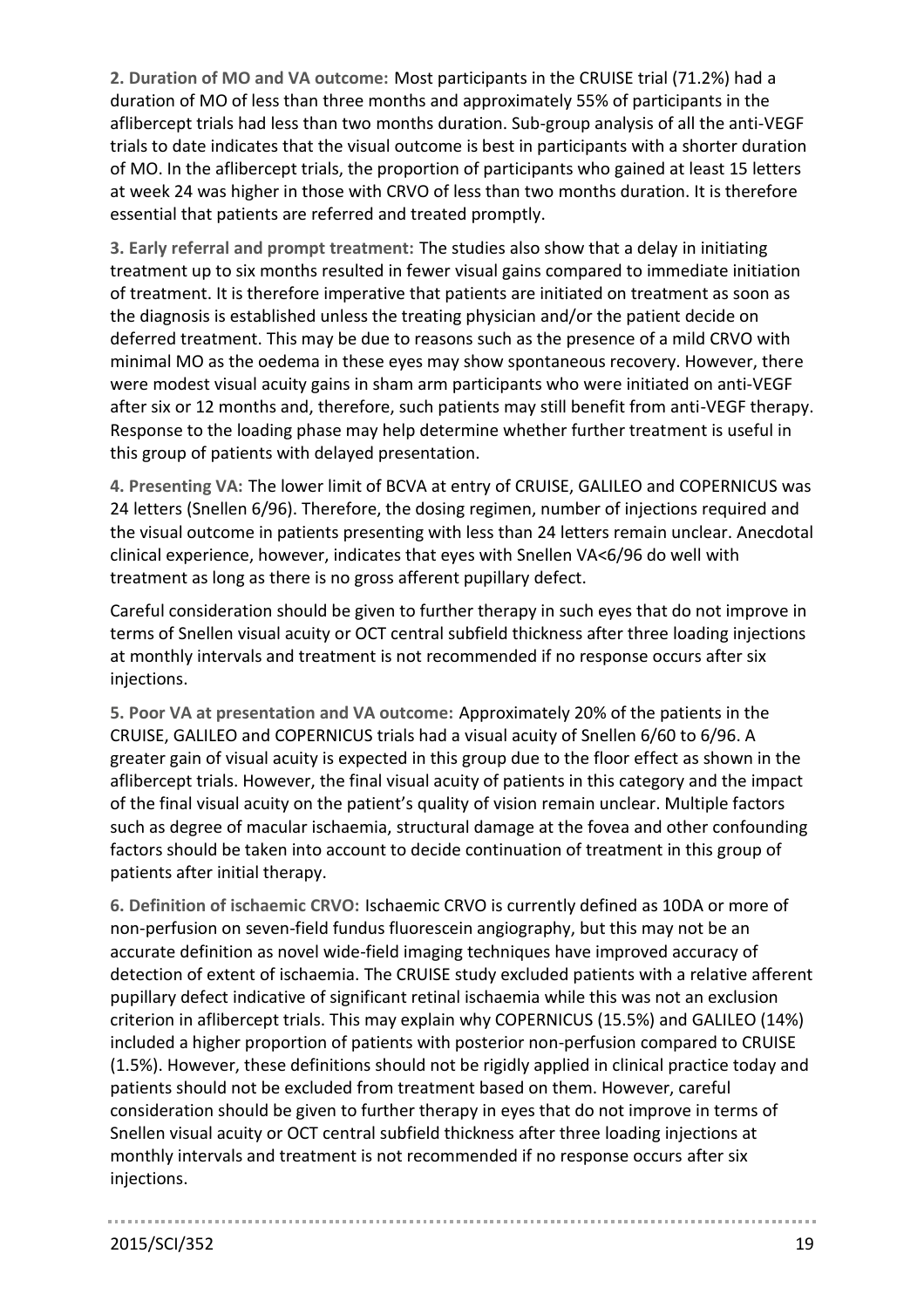**2. Duration of MO and VA outcome:** Most participants in the CRUISE trial (71.2%) had a duration of MO of less than three months and approximately 55% of participants in the aflibercept trials had less than two months duration. Sub-group analysis of all the anti-VEGF trials to date indicates that the visual outcome is best in participants with a shorter duration of MO. In the aflibercept trials, the proportion of participants who gained at least 15 letters at week 24 was higher in those with CRVO of less than two months duration. It is therefore essential that patients are referred and treated promptly.

**3. Early referral and prompt treatment:** The studies also show that a delay in initiating treatment up to six months resulted in fewer visual gains compared to immediate initiation of treatment. It is therefore imperative that patients are initiated on treatment as soon as the diagnosis is established unless the treating physician and/or the patient decide on deferred treatment. This may be due to reasons such as the presence of a mild CRVO with minimal MO as the oedema in these eyes may show spontaneous recovery. However, there were modest visual acuity gains in sham arm participants who were initiated on anti-VEGF after six or 12 months and, therefore, such patients may still benefit from anti-VEGF therapy. Response to the loading phase may help determine whether further treatment is useful in this group of patients with delayed presentation.

**4. Presenting VA:** The lower limit of BCVA at entry of CRUISE, GALILEO and COPERNICUS was 24 letters (Snellen 6/96). Therefore, the dosing regimen, number of injections required and the visual outcome in patients presenting with less than 24 letters remain unclear. Anecdotal clinical experience, however, indicates that eyes with Snellen VA<6/96 do well with treatment as long as there is no gross afferent pupillary defect.

Careful consideration should be given to further therapy in such eyes that do not improve in terms of Snellen visual acuity or OCT central subfield thickness after three loading injections at monthly intervals and treatment is not recommended if no response occurs after six injections.

**5. Poor VA at presentation and VA outcome:** Approximately 20% of the patients in the CRUISE, GALILEO and COPERNICUS trials had a visual acuity of Snellen 6/60 to 6/96. A greater gain of visual acuity is expected in this group due to the floor effect as shown in the aflibercept trials. However, the final visual acuity of patients in this category and the impact of the final visual acuity on the patient's quality of vision remain unclear. Multiple factors such as degree of macular ischaemia, structural damage at the fovea and other confounding factors should be taken into account to decide continuation of treatment in this group of patients after initial therapy.

**6. Definition of ischaemic CRVO:** Ischaemic CRVO is currently defined as 10DA or more of non-perfusion on seven-field fundus fluorescein angiography, but this may not be an accurate definition as novel wide-field imaging techniques have improved accuracy of detection of extent of ischaemia. The CRUISE study excluded patients with a relative afferent pupillary defect indicative of significant retinal ischaemia while this was not an exclusion criterion in aflibercept trials. This may explain why COPERNICUS (15.5%) and GALILEO (14%) included a higher proportion of patients with posterior non-perfusion compared to CRUISE (1.5%). However, these definitions should not be rigidly applied in clinical practice today and patients should not be excluded from treatment based on them. However, careful consideration should be given to further therapy in eyes that do not improve in terms of Snellen visual acuity or OCT central subfield thickness after three loading injections at monthly intervals and treatment is not recommended if no response occurs after six injections.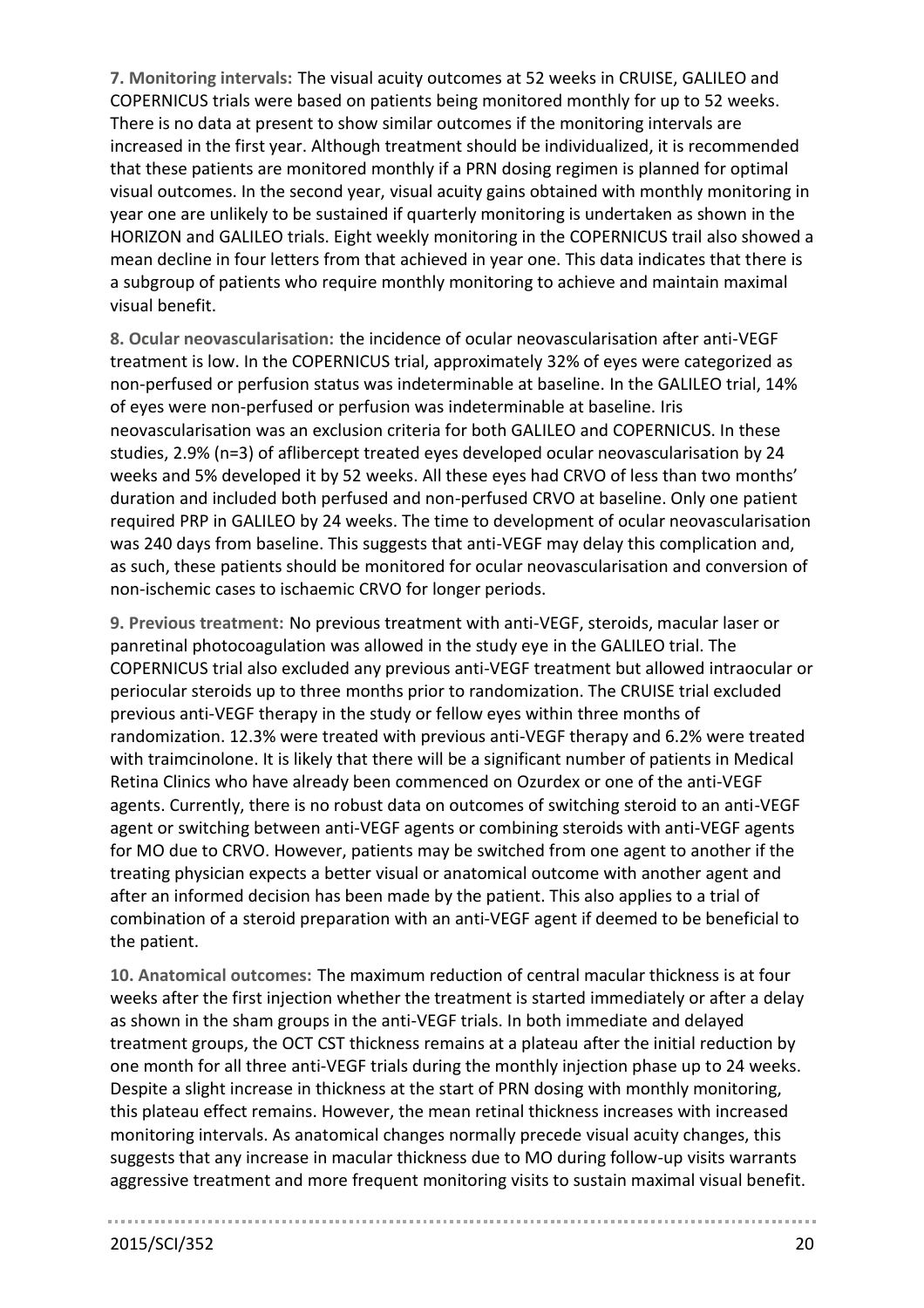**7. Monitoring intervals:** The visual acuity outcomes at 52 weeks in CRUISE, GALILEO and COPERNICUS trials were based on patients being monitored monthly for up to 52 weeks. There is no data at present to show similar outcomes if the monitoring intervals are increased in the first year. Although treatment should be individualized, it is recommended that these patients are monitored monthly if a PRN dosing regimen is planned for optimal visual outcomes. In the second year, visual acuity gains obtained with monthly monitoring in year one are unlikely to be sustained if quarterly monitoring is undertaken as shown in the HORIZON and GALILEO trials. Eight weekly monitoring in the COPERNICUS trail also showed a mean decline in four letters from that achieved in year one. This data indicates that there is a subgroup of patients who require monthly monitoring to achieve and maintain maximal visual benefit.

**8. Ocular neovascularisation:** the incidence of ocular neovascularisation after anti-VEGF treatment is low. In the COPERNICUS trial, approximately 32% of eyes were categorized as non-perfused or perfusion status was indeterminable at baseline. In the GALILEO trial, 14% of eyes were non-perfused or perfusion was indeterminable at baseline. Iris neovascularisation was an exclusion criteria for both GALILEO and COPERNICUS. In these studies, 2.9% (n=3) of aflibercept treated eyes developed ocular neovascularisation by 24 weeks and 5% developed it by 52 weeks. All these eyes had CRVO of less than two months' duration and included both perfused and non-perfused CRVO at baseline. Only one patient required PRP in GALILEO by 24 weeks. The time to development of ocular neovascularisation was 240 days from baseline. This suggests that anti-VEGF may delay this complication and, as such, these patients should be monitored for ocular neovascularisation and conversion of non-ischemic cases to ischaemic CRVO for longer periods.

**9. Previous treatment:** No previous treatment with anti-VEGF, steroids, macular laser or panretinal photocoagulation was allowed in the study eye in the GALILEO trial. The COPERNICUS trial also excluded any previous anti-VEGF treatment but allowed intraocular or periocular steroids up to three months prior to randomization. The CRUISE trial excluded previous anti-VEGF therapy in the study or fellow eyes within three months of randomization. 12.3% were treated with previous anti-VEGF therapy and 6.2% were treated with traimcinolone. It is likely that there will be a significant number of patients in Medical Retina Clinics who have already been commenced on Ozurdex or one of the anti-VEGF agents. Currently, there is no robust data on outcomes of switching steroid to an anti-VEGF agent or switching between anti-VEGF agents or combining steroids with anti-VEGF agents for MO due to CRVO. However, patients may be switched from one agent to another if the treating physician expects a better visual or anatomical outcome with another agent and after an informed decision has been made by the patient. This also applies to a trial of combination of a steroid preparation with an anti-VEGF agent if deemed to be beneficial to the patient.

**10. Anatomical outcomes:** The maximum reduction of central macular thickness is at four weeks after the first injection whether the treatment is started immediately or after a delay as shown in the sham groups in the anti-VEGF trials. In both immediate and delayed treatment groups, the OCT CST thickness remains at a plateau after the initial reduction by one month for all three anti-VEGF trials during the monthly injection phase up to 24 weeks. Despite a slight increase in thickness at the start of PRN dosing with monthly monitoring, this plateau effect remains. However, the mean retinal thickness increases with increased monitoring intervals. As anatomical changes normally precede visual acuity changes, this suggests that any increase in macular thickness due to MO during follow-up visits warrants aggressive treatment and more frequent monitoring visits to sustain maximal visual benefit.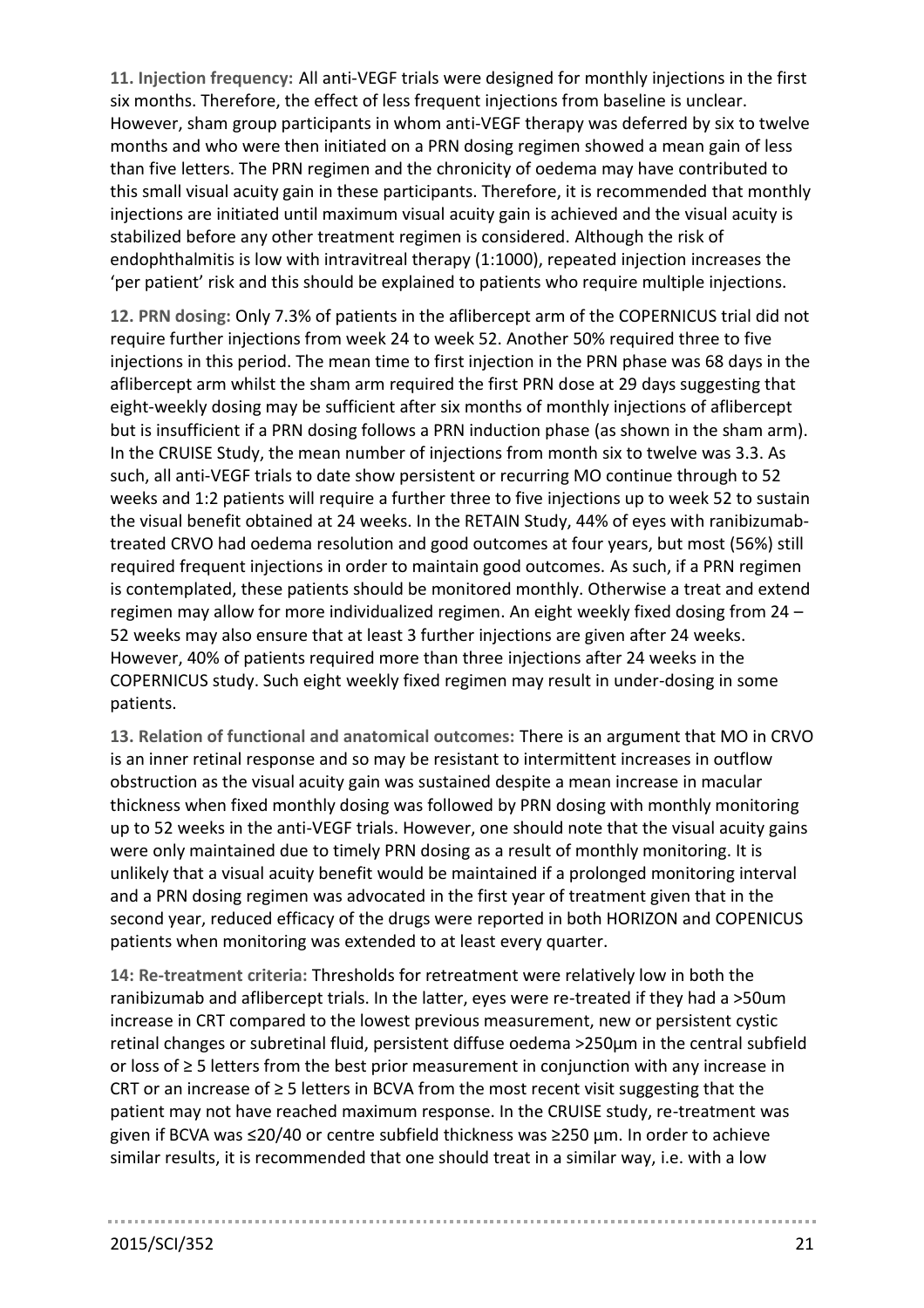**11. Injection frequency:** All anti-VEGF trials were designed for monthly injections in the first six months. Therefore, the effect of less frequent injections from baseline is unclear. However, sham group participants in whom anti-VEGF therapy was deferred by six to twelve months and who were then initiated on a PRN dosing regimen showed a mean gain of less than five letters. The PRN regimen and the chronicity of oedema may have contributed to this small visual acuity gain in these participants. Therefore, it is recommended that monthly injections are initiated until maximum visual acuity gain is achieved and the visual acuity is stabilized before any other treatment regimen is considered. Although the risk of endophthalmitis is low with intravitreal therapy (1:1000), repeated injection increases the 'per patient' risk and this should be explained to patients who require multiple injections.

**12. PRN dosing:** Only 7.3% of patients in the aflibercept arm of the COPERNICUS trial did not require further injections from week 24 to week 52. Another 50% required three to five injections in this period. The mean time to first injection in the PRN phase was 68 days in the aflibercept arm whilst the sham arm required the first PRN dose at 29 days suggesting that eight-weekly dosing may be sufficient after six months of monthly injections of aflibercept but is insufficient if a PRN dosing follows a PRN induction phase (as shown in the sham arm). In the CRUISE Study, the mean number of injections from month six to twelve was 3.3. As such, all anti-VEGF trials to date show persistent or recurring MO continue through to 52 weeks and 1:2 patients will require a further three to five injections up to week 52 to sustain the visual benefit obtained at 24 weeks. In the RETAIN Study, 44% of eyes with ranibizumabtreated CRVO had oedema resolution and good outcomes at four years, but most (56%) still required frequent injections in order to maintain good outcomes. As such, if a PRN regimen is contemplated, these patients should be monitored monthly. Otherwise a treat and extend regimen may allow for more individualized regimen. An eight weekly fixed dosing from 24 – 52 weeks may also ensure that at least 3 further injections are given after 24 weeks. However, 40% of patients required more than three injections after 24 weeks in the COPERNICUS study. Such eight weekly fixed regimen may result in under-dosing in some patients.

**13. Relation of functional and anatomical outcomes:** There is an argument that MO in CRVO is an inner retinal response and so may be resistant to intermittent increases in outflow obstruction as the visual acuity gain was sustained despite a mean increase in macular thickness when fixed monthly dosing was followed by PRN dosing with monthly monitoring up to 52 weeks in the anti-VEGF trials. However, one should note that the visual acuity gains were only maintained due to timely PRN dosing as a result of monthly monitoring. It is unlikely that a visual acuity benefit would be maintained if a prolonged monitoring interval and a PRN dosing regimen was advocated in the first year of treatment given that in the second year, reduced efficacy of the drugs were reported in both HORIZON and COPENICUS patients when monitoring was extended to at least every quarter.

**14: Re-treatment criteria:** Thresholds for retreatment were relatively low in both the ranibizumab and aflibercept trials. In the latter, eyes were re-treated if they had a >50um increase in CRT compared to the lowest previous measurement, new or persistent cystic retinal changes or subretinal fluid, persistent diffuse oedema >250µm in the central subfield or loss of ≥ 5 letters from the best prior measurement in conjunction with any increase in CRT or an increase of  $\geq$  5 letters in BCVA from the most recent visit suggesting that the patient may not have reached maximum response. In the CRUISE study, re-treatment was given if BCVA was ≤20/40 or centre subfield thickness was ≥250 µm. In order to achieve similar results, it is recommended that one should treat in a similar way, i.e. with a low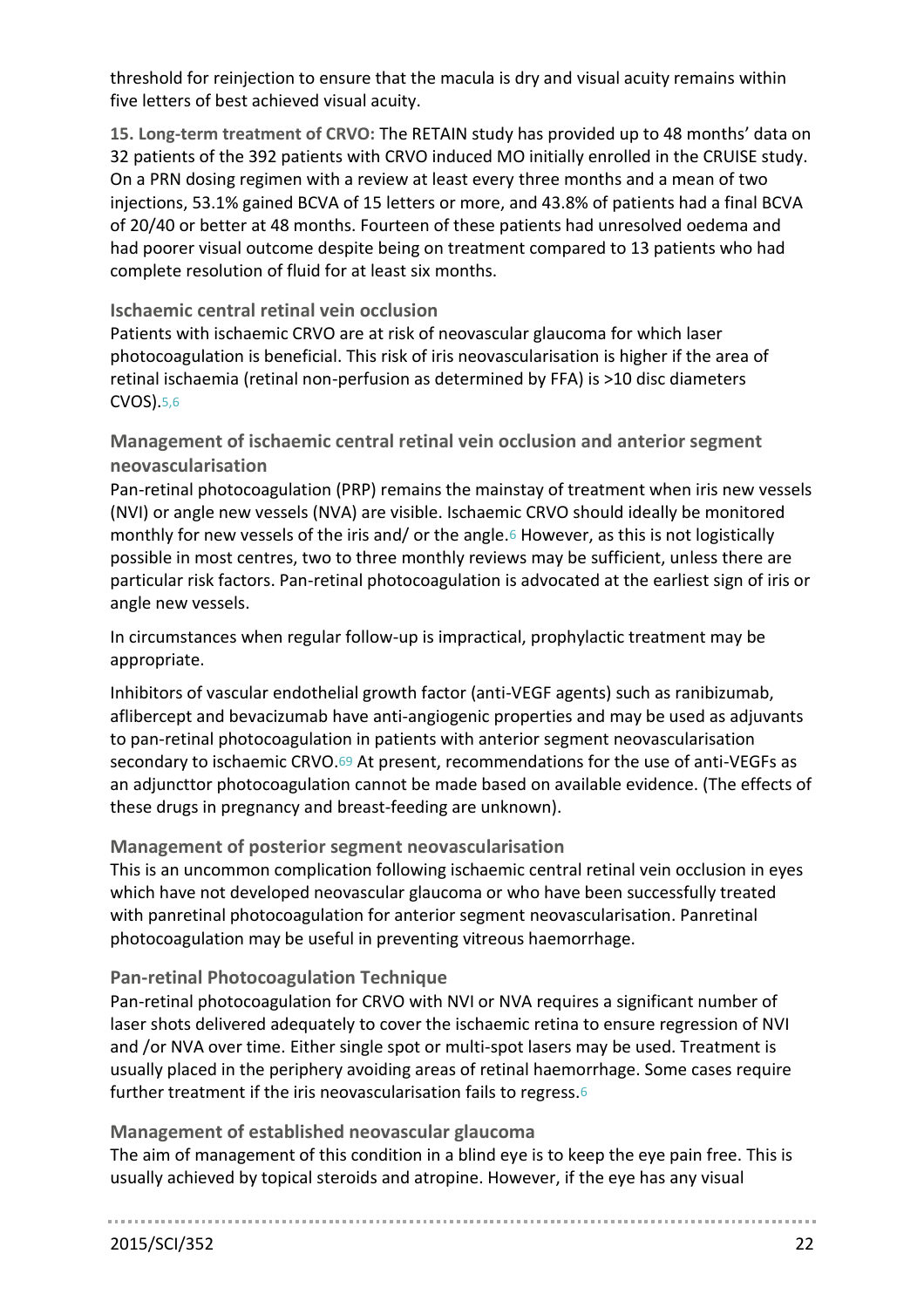threshold for reinjection to ensure that the macula is dry and visual acuity remains within five letters of best achieved visual acuity.

**15. Long-term treatment of CRVO:** The RETAIN study has provided up to 48 months' data on 32 patients of the 392 patients with CRVO induced MO initially enrolled in the CRUISE study. On a PRN dosing regimen with a review at least every three months and a mean of two injections, 53.1% gained BCVA of 15 letters or more, and 43.8% of patients had a final BCVA of 20/40 or better at 48 months. Fourteen of these patients had unresolved oedema and had poorer visual outcome despite being on treatment compared to 13 patients who had complete resolution of fluid for at least six months.

# **Ischaemic central retinal vein occlusion**

Patients with ischaemic CRVO are at risk of neovascular glaucoma for which laser photocoagulation is beneficial. This risk of iris neovascularisation is higher if the area of retinal ischaemia (retinal non-perfusion as determined by FFA) is >10 disc diameters CVOS).[5,](#page-34-4)[6](#page-34-5)

**Management of ischaemic central retinal vein occlusion and anterior segment neovascularisation**

Pan-retinal photocoagulation (PRP) remains the mainstay of treatment when iris new vessels (NVI) or angle new vessels (NVA) are visible. Ischaemic CRVO should ideally be monitored monthly for new vessels of the iris and/ or the angle.[6](#page-34-5) However, as this is not logistically possible in most centres, two to three monthly reviews may be sufficient, unless there are particular risk factors. Pan-retinal photocoagulation is advocated at the earliest sign of iris or angle new vessels.

In circumstances when regular follow-up is impractical, prophylactic treatment may be appropriate.

Inhibitors of vascular endothelial growth factor (anti-VEGF agents) such as ranibizumab, aflibercept and bevacizumab have anti-angiogenic properties and may be used as adjuvants to pan-retinal photocoagulation in patients with anterior segment neovascularisation secondary to ischaemic CRVO.69 At present, recommendations for the use of anti-VEGFs as an adjuncttor photocoagulation cannot be made based on available evidence. (The effects of these drugs in pregnancy and breast-feeding are unknown).

# **Management of posterior segment neovascularisation**

This is an uncommon complication following ischaemic central retinal vein occlusion in eyes which have not developed neovascular glaucoma or who have been successfully treated with panretinal photocoagulation for anterior segment neovascularisation. Panretinal photocoagulation may be useful in preventing vitreous haemorrhage.

# **Pan-retinal Photocoagulation Technique**

Pan-retinal photocoagulation for CRVO with NVI or NVA requires a significant number of laser shots delivered adequately to cover the ischaemic retina to ensure regression of NVI and /or NVA over time. Either single spot or multi-spot lasers may be used. Treatment is usually placed in the periphery avoiding areas of retinal haemorrhage. Some cases require further treatment if the iris neovascularisation fails to regress.[6](#page-34-5)

# **Management of established neovascular glaucoma**

The aim of management of this condition in a blind eye is to keep the eye pain free. This is usually achieved by topical steroids and atropine. However, if the eye has any visual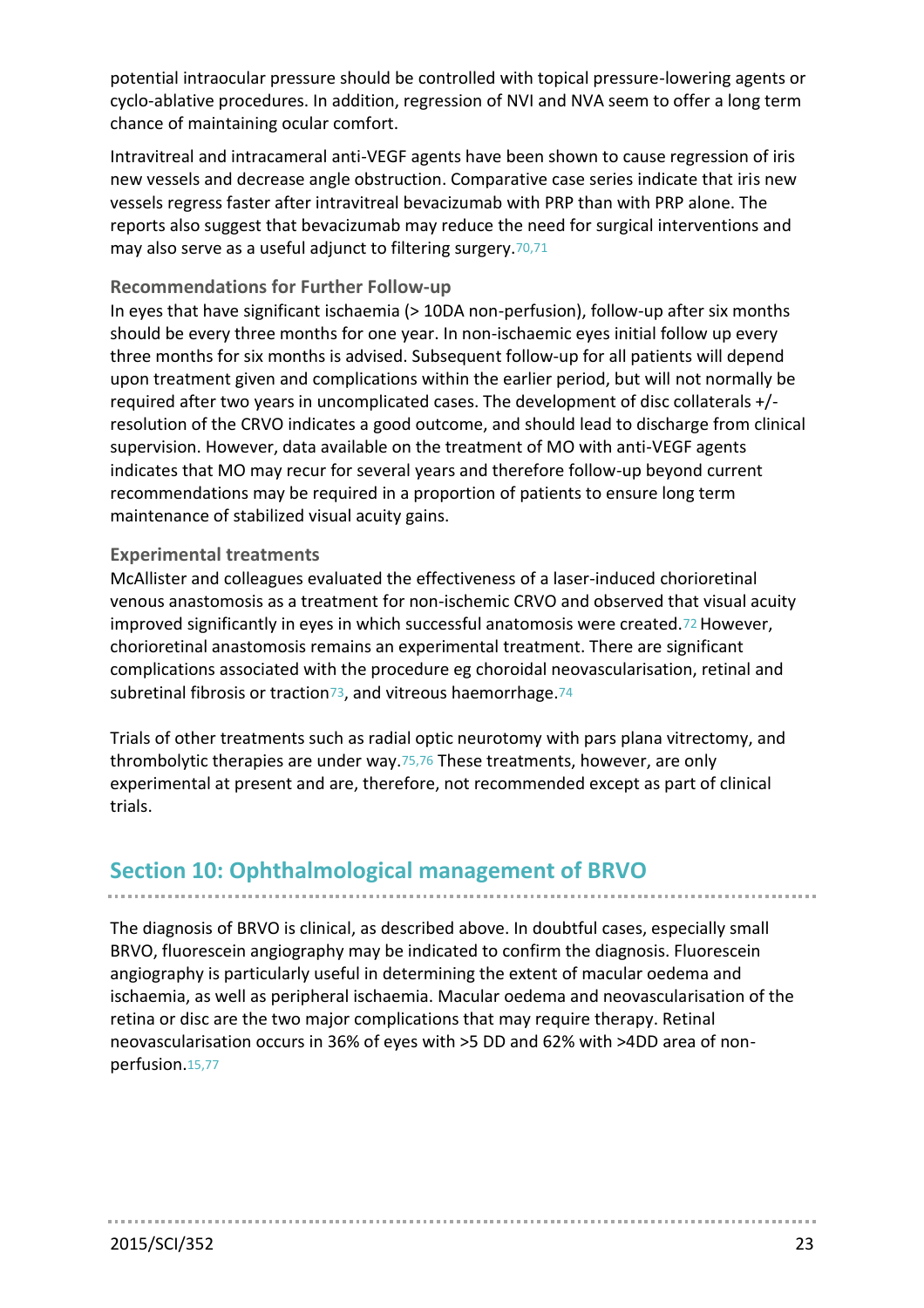potential intraocular pressure should be controlled with topical pressure-lowering agents or cyclo-ablative procedures. In addition, regression of NVI and NVA seem to offer a long term chance of maintaining ocular comfort.

Intravitreal and intracameral anti-VEGF agents have been shown to cause regression of iris new vessels and decrease angle obstruction. Comparative case series indicate that iris new vessels regress faster after intravitreal bevacizumab with PRP than with PRP alone. The reports also suggest that bevacizumab may reduce the need for surgical interventions and may also serve as a useful adjunct to filtering surgery.70,71

### **Recommendations for Further Follow-up**

In eyes that have significant ischaemia (> 10DA non-perfusion), follow-up after six months should be every three months for one year. In non-ischaemic eyes initial follow up every three months for six months is advised. Subsequent follow-up for all patients will depend upon treatment given and complications within the earlier period, but will not normally be required after two years in uncomplicated cases. The development of disc collaterals +/ resolution of the CRVO indicates a good outcome, and should lead to discharge from clinical supervision. However, data available on the treatment of MO with anti-VEGF agents indicates that MO may recur for several years and therefore follow-up beyond current recommendations may be required in a proportion of patients to ensure long term maintenance of stabilized visual acuity gains.

#### **Experimental treatments**

McAllister and colleagues evaluated the effectiveness of a laser-induced chorioretinal venous anastomosis as a treatment for non-ischemic CRVO and observed that visual acuity improved significantly in eyes in which successful anatomosis were created.72 However, chorioretinal anastomosis remains an experimental treatment. There are significant complications associated with the procedure eg choroidal neovascularisation, retinal and subretinal fibrosis or traction $73$ , and vitreous haemorrhage. $74$ 

Trials of other treatments such as radial optic neurotomy with pars plana vitrectomy, and thrombolytic therapies are under way.75,76 These treatments, however, are only experimental at present and are, therefore, not recommended except as part of clinical trials.

# **Section 10: Ophthalmological management of BRVO**

The diagnosis of BRVO is clinical, as described above. In doubtful cases, especially small BRVO, fluorescein angiography may be indicated to confirm the diagnosis. Fluorescein angiography is particularly useful in determining the extent of macular oedema and ischaemia, as well as peripheral ischaemia. Macular oedema and neovascularisation of the retina or disc are the two major complications that may require therapy. Retinal neovascularisation occurs in 36% of eyes with >5 DD and 62% with >4DD area of nonperfusion.[15,](#page-34-14)77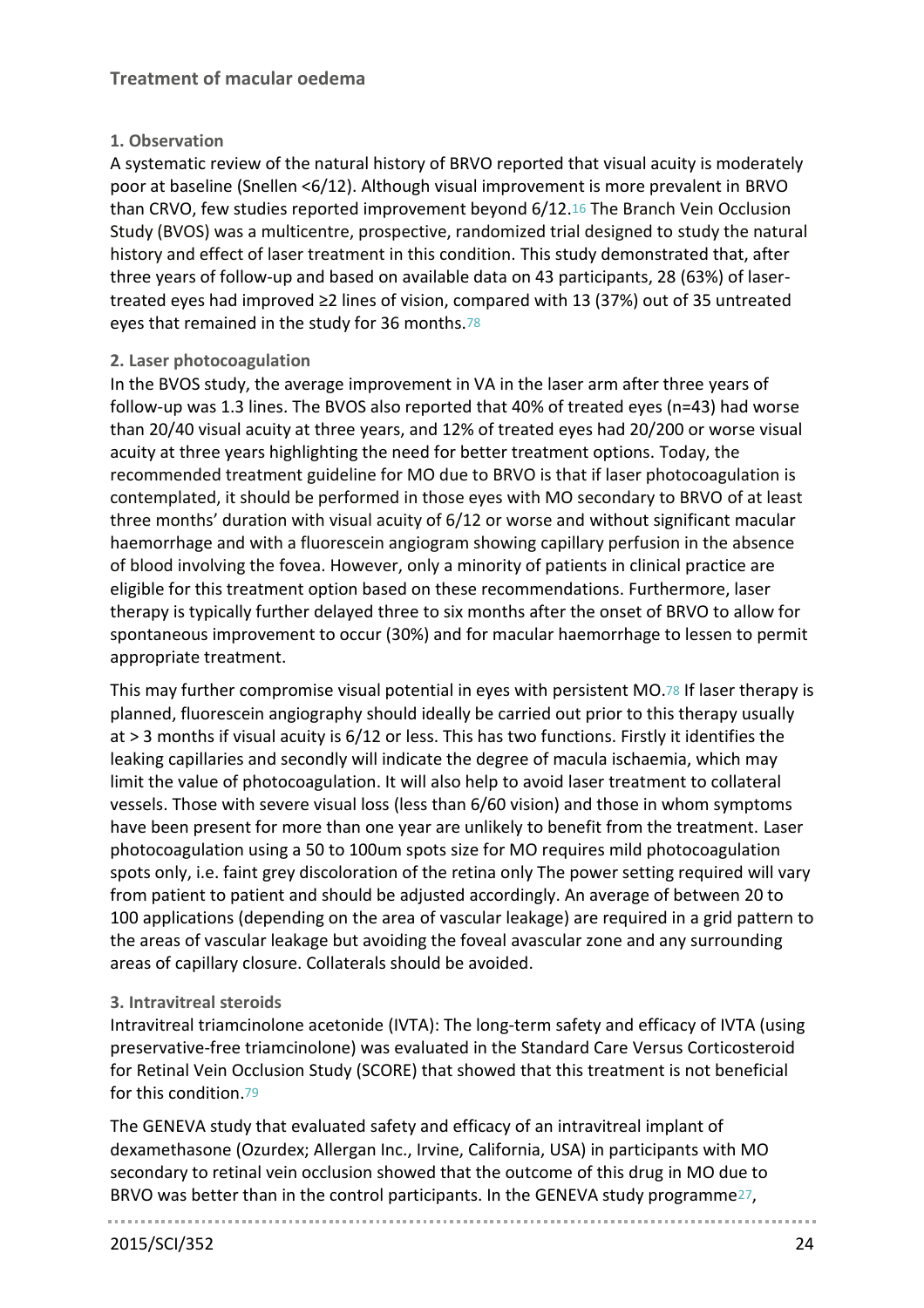# **1. Observation**

A systematic review of the natural history of BRVO reported that visual acuity is moderately poor at baseline (Snellen <6/12). Although visual improvement is more prevalent in BRVO than CRVO, few studies reported improvement beyond 6/12.[16](#page-34-15) The Branch Vein Occlusion Study (BVOS) was a multicentre, prospective, randomized trial designed to study the natural history and effect of laser treatment in this condition. This study demonstrated that, after three years of follow-up and based on available data on 43 participants, 28 (63%) of lasertreated eyes had improved ≥2 lines of vision, compared with 13 (37%) out of 35 untreated eyes that remained in the study for 36 months.78

## **2. Laser photocoagulation**

In the BVOS study, the average improvement in VA in the laser arm after three years of follow-up was 1.3 lines. The BVOS also reported that 40% of treated eyes (n=43) had worse than 20/40 visual acuity at three years, and 12% of treated eyes had 20/200 or worse visual acuity at three years highlighting the need for better treatment options. Today, the recommended treatment guideline for MO due to BRVO is that if laser photocoagulation is contemplated, it should be performed in those eyes with MO secondary to BRVO of at least three months' duration with visual acuity of 6/12 or worse and without significant macular haemorrhage and with a fluorescein angiogram showing capillary perfusion in the absence of blood involving the fovea. However, only a minority of patients in clinical practice are eligible for this treatment option based on these recommendations. Furthermore, laser therapy is typically further delayed three to six months after the onset of BRVO to allow for spontaneous improvement to occur (30%) and for macular haemorrhage to lessen to permit appropriate treatment.

This may further compromise visual potential in eyes with persistent MO.78 If laser therapy is planned, fluorescein angiography should ideally be carried out prior to this therapy usually at > 3 months if visual acuity is 6/12 or less. This has two functions. Firstly it identifies the leaking capillaries and secondly will indicate the degree of macula ischaemia, which may limit the value of photocoagulation. It will also help to avoid laser treatment to collateral vessels. Those with severe visual loss (less than 6/60 vision) and those in whom symptoms have been present for more than one year are unlikely to benefit from the treatment. Laser photocoagulation using a 50 to 100um spots size for MO requires mild photocoagulation spots only, i.e. faint grey discoloration of the retina only The power setting required will vary from patient to patient and should be adjusted accordingly. An average of between 20 to 100 applications (depending on the area of vascular leakage) are required in a grid pattern to the areas of vascular leakage but avoiding the foveal avascular zone and any surrounding areas of capillary closure. Collaterals should be avoided.

# **3. Intravitreal steroids**

Intravitreal triamcinolone acetonide (IVTA): The long-term safety and efficacy of IVTA (using preservative-free triamcinolone) was evaluated in the Standard Care Versus Corticosteroid for Retinal Vein Occlusion Study (SCORE) that showed that this treatment is not beneficial for this condition.79

The GENEVA study that evaluated safety and efficacy of an intravitreal implant of dexamethasone (Ozurdex; Allergan Inc., Irvine, California, USA) in participants with MO secondary to retinal vein occlusion showed that the outcome of this drug in MO due to BRVO was better than in the control participants. In the GENEVA study programme[27](#page-34-26),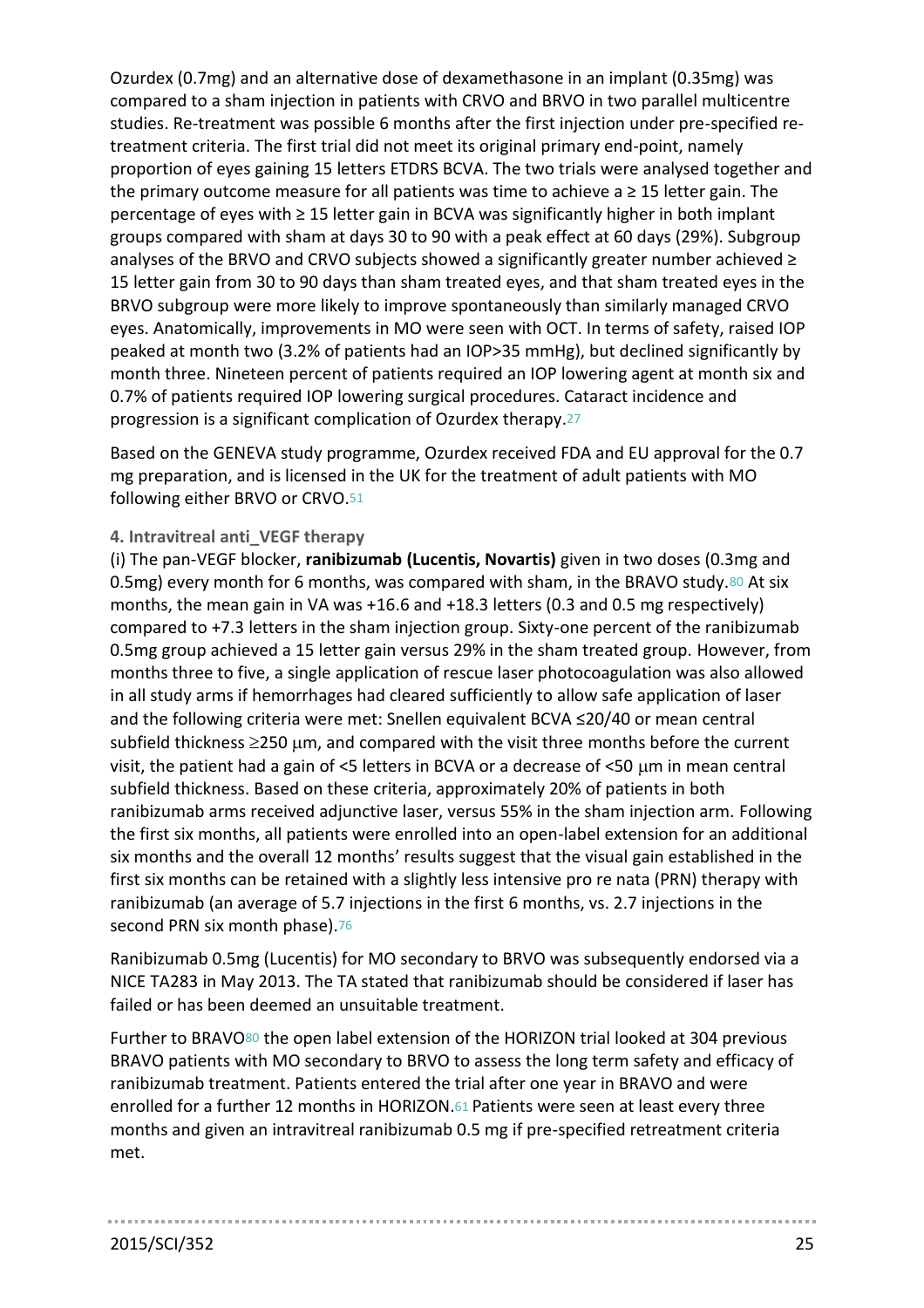Ozurdex (0.7mg) and an alternative dose of dexamethasone in an implant (0.35mg) was compared to a sham injection in patients with CRVO and BRVO in two parallel multicentre studies. Re-treatment was possible 6 months after the first injection under pre-specified retreatment criteria. The first trial did not meet its original primary end-point, namely proportion of eyes gaining 15 letters ETDRS BCVA. The two trials were analysed together and the primary outcome measure for all patients was time to achieve  $a \geq 15$  letter gain. The percentage of eyes with ≥ 15 letter gain in BCVA was significantly higher in both implant groups compared with sham at days 30 to 90 with a peak effect at 60 days (29%). Subgroup analyses of the BRVO and CRVO subjects showed a significantly greater number achieved  $\geq$ 15 letter gain from 30 to 90 days than sham treated eyes, and that sham treated eyes in the BRVO subgroup were more likely to improve spontaneously than similarly managed CRVO eyes. Anatomically, improvements in MO were seen with OCT. In terms of safety, raised IOP peaked at month two (3.2% of patients had an IOP>35 mmHg), but declined significantly by month three. Nineteen percent of patients required an IOP lowering agent at month six and 0.7% of patients required IOP lowering surgical procedures. Cataract incidence and progression is a significant complication of Ozurdex therapy.[27](#page-34-26)

Based on the GENEVA study programme, Ozurdex received FDA and EU approval for the 0.7 mg preparation, and is licensed in the UK for the treatment of adult patients with MO following either BRVO or CRVO.51

### **4. Intravitreal anti\_VEGF therapy**

(i) The pan-VEGF blocker, **ranibizumab (Lucentis, Novartis)** given in two doses (0.3mg and 0.5mg) every month for 6 months, was compared with sham, in the BRAVO study.80 At six months, the mean gain in VA was +16.6 and +18.3 letters (0.3 and 0.5 mg respectively) compared to +7.3 letters in the sham injection group. Sixty-one percent of the ranibizumab 0.5mg group achieved a 15 letter gain versus 29% in the sham treated group. However, from months three to five, a single application of rescue laser photocoagulation was also allowed in all study arms if hemorrhages had cleared sufficiently to allow safe application of laser and the following criteria were met: Snellen equivalent BCVA ≤20/40 or mean central subfield thickness  $\geq$ 250 µm, and compared with the visit three months before the current visit, the patient had a gain of <5 letters in BCVA or a decrease of <50  $\mu$ m in mean central subfield thickness. Based on these criteria, approximately 20% of patients in both ranibizumab arms received adjunctive laser, versus 55% in the sham injection arm. Following the first six months, all patients were enrolled into an open-label extension for an additional six months and the overall 12 months' results suggest that the visual gain established in the first six months can be retained with a slightly less intensive pro re nata (PRN) therapy with ranibizumab (an average of 5.7 injections in the first 6 months, vs. 2.7 injections in the second PRN six month phase).76

Ranibizumab 0.5mg (Lucentis) for MO secondary to BRVO was subsequently endorsed via a NICE TA283 in May 2013. The TA stated that ranibizumab should be considered if laser has failed or has been deemed an unsuitable treatment.

Further to BRAVO<sup>80</sup> the open label extension of the HORIZON trial looked at 304 previous BRAVO patients with MO secondary to BRVO to assess the long term safety and efficacy of ranibizumab treatment. Patients entered the trial after one year in BRAVO and were enrolled for a further 12 months in HORIZON.61 Patients were seen at least every three months and given an intravitreal ranibizumab 0.5 mg if pre-specified retreatment criteria met.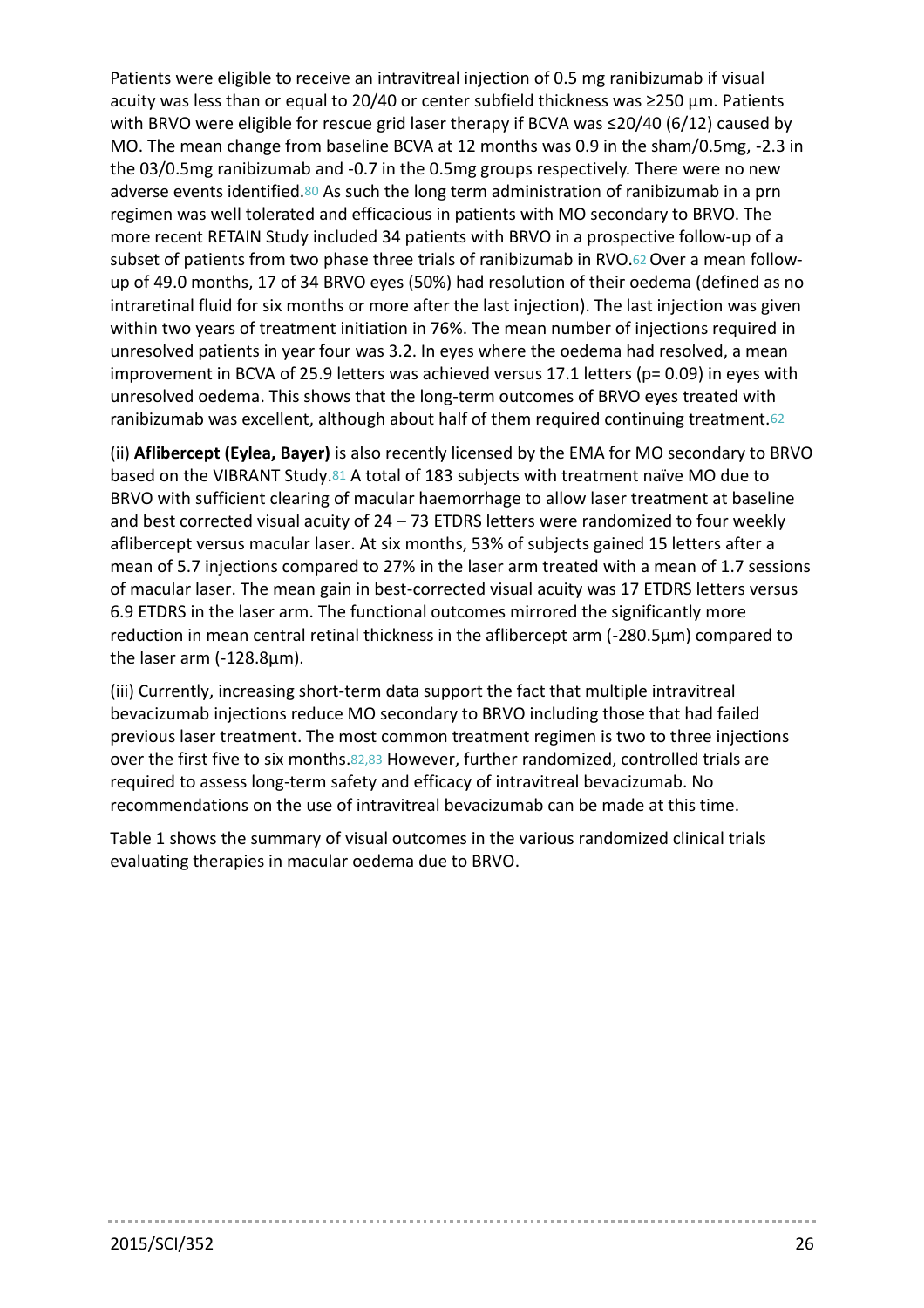Patients were eligible to receive an intravitreal injection of 0.5 mg ranibizumab if visual acuity was less than or equal to 20/40 or center subfield thickness was ≥250 µm. Patients with BRVO were eligible for rescue grid laser therapy if BCVA was ≤20/40 (6/12) caused by MO. The mean change from baseline BCVA at 12 months was 0.9 in the sham/0.5mg, -2.3 in the 03/0.5mg ranibizumab and -0.7 in the 0.5mg groups respectively. There were no new adverse events identified.80 As such the long term administration of ranibizumab in a prn regimen was well tolerated and efficacious in patients with MO secondary to BRVO. The more recent RETAIN Study included 34 patients with BRVO in a prospective follow-up of a subset of patients from two phase three trials of ranibizumab in RVO.62 Over a mean followup of 49.0 months, 17 of 34 BRVO eyes (50%) had resolution of their oedema (defined as no intraretinal fluid for six months or more after the last injection). The last injection was given within two years of treatment initiation in 76%. The mean number of injections required in unresolved patients in year four was 3.2. In eyes where the oedema had resolved, a mean improvement in BCVA of 25.9 letters was achieved versus 17.1 letters (p= 0.09) in eyes with unresolved oedema. This shows that the long-term outcomes of BRVO eyes treated with ranibizumab was excellent, although about half of them required continuing treatment.<sup>62</sup>

(ii) **Aflibercept (Eylea, Bayer)** is also recently licensed by the EMA for MO secondary to BRVO based on the VIBRANT Study.81 A total of 183 subjects with treatment naïve MO due to BRVO with sufficient clearing of macular haemorrhage to allow laser treatment at baseline and best corrected visual acuity of 24 – 73 ETDRS letters were randomized to four weekly aflibercept versus macular laser. At six months, 53% of subjects gained 15 letters after a mean of 5.7 injections compared to 27% in the laser arm treated with a mean of 1.7 sessions of macular laser. The mean gain in best-corrected visual acuity was 17 ETDRS letters versus 6.9 ETDRS in the laser arm. The functional outcomes mirrored the significantly more reduction in mean central retinal thickness in the aflibercept arm (-280.5µm) compared to the laser arm (-128.8µm).

(iii) Currently, increasing short-term data support the fact that multiple intravitreal bevacizumab injections reduce MO secondary to BRVO including those that had failed previous laser treatment. The most common treatment regimen is two to three injections over the first five to six months.82,83 However, further randomized, controlled trials are required to assess long-term safety and efficacy of intravitreal bevacizumab. No recommendations on the use of intravitreal bevacizumab can be made at this time.

Table 1 shows the summary of visual outcomes in the various randomized clinical trials evaluating therapies in macular oedema due to BRVO.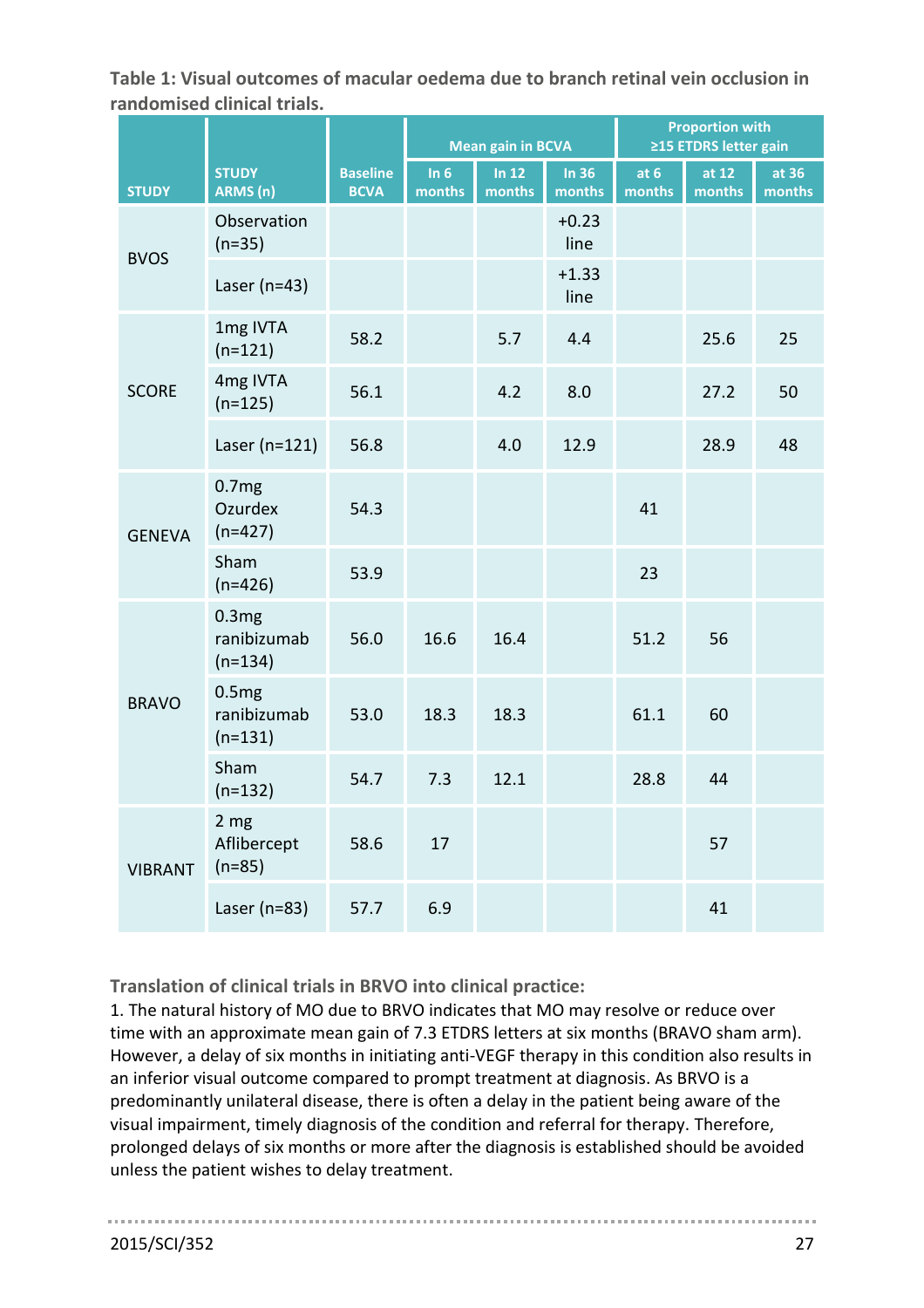**Table 1: Visual outcomes of macular oedema due to branch retinal vein occlusion in randomised clinical trials.**

|                |                                            |                                | <b>Mean gain in BCVA</b> |                   |                   | <b>Proportion with</b><br>≥15 ETDRS letter gain |                 |                 |
|----------------|--------------------------------------------|--------------------------------|--------------------------|-------------------|-------------------|-------------------------------------------------|-----------------|-----------------|
| <b>STUDY</b>   | <b>STUDY</b><br>ARMS(n)                    | <b>Baseline</b><br><b>BCVA</b> | In $6$<br>months         | In $12$<br>months | In $36$<br>months | at $6$<br>months                                | at 12<br>months | at 36<br>months |
| <b>BVOS</b>    | Observation<br>$(n=35)$                    |                                |                          |                   | $+0.23$<br>line   |                                                 |                 |                 |
|                | Laser ( $n=43$ )                           |                                |                          |                   | $+1.33$<br>line   |                                                 |                 |                 |
| <b>SCORE</b>   | 1mg IVTA<br>$(n=121)$                      | 58.2                           |                          | 5.7               | 4.4               |                                                 | 25.6            | 25              |
|                | 4mg IVTA<br>$(n=125)$                      | 56.1                           |                          | 4.2               | 8.0               |                                                 | 27.2            | 50              |
|                | Laser ( $n=121$ )                          | 56.8                           |                          | 4.0               | 12.9              |                                                 | 28.9            | 48              |
| <b>GENEVA</b>  | 0.7mg<br>Ozurdex<br>$(n=427)$              | 54.3                           |                          |                   |                   | 41                                              |                 |                 |
|                | Sham<br>$(n=426)$                          | 53.9                           |                          |                   |                   | 23                                              |                 |                 |
| <b>BRAVO</b>   | 0.3mg<br>ranibizumab<br>$(n=134)$          | 56.0                           | 16.6                     | 16.4              |                   | 51.2                                            | 56              |                 |
|                | 0.5mg<br>ranibizumab<br>$(n=131)$          | 53.0                           | 18.3                     | 18.3              |                   | 61.1                                            | 60              |                 |
|                | Sham<br>$(n=132)$                          | 54.7                           | 7.3                      | 12.1              |                   | 28.8                                            | 44              |                 |
| <b>VIBRANT</b> | 2 <sub>mg</sub><br>Aflibercept<br>$(n=85)$ | 58.6                           | 17                       |                   |                   |                                                 | 57              |                 |
|                | Laser ( $n=83$ )                           | 57.7                           | 6.9                      |                   |                   |                                                 | 41              |                 |

**Translation of clinical trials in BRVO into clinical practice:**

1. The natural history of MO due to BRVO indicates that MO may resolve or reduce over time with an approximate mean gain of 7.3 ETDRS letters at six months (BRAVO sham arm). However, a delay of six months in initiating anti-VEGF therapy in this condition also results in an inferior visual outcome compared to prompt treatment at diagnosis. As BRVO is a predominantly unilateral disease, there is often a delay in the patient being aware of the visual impairment, timely diagnosis of the condition and referral for therapy. Therefore, prolonged delays of six months or more after the diagnosis is established should be avoided unless the patient wishes to delay treatment.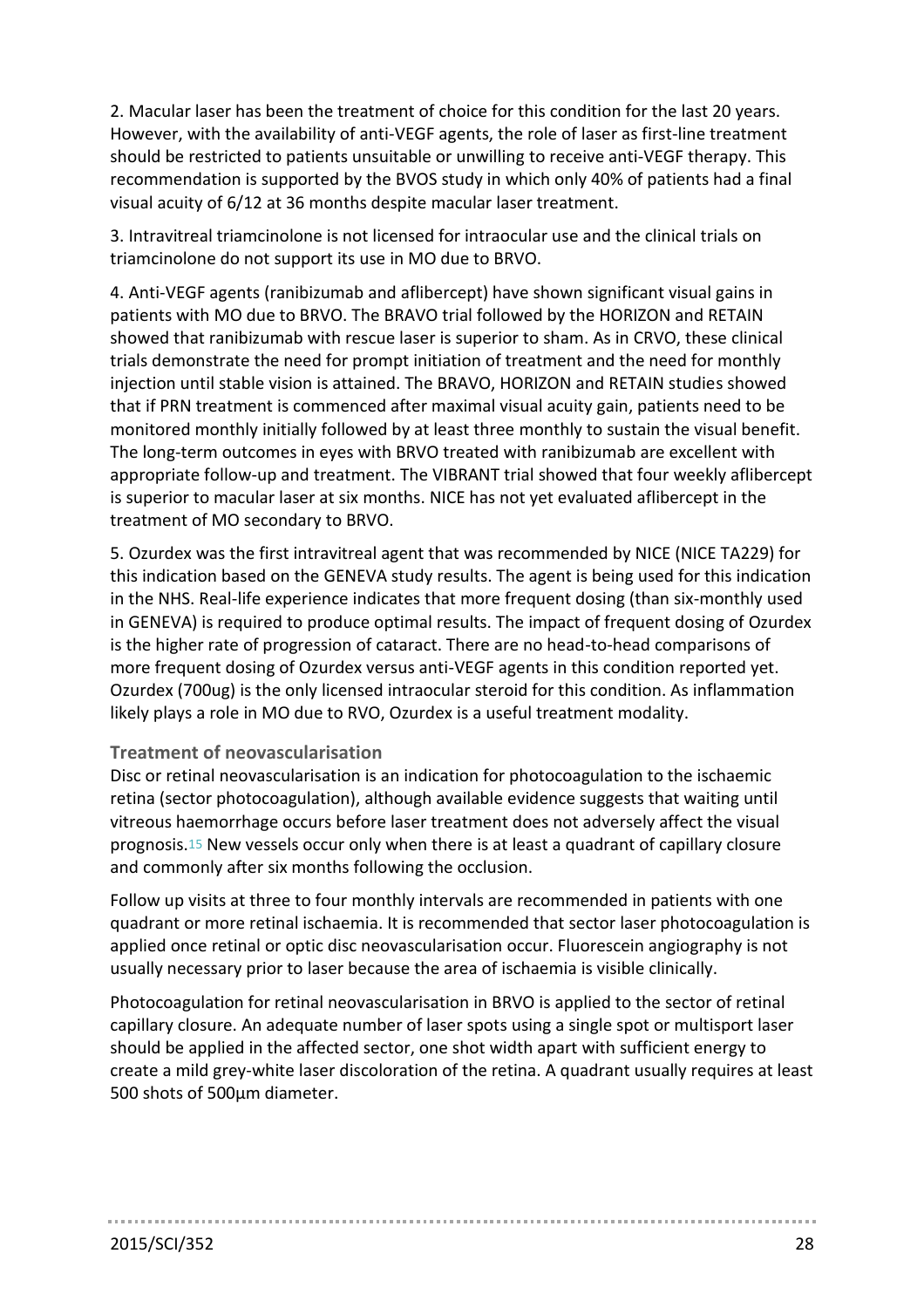2. Macular laser has been the treatment of choice for this condition for the last 20 years. However, with the availability of anti-VEGF agents, the role of laser as first-line treatment should be restricted to patients unsuitable or unwilling to receive anti-VEGF therapy. This recommendation is supported by the BVOS study in which only 40% of patients had a final visual acuity of 6/12 at 36 months despite macular laser treatment.

3. Intravitreal triamcinolone is not licensed for intraocular use and the clinical trials on triamcinolone do not support its use in MO due to BRVO.

4. Anti-VEGF agents (ranibizumab and aflibercept) have shown significant visual gains in patients with MO due to BRVO. The BRAVO trial followed by the HORIZON and RETAIN showed that ranibizumab with rescue laser is superior to sham. As in CRVO, these clinical trials demonstrate the need for prompt initiation of treatment and the need for monthly injection until stable vision is attained. The BRAVO, HORIZON and RETAIN studies showed that if PRN treatment is commenced after maximal visual acuity gain, patients need to be monitored monthly initially followed by at least three monthly to sustain the visual benefit. The long-term outcomes in eyes with BRVO treated with ranibizumab are excellent with appropriate follow-up and treatment. The VIBRANT trial showed that four weekly aflibercept is superior to macular laser at six months. NICE has not yet evaluated aflibercept in the treatment of MO secondary to BRVO.

5. Ozurdex was the first intravitreal agent that was recommended by NICE (NICE TA229) for this indication based on the GENEVA study results. The agent is being used for this indication in the NHS. Real-life experience indicates that more frequent dosing (than six-monthly used in GENEVA) is required to produce optimal results. The impact of frequent dosing of Ozurdex is the higher rate of progression of cataract. There are no head-to-head comparisons of more frequent dosing of Ozurdex versus anti-VEGF agents in this condition reported yet. Ozurdex (700ug) is the only licensed intraocular steroid for this condition. As inflammation likely plays a role in MO due to RVO, Ozurdex is a useful treatment modality.

## **Treatment of neovascularisation**

Disc or retinal neovascularisation is an indication for photocoagulation to the ischaemic retina (sector photocoagulation), although available evidence suggests that waiting until vitreous haemorrhage occurs before laser treatment does not adversely affect the visual prognosis.[15](#page-34-14) New vessels occur only when there is at least a quadrant of capillary closure and commonly after six months following the occlusion.

Follow up visits at three to four monthly intervals are recommended in patients with one quadrant or more retinal ischaemia. It is recommended that sector laser photocoagulation is applied once retinal or optic disc neovascularisation occur. Fluorescein angiography is not usually necessary prior to laser because the area of ischaemia is visible clinically.

Photocoagulation for retinal neovascularisation in BRVO is applied to the sector of retinal capillary closure. An adequate number of laser spots using a single spot or multisport laser should be applied in the affected sector, one shot width apart with sufficient energy to create a mild grey-white laser discoloration of the retina. A quadrant usually requires at least 500 shots of 500µm diameter.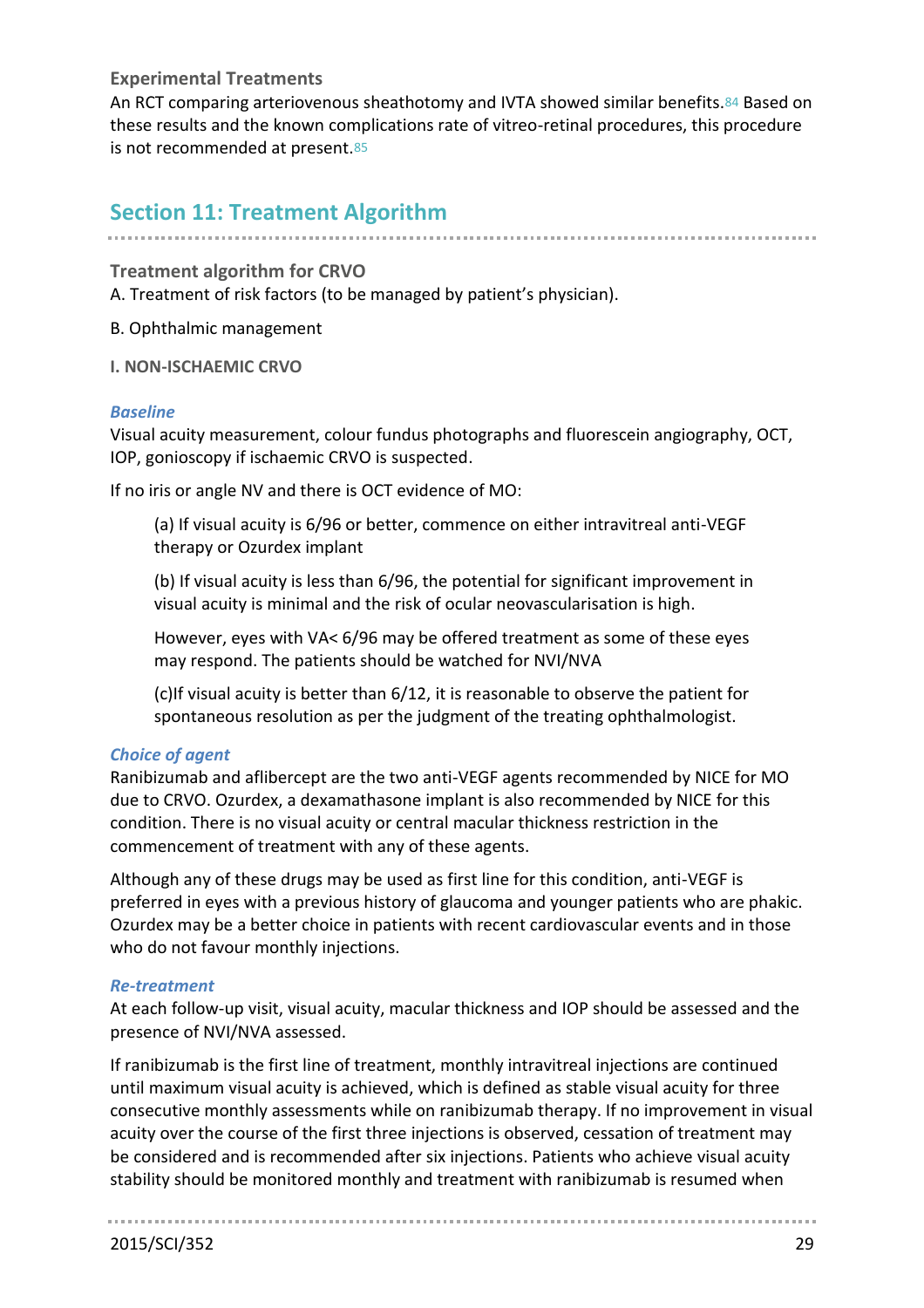#### **Experimental Treatments**

An RCT comparing arteriovenous sheathotomy and IVTA showed similar benefits.84 Based on these results and the known complications rate of vitreo-retinal procedures, this procedure is not recommended at present.85

# **Section 11: Treatment Algorithm**

### **Treatment algorithm for CRVO**

A. Treatment of risk factors (to be managed by patient's physician).

B. Ophthalmic management

#### **I. NON-ISCHAEMIC CRVO**

#### *Baseline*

Visual acuity measurement, colour fundus photographs and fluorescein angiography, OCT, IOP, gonioscopy if ischaemic CRVO is suspected.

If no iris or angle NV and there is OCT evidence of MO:

(a) If visual acuity is 6/96 or better, commence on either intravitreal anti-VEGF therapy or Ozurdex implant

(b) If visual acuity is less than 6/96, the potential for significant improvement in visual acuity is minimal and the risk of ocular neovascularisation is high.

However, eyes with VA< 6/96 may be offered treatment as some of these eyes may respond. The patients should be watched for NVI/NVA

(c)If visual acuity is better than 6/12, it is reasonable to observe the patient for spontaneous resolution as per the judgment of the treating ophthalmologist.

#### *Choice of agent*

Ranibizumab and aflibercept are the two anti-VEGF agents recommended by NICE for MO due to CRVO. Ozurdex, a dexamathasone implant is also recommended by NICE for this condition. There is no visual acuity or central macular thickness restriction in the commencement of treatment with any of these agents.

Although any of these drugs may be used as first line for this condition, anti-VEGF is preferred in eyes with a previous history of glaucoma and younger patients who are phakic. Ozurdex may be a better choice in patients with recent cardiovascular events and in those who do not favour monthly injections.

#### *Re-treatment*

At each follow-up visit, visual acuity, macular thickness and IOP should be assessed and the presence of NVI/NVA assessed.

If ranibizumab is the first line of treatment, monthly intravitreal injections are continued until maximum visual acuity is achieved, which is defined as stable visual acuity for three consecutive monthly assessments while on ranibizumab therapy. If no improvement in visual acuity over the course of the first three injections is observed, cessation of treatment may be considered and is recommended after six injections. Patients who achieve visual acuity stability should be monitored monthly and treatment with ranibizumab is resumed when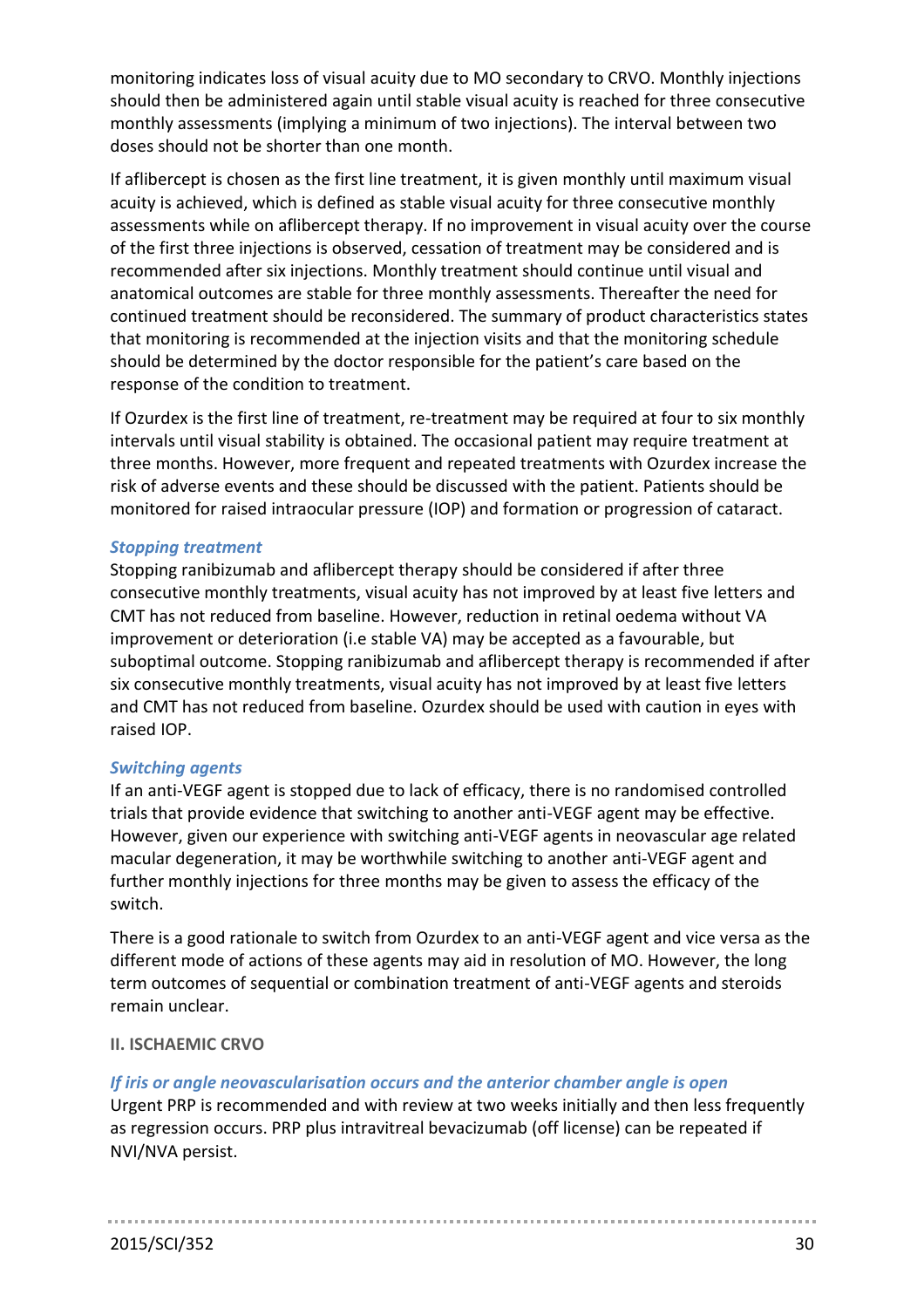monitoring indicates loss of visual acuity due to MO secondary to CRVO. Monthly injections should then be administered again until stable visual acuity is reached for three consecutive monthly assessments (implying a minimum of two injections). The interval between two doses should not be shorter than one month.

If aflibercept is chosen as the first line treatment, it is given monthly until maximum visual acuity is achieved, which is defined as stable visual acuity for three consecutive monthly assessments while on aflibercept therapy. If no improvement in visual acuity over the course of the first three injections is observed, cessation of treatment may be considered and is recommended after six injections. Monthly treatment should continue until visual and anatomical outcomes are stable for three monthly assessments. Thereafter the need for continued treatment should be reconsidered. The summary of product characteristics states that monitoring is recommended at the injection visits and that the monitoring schedule should be determined by the doctor responsible for the patient's care based on the response of the condition to treatment.

If Ozurdex is the first line of treatment, re-treatment may be required at four to six monthly intervals until visual stability is obtained. The occasional patient may require treatment at three months. However, more frequent and repeated treatments with Ozurdex increase the risk of adverse events and these should be discussed with the patient. Patients should be monitored for raised intraocular pressure (IOP) and formation or progression of cataract.

### *Stopping treatment*

Stopping ranibizumab and aflibercept therapy should be considered if after three consecutive monthly treatments, visual acuity has not improved by at least five letters and CMT has not reduced from baseline. However, reduction in retinal oedema without VA improvement or deterioration (i.e stable VA) may be accepted as a favourable, but suboptimal outcome. Stopping ranibizumab and aflibercept therapy is recommended if after six consecutive monthly treatments, visual acuity has not improved by at least five letters and CMT has not reduced from baseline. Ozurdex should be used with caution in eyes with raised IOP.

## *Switching agents*

If an anti-VEGF agent is stopped due to lack of efficacy, there is no randomised controlled trials that provide evidence that switching to another anti-VEGF agent may be effective. However, given our experience with switching anti-VEGF agents in neovascular age related macular degeneration, it may be worthwhile switching to another anti-VEGF agent and further monthly injections for three months may be given to assess the efficacy of the switch.

There is a good rationale to switch from Ozurdex to an anti-VEGF agent and vice versa as the different mode of actions of these agents may aid in resolution of MO. However, the long term outcomes of sequential or combination treatment of anti-VEGF agents and steroids remain unclear.

## **II. ISCHAEMIC CRVO**

#### *If iris or angle neovascularisation occurs and the anterior chamber angle is open*

Urgent PRP is recommended and with review at two weeks initially and then less frequently as regression occurs. PRP plus intravitreal bevacizumab (off license) can be repeated if NVI/NVA persist.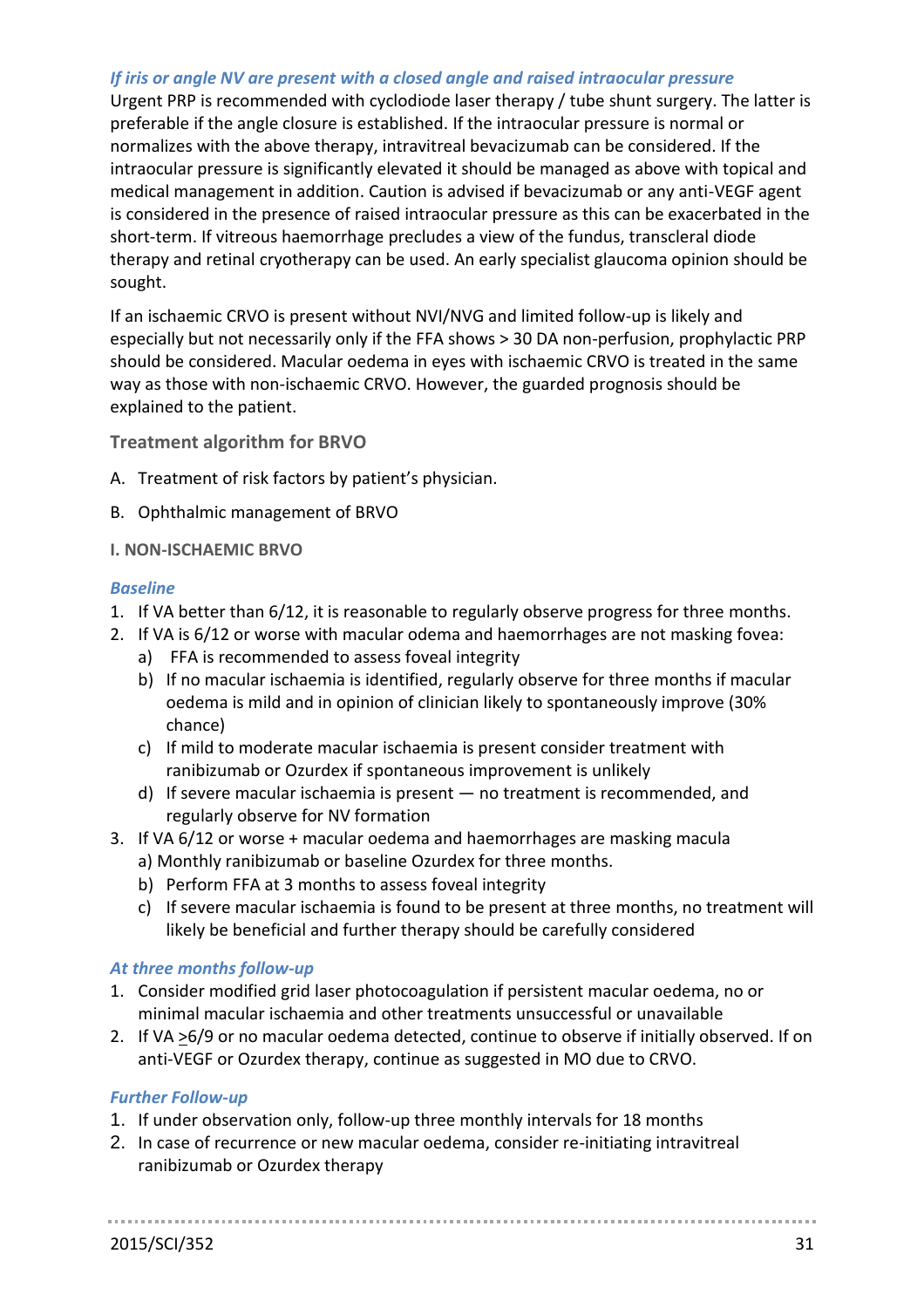## *If iris or angle NV are present with a closed angle and raised intraocular pressure*

Urgent PRP is recommended with cyclodiode laser therapy / tube shunt surgery. The latter is preferable if the angle closure is established. If the intraocular pressure is normal or normalizes with the above therapy, intravitreal bevacizumab can be considered. If the intraocular pressure is significantly elevated it should be managed as above with topical and medical management in addition. Caution is advised if bevacizumab or any anti-VEGF agent is considered in the presence of raised intraocular pressure as this can be exacerbated in the short-term. If vitreous haemorrhage precludes a view of the fundus, transcleral diode therapy and retinal cryotherapy can be used. An early specialist glaucoma opinion should be sought.

If an ischaemic CRVO is present without NVI/NVG and limited follow-up is likely and especially but not necessarily only if the FFA shows > 30 DA non-perfusion, prophylactic PRP should be considered. Macular oedema in eyes with ischaemic CRVO is treated in the same way as those with non-ischaemic CRVO. However, the guarded prognosis should be explained to the patient.

**Treatment algorithm for BRVO**

- A. Treatment of risk factors by patient's physician.
- B. Ophthalmic management of BRVO

#### **I. NON-ISCHAEMIC BRVO**

#### *Baseline*

- 1. If VA better than 6/12, it is reasonable to regularly observe progress for three months.
- 2. If VA is 6/12 or worse with macular odema and haemorrhages are not masking fovea:
	- a) FFA is recommended to assess foveal integrity
	- b) If no macular ischaemia is identified, regularly observe for three months if macular oedema is mild and in opinion of clinician likely to spontaneously improve (30% chance)
	- c) If mild to moderate macular ischaemia is present consider treatment with ranibizumab or Ozurdex if spontaneous improvement is unlikely
	- d) If severe macular ischaemia is present no treatment is recommended, and regularly observe for NV formation
- 3. If VA 6/12 or worse + macular oedema and haemorrhages are masking macula
	- a) Monthly ranibizumab or baseline Ozurdex for three months.
	- b) Perform FFA at 3 months to assess foveal integrity
	- c) If severe macular ischaemia is found to be present at three months, no treatment will likely be beneficial and further therapy should be carefully considered

#### *At three months follow-up*

- 1. Consider modified grid laser photocoagulation if persistent macular oedema, no or minimal macular ischaemia and other treatments unsuccessful or unavailable
- 2. If VA  $\geq$ 6/9 or no macular oedema detected, continue to observe if initially observed. If on anti-VEGF or Ozurdex therapy, continue as suggested in MO due to CRVO.

#### *Further Follow-up*

- 1. If under observation only, follow-up three monthly intervals for 18 months
- 2. In case of recurrence or new macular oedema, consider re-initiating intravitreal ranibizumab or Ozurdex therapy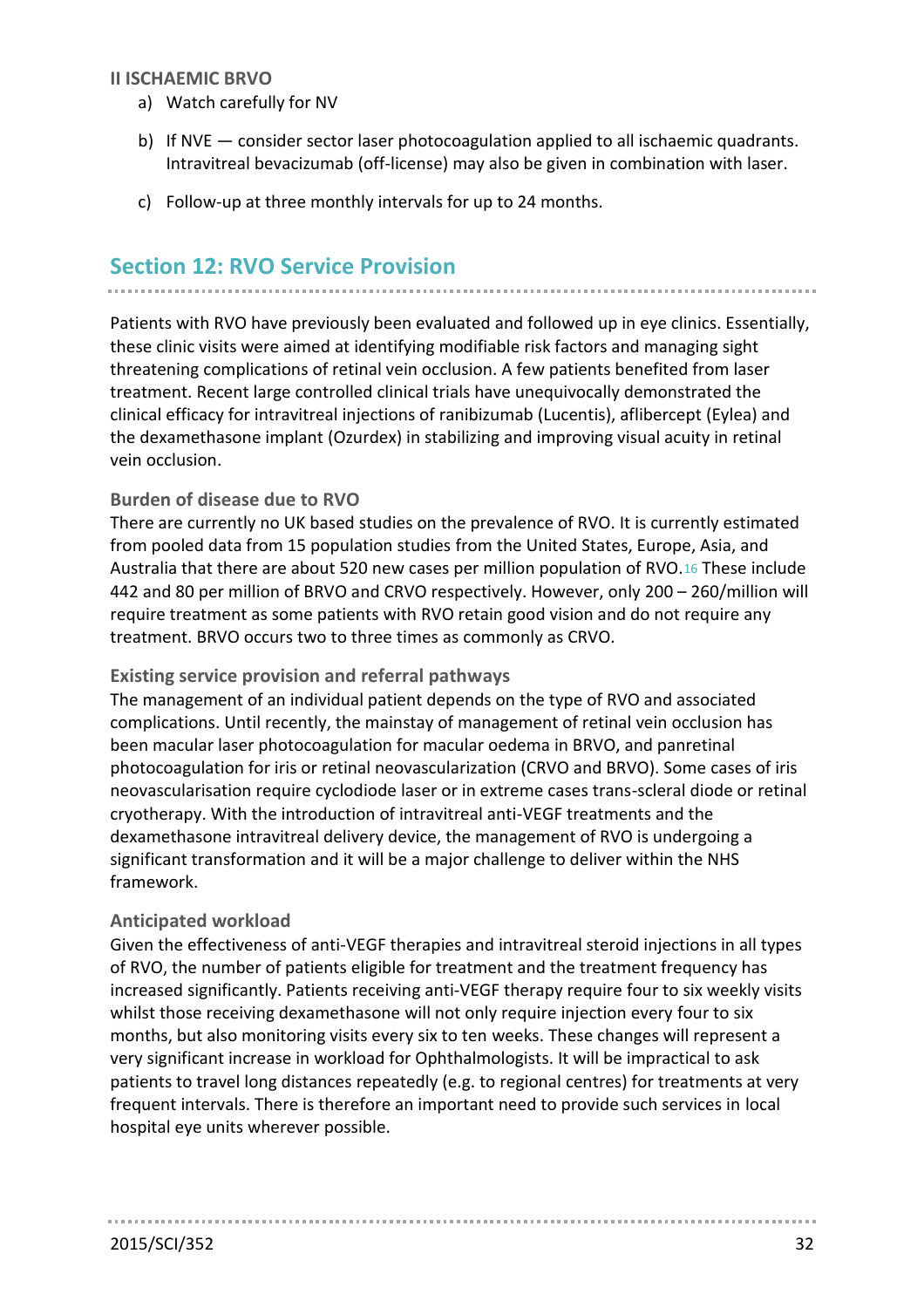## **II ISCHAEMIC BRVO**

- a) Watch carefully for NV
- b) If NVE consider sector laser photocoagulation applied to all ischaemic quadrants. Intravitreal bevacizumab (off-license) may also be given in combination with laser.
- c) Follow-up at three monthly intervals for up to 24 months.

# **Section 12: RVO Service Provision**

Patients with RVO have previously been evaluated and followed up in eye clinics. Essentially, these clinic visits were aimed at identifying modifiable risk factors and managing sight threatening complications of retinal vein occlusion. A few patients benefited from laser treatment. Recent large controlled clinical trials have unequivocally demonstrated the clinical efficacy for intravitreal injections of ranibizumab (Lucentis), aflibercept (Eylea) and the dexamethasone implant (Ozurdex) in stabilizing and improving visual acuity in retinal vein occlusion.

## **Burden of disease due to RVO**

There are currently no UK based studies on the prevalence of RVO. It is currently estimated from pooled data from 15 population studies from the United States, Europe, Asia, and Australia that there are about 520 new cases per million population of RVO.[16](#page-34-15) These include 442 and 80 per million of BRVO and CRVO respectively. However, only 200 – 260/million will require treatment as some patients with RVO retain good vision and do not require any treatment. BRVO occurs two to three times as commonly as CRVO.

#### **Existing service provision and referral pathways**

The management of an individual patient depends on the type of RVO and associated complications. Until recently, the mainstay of management of retinal vein occlusion has been macular laser photocoagulation for macular oedema in BRVO, and panretinal photocoagulation for iris or retinal neovascularization (CRVO and BRVO). Some cases of iris neovascularisation require cyclodiode laser or in extreme cases trans-scleral diode or retinal cryotherapy. With the introduction of intravitreal anti-VEGF treatments and the dexamethasone intravitreal delivery device, the management of RVO is undergoing a significant transformation and it will be a major challenge to deliver within the NHS framework.

#### **Anticipated workload**

Given the effectiveness of anti-VEGF therapies and intravitreal steroid injections in all types of RVO, the number of patients eligible for treatment and the treatment frequency has increased significantly. Patients receiving anti-VEGF therapy require four to six weekly visits whilst those receiving dexamethasone will not only require injection every four to six months, but also monitoring visits every six to ten weeks. These changes will represent a very significant increase in workload for Ophthalmologists. It will be impractical to ask patients to travel long distances repeatedly (e.g. to regional centres) for treatments at very frequent intervals. There is therefore an important need to provide such services in local hospital eye units wherever possible.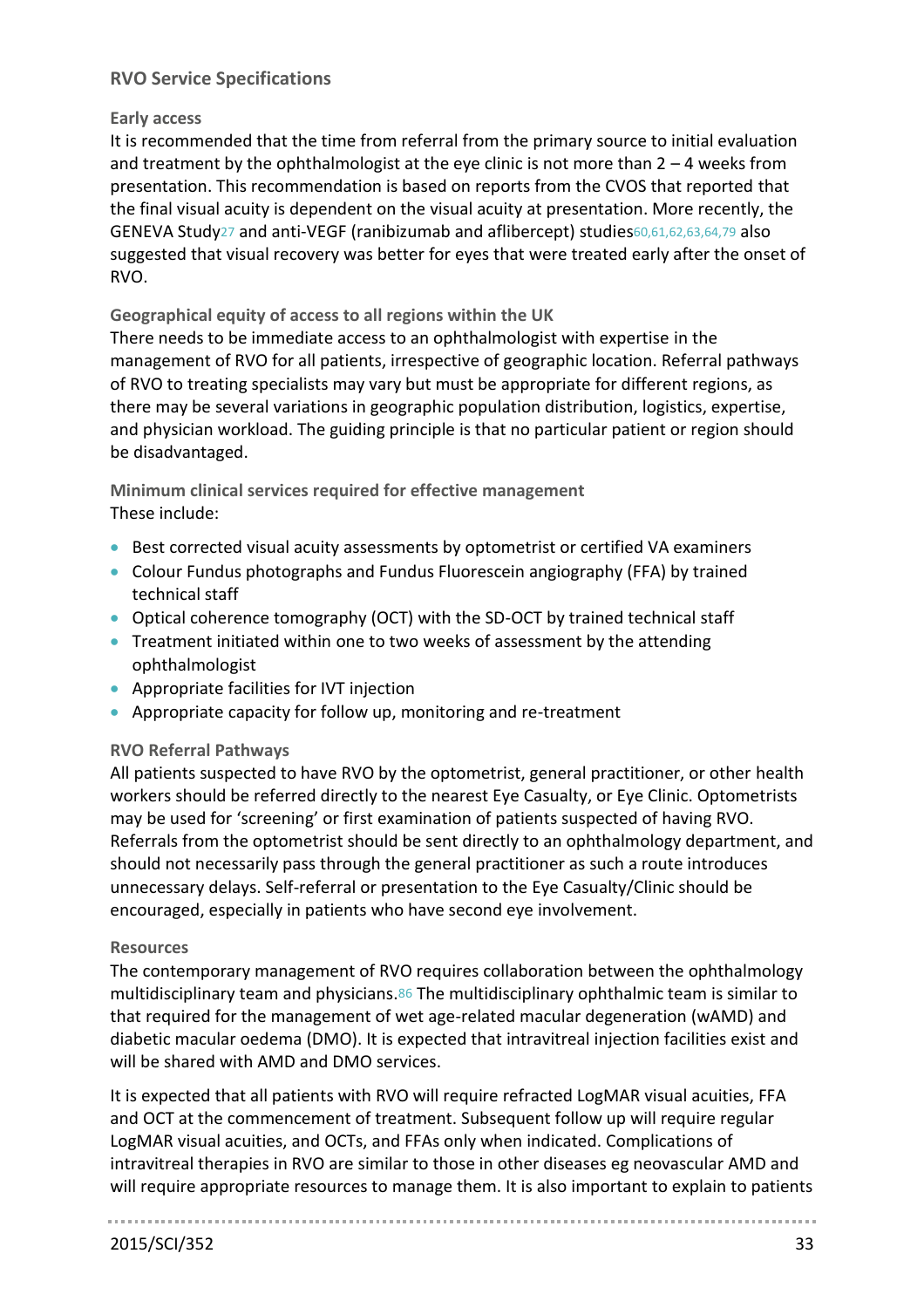# **RVO Service Specifications**

#### **Early access**

It is recommended that the time from referral from the primary source to initial evaluation and treatment by the ophthalmologist at the eye clinic is not more than  $2 - 4$  weeks from presentation. This recommendation is based on reports from the CVOS that reported that the final visual acuity is dependent on the visual acuity at presentation. More recently, the GENEVA Study[27](#page-34-26) and anti-VEGF (ranibizumab and aflibercept) studies60,61,62,63,64,79 also suggested that visual recovery was better for eyes that were treated early after the onset of RVO.

## **Geographical equity of access to all regions within the UK**

There needs to be immediate access to an ophthalmologist with expertise in the management of RVO for all patients, irrespective of geographic location. Referral pathways of RVO to treating specialists may vary but must be appropriate for different regions, as there may be several variations in geographic population distribution, logistics, expertise, and physician workload. The guiding principle is that no particular patient or region should be disadvantaged.

## **Minimum clinical services required for effective management** These include:

- Best corrected visual acuity assessments by optometrist or certified VA examiners
- Colour Fundus photographs and Fundus Fluorescein angiography (FFA) by trained technical staff
- Optical coherence tomography (OCT) with the SD-OCT by trained technical staff
- Treatment initiated within one to two weeks of assessment by the attending ophthalmologist
- Appropriate facilities for IVT injection
- Appropriate capacity for follow up, monitoring and re-treatment

#### **RVO Referral Pathways**

All patients suspected to have RVO by the optometrist, general practitioner, or other health workers should be referred directly to the nearest Eye Casualty, or Eye Clinic. Optometrists may be used for 'screening' or first examination of patients suspected of having RVO. Referrals from the optometrist should be sent directly to an ophthalmology department, and should not necessarily pass through the general practitioner as such a route introduces unnecessary delays. Self-referral or presentation to the Eye Casualty/Clinic should be encouraged, especially in patients who have second eye involvement.

#### **Resources**

The contemporary management of RVO requires collaboration between the ophthalmology multidisciplinary team and physicians.86 The multidisciplinary ophthalmic team is similar to that required for the management of wet age-related macular degeneration (wAMD) and diabetic macular oedema (DMO). It is expected that intravitreal injection facilities exist and will be shared with AMD and DMO services.

It is expected that all patients with RVO will require refracted LogMAR visual acuities, FFA and OCT at the commencement of treatment. Subsequent follow up will require regular LogMAR visual acuities, and OCTs, and FFAs only when indicated. Complications of intravitreal therapies in RVO are similar to those in other diseases eg neovascular AMD and will require appropriate resources to manage them. It is also important to explain to patients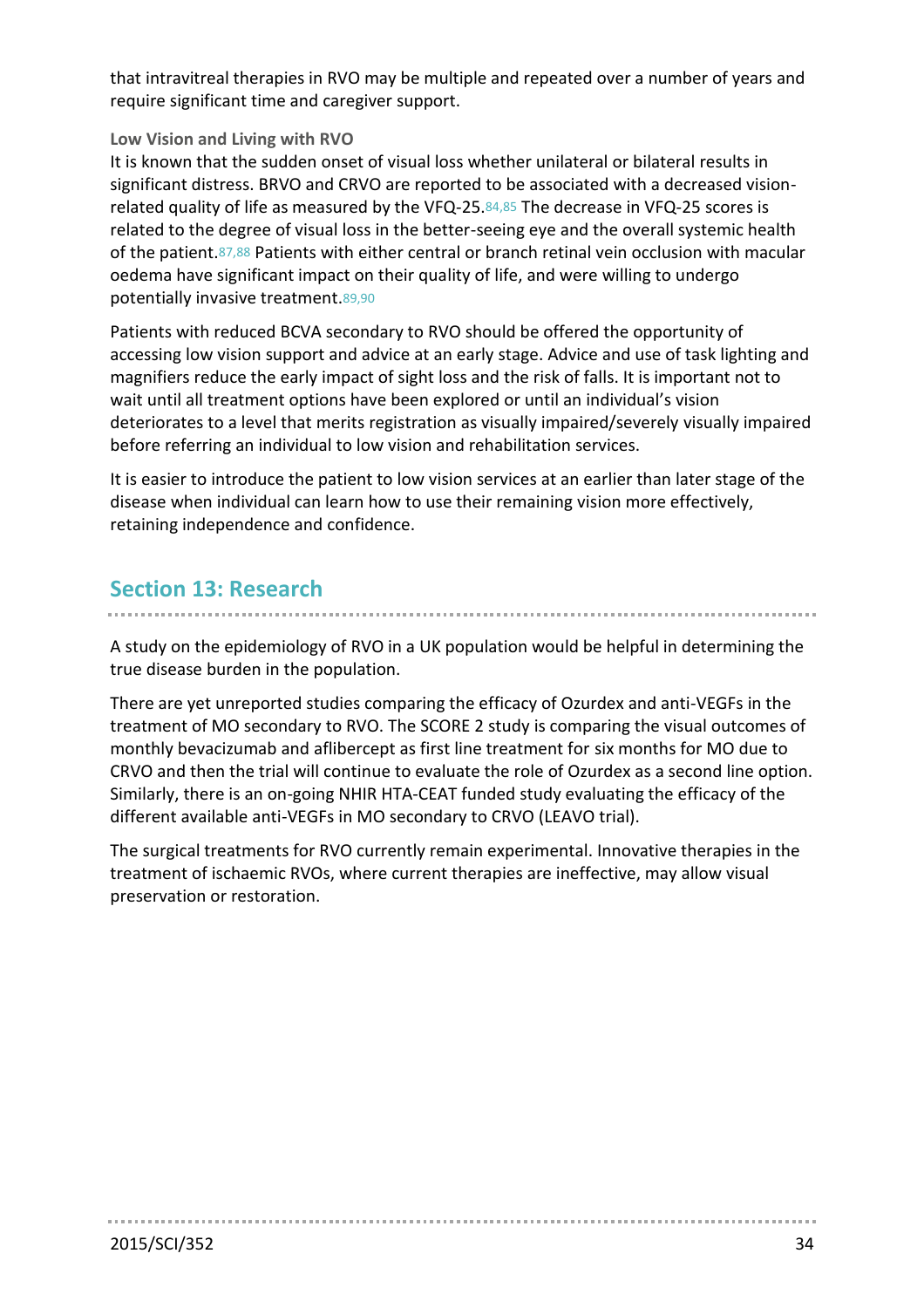that intravitreal therapies in RVO may be multiple and repeated over a number of years and require significant time and caregiver support.

## **Low Vision and Living with RVO**

It is known that the sudden onset of visual loss whether unilateral or bilateral results in significant distress. BRVO and CRVO are reported to be associated with a decreased visionrelated quality of life as measured by the VFQ-25.84,85 The decrease in VFQ-25 scores is related to the degree of visual loss in the better-seeing eye and the overall systemic health of the patient.87,88 Patients with either central or branch retinal vein occlusion with macular oedema have significant impact on their quality of life, and were willing to undergo potentially invasive treatment.89,90

Patients with reduced BCVA secondary to RVO should be offered the opportunity of accessing low vision support and advice at an early stage. Advice and use of task lighting and magnifiers reduce the early impact of sight loss and the risk of falls. It is important not to wait until all treatment options have been explored or until an individual's vision deteriorates to a level that merits registration as visually impaired/severely visually impaired before referring an individual to low vision and rehabilitation services.

It is easier to introduce the patient to low vision services at an earlier than later stage of the disease when individual can learn how to use their remaining vision more effectively, retaining independence and confidence.

# **Section 13: Research**

A study on the epidemiology of RVO in a UK population would be helpful in determining the true disease burden in the population.

There are yet unreported studies comparing the efficacy of Ozurdex and anti-VEGFs in the treatment of MO secondary to RVO. The SCORE 2 study is comparing the visual outcomes of monthly bevacizumab and aflibercept as first line treatment for six months for MO due to CRVO and then the trial will continue to evaluate the role of Ozurdex as a second line option. Similarly, there is an on-going NHIR HTA-CEAT funded study evaluating the efficacy of the different available anti-VEGFs in MO secondary to CRVO (LEAVO trial).

The surgical treatments for RVO currently remain experimental. Innovative therapies in the treatment of ischaemic RVOs, where current therapies are ineffective, may allow visual preservation or restoration.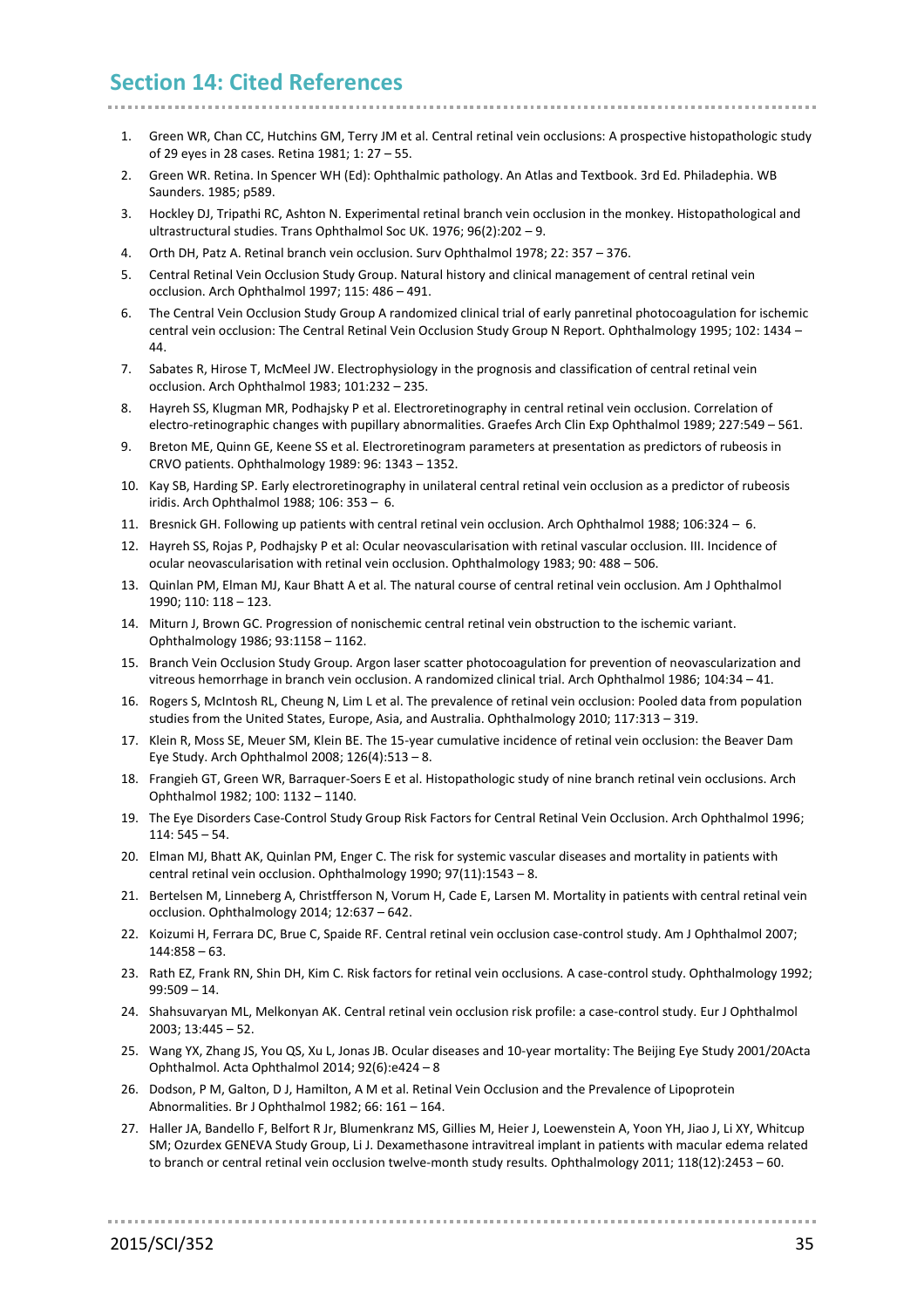# **Section 14: Cited References**

- <span id="page-34-0"></span>1. Green WR, Chan CC, Hutchins GM, Terry JM et al. Central retinal vein occlusions: A prospective histopathologic study of 29 eyes in 28 cases. Retina 1981; 1: 27 – 55.
- <span id="page-34-1"></span>2. Green WR. Retina. In Spencer WH (Ed): Ophthalmic pathology. An Atlas and Textbook. 3rd Ed. Philadephia. WB Saunders. 1985; p589.
- <span id="page-34-2"></span>3. Hockley DJ, Tripathi RC, Ashton N. Experimental retinal branch vein occlusion in the monkey. Histopathological and ultrastructural studies. Trans Ophthalmol Soc UK. 1976; 96(2):202 – 9.
- <span id="page-34-3"></span>4. Orth DH, Patz A. Retinal branch vein occlusion. Surv Ophthalmol 1978; 22: 357 – 376.
- <span id="page-34-4"></span>5. Central Retinal Vein Occlusion Study Group. Natural history and clinical management of central retinal vein occlusion. Arch Ophthalmol 1997; 115: 486 – 491.
- <span id="page-34-5"></span>6. The Central Vein Occlusion Study Group A randomized clinical trial of early panretinal photocoagulation for ischemic central vein occlusion: The Central Retinal Vein Occlusion Study Group N Report. Ophthalmology 1995; 102: 1434 – 44.
- <span id="page-34-6"></span>7. Sabates R, Hirose T, McMeel JW. Electrophysiology in the prognosis and classification of central retinal vein occlusion. Arch Ophthalmol 1983; 101:232 – 235.
- <span id="page-34-7"></span>8. Hayreh SS, Klugman MR, Podhajsky P et al. Electroretinography in central retinal vein occlusion. Correlation of electro-retinographic changes with pupillary abnormalities. Graefes Arch Clin Exp Ophthalmol 1989; 227:549 – 561.
- <span id="page-34-8"></span>9. Breton ME, Quinn GE, Keene SS et al. Electroretinogram parameters at presentation as predictors of rubeosis in CRVO patients. Ophthalmology 1989: 96: 1343 – 1352.
- <span id="page-34-9"></span>10. Kay SB, Harding SP. Early electroretinography in unilateral central retinal vein occlusion as a predictor of rubeosis iridis. Arch Ophthalmol 1988; 106: 353 – 6.
- <span id="page-34-10"></span>11. Bresnick GH. Following up patients with central retinal vein occlusion. Arch Ophthalmol 1988; 106:324 – 6.
- <span id="page-34-11"></span>12. Hayreh SS, Rojas P, Podhajsky P et al: Ocular neovascularisation with retinal vascular occlusion. III. Incidence of ocular neovascularisation with retinal vein occlusion. Ophthalmology 1983; 90: 488 – 506.
- <span id="page-34-12"></span>13. Quinlan PM, Elman MJ, Kaur Bhatt A et al. The natural course of central retinal vein occlusion. Am J Ophthalmol 1990; 110: 118 – 123.
- <span id="page-34-13"></span>14. Miturn J, Brown GC. Progression of nonischemic central retinal vein obstruction to the ischemic variant. Ophthalmology 1986; 93:1158 – 1162.
- <span id="page-34-14"></span>15. Branch Vein Occlusion Study Group. Argon laser scatter photocoagulation for prevention of neovascularization and vitreous hemorrhage in branch vein occlusion. A randomized clinical trial. Arch Ophthalmol 1986; 104:34 – 41.
- <span id="page-34-15"></span>16. Rogers S, McIntosh RL, Cheung N, Lim L et al. The prevalence of retinal vein occlusion: Pooled data from population studies from the United States, Europe, Asia, and Australia. Ophthalmology 2010; 117:313 – 319.
- <span id="page-34-16"></span>17. Klein R, Moss SE, Meuer SM, Klein BE. The 15-year cumulative incidence of retinal vein occlusion: the Beaver Dam Eye Study. Arch Ophthalmol 2008; 126(4):513 – 8.
- <span id="page-34-17"></span>18. Frangieh GT, Green WR, Barraquer-Soers E et al. Histopathologic study of nine branch retinal vein occlusions. Arch Ophthalmol 1982; 100: 1132 – 1140.
- <span id="page-34-18"></span>19. The Eye Disorders Case-Control Study Group Risk Factors for Central Retinal Vein Occlusion. Arch Ophthalmol 1996;  $114:545 - 54$
- <span id="page-34-19"></span>20. Elman MJ, Bhatt AK, Quinlan PM, Enger C. The risk for systemic vascular diseases and mortality in patients with central retinal vein occlusion. Ophthalmology 1990; 97(11):1543 – 8.
- <span id="page-34-20"></span>21. Bertelsen M, Linneberg A, Christfferson N, Vorum H, Cade E, Larsen M. Mortality in patients with central retinal vein occlusion. Ophthalmology 2014; 12:637 – 642.
- <span id="page-34-21"></span>22. Koizumi H, Ferrara DC, Brue C, Spaide RF. Central retinal vein occlusion case-control study. Am J Ophthalmol 2007; 144:858 – 63.
- <span id="page-34-22"></span>23. Rath EZ, Frank RN, Shin DH, Kim C. Risk factors for retinal vein occlusions. A case-control study. Ophthalmology 1992; 99:509 – 14.
- <span id="page-34-24"></span>24. Shahsuvaryan ML, Melkonyan AK. Central retinal vein occlusion risk profile: a case-control study. Eur J Ophthalmol 2003; 13:445 – 52.
- <span id="page-34-25"></span>25. Wang YX, Zhang JS, You QS, Xu L, Jonas JB. Ocular diseases and 10-year mortality: The Beijing Eye Study 2001/20Acta Ophthalmol. Acta Ophthalmol 2014; 92(6):e424 – 8
- <span id="page-34-23"></span>26. Dodson, P M, Galton, D J, Hamilton, A M et al. Retinal Vein Occlusion and the Prevalence of Lipoprotein Abnormalities. Br J Ophthalmol 1982; 66: 161 – 164.
- <span id="page-34-26"></span>27. Haller JA, Bandello F, Belfort R Jr, Blumenkranz MS, Gillies M, Heier J, Loewenstein A, Yoon YH, Jiao J, Li XY, Whitcup SM; Ozurdex GENEVA Study Group, Li J. Dexamethasone intravitreal implant in patients with macular edema related to branch or central retinal vein occlusion twelve-month study results. Ophthalmology 2011; 118(12):2453 – 60.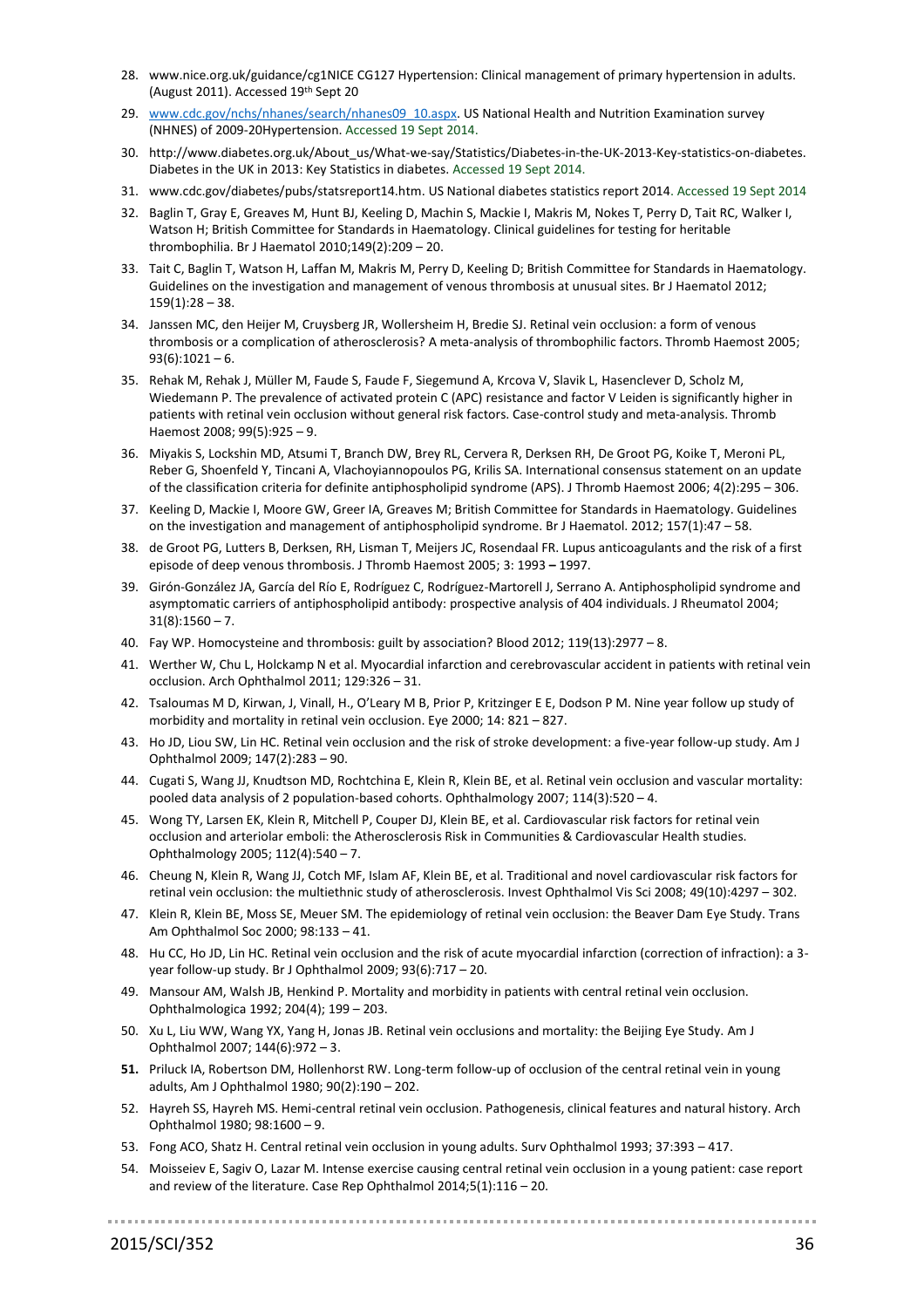- 28. www.nice.org.uk/guidance/cg1NICE CG127 Hypertension: Clinical management of primary hypertension in adults. (August 2011). Accessed 19th Sept 20
- 29. [www.cdc.gov/nchs/nhanes/search/nhanes09\\_10.aspx.](http://www.cdc.gov/nchs/nhanes/search/nhanes09_10.aspx) US National Health and Nutrition Examination survey (NHNES) of 2009-20Hypertension. Accessed 19 Sept 2014.
- 30. http://www.diabetes.org.uk/About\_us/What-we-say/Statistics/Diabetes-in-the-UK-2013-Key-statistics-on-diabetes. Diabetes in the UK in 2013: Key Statistics in diabetes. Accessed 19 Sept 2014.
- 31. www.cdc.gov/diabetes/pubs/statsreport14.htm. US National diabetes statistics report 2014. Accessed 19 Sept 2014
- 32. Baglin T, Gray E, Greaves M, Hunt BJ, Keeling D, Machin S, Mackie I, Makris M, Nokes T, Perry D, Tait RC, Walker I, Watson H; British Committee for Standards in Haematology. Clinical guidelines for testing for heritable thrombophilia. Br J Haematol 2010;149(2):209 – 20.
- 33. Tait C, Baglin T, Watson H, Laffan M, Makris M, Perry D, Keeling D; British Committee for Standards in Haematology. Guidelines on the investigation and management of venous thrombosis at unusual sites. Br J Haematol 2012;  $159(1):28 - 38.$
- 34. Janssen MC, den Heijer M, Cruysberg JR, Wollersheim H, Bredie SJ. Retinal vein occlusion: a form of venous thrombosis or a complication of atherosclerosis? A meta-analysis of thrombophilic factors. Thromb Haemost 2005;  $93(6):1021-6.$
- 35. Rehak M, Rehak J, Müller M, Faude S, Faude F, Siegemund A, Krcova V, Slavik L, Hasenclever D, Scholz M, Wiedemann P. The prevalence of activated protein C (APC) resistance and factor V Leiden is significantly higher in patients with retinal vein occlusion without general risk factors. Case-control study and meta-analysis. Thromb Haemost 2008; 99(5):925 – 9.
- 36. Miyakis S, Lockshin MD, Atsumi T, Branch DW, Brey RL, Cervera R, Derksen RH, De Groot PG, Koike T, Meroni PL, Reber G, Shoenfeld Y, Tincani A, Vlachoyiannopoulos PG, Krilis SA. International consensus statement on an update of the classification criteria for definite antiphospholipid syndrome (APS). J Thromb Haemost 2006; 4(2):295 – 306.
- 37. Keeling D, Mackie I, Moore GW, Greer IA, Greaves M; British Committee for Standards in Haematology. Guidelines on the investigation and management of antiphospholipid syndrome. Br J Haematol. 2012; 157(1):47 – 58.
- 38. de Groot PG, Lutters B, Derksen, RH, Lisman T, Meijers JC, Rosendaal FR. Lupus anticoagulants and the risk of a first episode of deep venous thrombosis. J Thromb Haemost 2005; 3: 1993 **–** 1997.
- 39. Girón-González JA, García del Río E, Rodríguez C, Rodríguez-Martorell J, Serrano A. Antiphospholipid syndrome and asymptomatic carriers of antiphospholipid antibody: prospective analysis of 404 individuals. J Rheumatol 2004;  $31(8):1560 - 7.$
- 40. Fay WP. Homocysteine and thrombosis: guilt by association? Blood 2012; 119(13):2977 8.
- 41. Werther W, Chu L, Holckamp N et al. Myocardial infarction and cerebrovascular accident in patients with retinal vein occlusion. Arch Ophthalmol 2011; 129:326 – 31.
- 42. Tsaloumas M D, Kirwan, J, Vinall, H., O'Leary M B, Prior P, Kritzinger E E, Dodson P M. Nine year follow up study of morbidity and mortality in retinal vein occlusion. Eye 2000; 14: 821 – 827.
- 43. Ho JD, Liou SW, Lin HC. Retinal vein occlusion and the risk of stroke development: a five-year follow-up study. Am J Ophthalmol 2009; 147(2):283 – 90.
- 44. Cugati S, Wang JJ, Knudtson MD, Rochtchina E, Klein R, Klein BE, et al. Retinal vein occlusion and vascular mortality: pooled data analysis of 2 population-based cohorts. Ophthalmology 2007; 114(3):520 – 4.
- 45. Wong TY, Larsen EK, Klein R, Mitchell P, Couper DJ, Klein BE, et al. Cardiovascular risk factors for retinal vein occlusion and arteriolar emboli: the Atherosclerosis Risk in Communities & Cardiovascular Health studies. Ophthalmology 2005; 112(4):540 – 7.
- 46. Cheung N, Klein R, Wang JJ, Cotch MF, Islam AF, Klein BE, et al. Traditional and novel cardiovascular risk factors for retinal vein occlusion: the multiethnic study of atherosclerosis. Invest Ophthalmol Vis Sci 2008; 49(10):4297 – 302.
- <span id="page-35-0"></span>47. Klein R, Klein BE, Moss SE, Meuer SM. The epidemiology of retinal vein occlusion: the Beaver Dam Eye Study. Trans Am Ophthalmol Soc 2000; 98:133 – 41.
- 48. Hu CC, Ho JD, Lin HC. Retinal vein occlusion and the risk of acute myocardial infarction (correction of infraction): a 3 year follow-up study. Br J Ophthalmol 2009; 93(6):717 – 20.
- 49. Mansour AM, Walsh JB, Henkind P. Mortality and morbidity in patients with central retinal vein occlusion. Ophthalmologica 1992; 204(4); 199 – 203.
- 50. Xu L, Liu WW, Wang YX, Yang H, Jonas JB. Retinal vein occlusions and mortality: the Beijing Eye Study. Am J Ophthalmol 2007; 144(6):972 – 3.
- **51.** Priluck IA, Robertson DM, Hollenhorst RW. Long-term follow-up of occlusion of the central retinal vein in young adults, Am J Ophthalmol 1980; 90(2):190 – 202.
- 52. Hayreh SS, Hayreh MS. Hemi-central retinal vein occlusion. Pathogenesis, clinical features and natural history. Arch Ophthalmol 1980; 98:1600 – 9.
- 53. Fong ACO, Shatz H. Central retinal vein occlusion in young adults. Surv Ophthalmol 1993; 37:393 417.

54. Moisseiev E, Sagiv O, Lazar M. Intense exercise causing central retinal vein occlusion in a young patient: case report and review of the literature. Case Rep Ophthalmol 2014;5(1):116 – 20.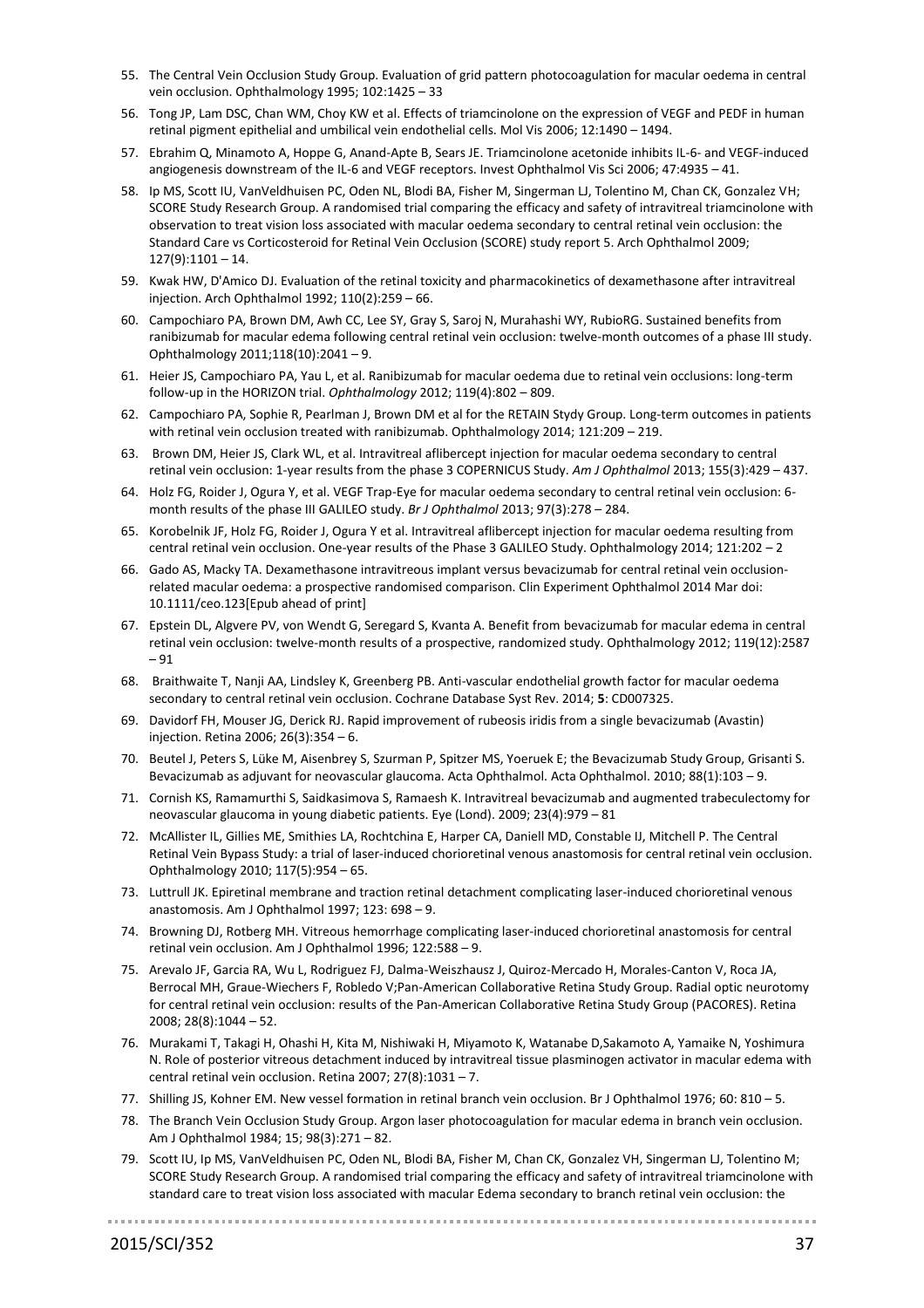- 55. The Central Vein Occlusion Study Group. Evaluation of grid pattern photocoagulation for macular oedema in central vein occlusion. Ophthalmology 1995; 102:1425 – 33
- 56. Tong JP, Lam DSC, Chan WM, Choy KW et al. Effects of triamcinolone on the expression of VEGF and PEDF in human retinal pigment epithelial and umbilical vein endothelial cells. Mol Vis 2006; 12:1490 – 1494.
- 57. Ebrahim Q, Minamoto A, Hoppe G, Anand-Apte B, Sears JE. Triamcinolone acetonide inhibits IL-6- and VEGF-induced angiogenesis downstream of the IL-6 and VEGF receptors. Invest Ophthalmol Vis Sci 2006; 47:4935 – 41.
- <span id="page-36-0"></span>58. Ip MS, Scott IU, VanVeldhuisen PC, Oden NL, Blodi BA, Fisher M, Singerman LJ, Tolentino M, Chan CK, Gonzalez VH; SCORE Study Research Group. A randomised trial comparing the efficacy and safety of intravitreal triamcinolone with observation to treat vision loss associated with macular oedema secondary to central retinal vein occlusion: the Standard Care vs Corticosteroid for Retinal Vein Occlusion (SCORE) study report 5. Arch Ophthalmol 2009; 127(9):1101 – 14.
- 59. Kwak HW, D'Amico DJ. Evaluation of the retinal toxicity and pharmacokinetics of dexamethasone after intravitreal injection. Arch Ophthalmol 1992; 110(2):259 – 66.
- 60. Campochiaro PA, Brown DM, Awh CC, Lee SY, Gray S, Saroj N, Murahashi WY, RubioRG. Sustained benefits from ranibizumab for macular edema following central retinal vein occlusion: twelve-month outcomes of a phase III study. Ophthalmology 2011;118(10):2041 – 9.
- 61. Heier JS, Campochiaro PA, Yau L, et al. Ranibizumab for macular oedema due to retinal vein occlusions: long-term follow-up in the HORIZON trial. *Ophthalmology* 2012; 119(4):802 – 809.
- 62. Campochiaro PA, Sophie R, Pearlman J, Brown DM et al for the RETAIN Stydy Group. Long-term outcomes in patients with retinal vein occlusion treated with ranibizumab. Ophthalmology 2014; 121:209 – 219.
- 63. Brown DM, Heier JS, Clark WL, et al. Intravitreal aflibercept injection for macular oedema secondary to central retinal vein occlusion: 1-year results from the phase 3 COPERNICUS Study. *Am J Ophthalmol* 2013; 155(3):429 – 437.
- 64. Holz FG, Roider J, Ogura Y, et al. VEGF Trap-Eye for macular oedema secondary to central retinal vein occlusion: 6 month results of the phase III GALILEO study. *Br J Ophthalmol* 2013; 97(3):278 – 284.
- 65. Korobelnik JF, Holz FG, Roider J, Ogura Y et al. Intravitreal aflibercept injection for macular oedema resulting from central retinal vein occlusion. One-year results of the Phase 3 GALILEO Study. Ophthalmology 2014; 121:202 – 2
- 66. Gado AS, Macky TA. Dexamethasone intravitreous implant versus bevacizumab for central retinal vein occlusionrelated macular oedema: a prospective randomised comparison. Clin Experiment Ophthalmol 2014 Mar doi: 10.1111/ceo.123[Epub ahead of print]
- 67. Epstein DL, Algvere PV, von Wendt G, Seregard S, Kvanta A. Benefit from bevacizumab for macular edema in central retinal vein occlusion: twelve-month results of a prospective, randomized study. Ophthalmology 2012; 119(12):2587 – 91
- 68. Braithwaite T, Nanji AA, Lindsley K, Greenberg PB. Anti-vascular endothelial growth factor for macular oedema secondary to central retinal vein occlusion. Cochrane Database Syst Rev. 2014; **5**: CD007325.
- 69. Davidorf FH, Mouser JG, Derick RJ. Rapid improvement of rubeosis iridis from a single bevacizumab (Avastin) injection. Retina 2006; 26(3):354 – 6.
- 70. Beutel J, Peters S, Lüke M, Aisenbrey S, Szurman P, Spitzer MS, Yoeruek E; the Bevacizumab Study Group, Grisanti S. Bevacizumab as adjuvant for neovascular glaucoma. Acta Ophthalmol. Acta Ophthalmol. 2010; 88(1):103 – 9.
- 71. Cornish KS, Ramamurthi S, Saidkasimova S, Ramaesh K. Intravitreal bevacizumab and augmented trabeculectomy for neovascular glaucoma in young diabetic patients. Eye (Lond). 2009; 23(4):979 – 81
- 72. McAllister IL, Gillies ME, Smithies LA, Rochtchina E, Harper CA, Daniell MD, Constable IJ, Mitchell P. The Central Retinal Vein Bypass Study: a trial of laser-induced chorioretinal venous anastomosis for central retinal vein occlusion. Ophthalmology 2010; 117(5):954 – 65.
- 73. Luttrull JK. Epiretinal membrane and traction retinal detachment complicating laser-induced chorioretinal venous anastomosis. Am J Ophthalmol 1997; 123: 698 – 9.
- 74. Browning DJ, Rotberg MH. Vitreous hemorrhage complicating laser-induced chorioretinal anastomosis for central retinal vein occlusion. Am J Ophthalmol 1996; 122:588 – 9.
- 75. Arevalo JF, Garcia RA, Wu L, Rodriguez FJ, Dalma-Weiszhausz J, Quiroz-Mercado H, Morales-Canton V, Roca JA, Berrocal MH, Graue-Wiechers F, Robledo V;Pan-American Collaborative Retina Study Group. Radial optic neurotomy for central retinal vein occlusion: results of the Pan-American Collaborative Retina Study Group (PACORES). Retina 2008; 28(8):1044 – 52.
- 76. Murakami T, Takagi H, Ohashi H, Kita M, Nishiwaki H, Miyamoto K, Watanabe D,Sakamoto A, Yamaike N, Yoshimura N. Role of posterior vitreous detachment induced by intravitreal tissue plasminogen activator in macular edema with central retinal vein occlusion. Retina 2007; 27(8):1031 – 7.
- 77. Shilling JS, Kohner EM. New vessel formation in retinal branch vein occlusion. Br J Ophthalmol 1976; 60: 810 5.
- 78. The Branch Vein Occlusion Study Group. Argon laser photocoagulation for macular edema in branch vein occlusion. Am J Ophthalmol 1984; 15; 98(3):271 – 82.
- 79. Scott IU, Ip MS, VanVeldhuisen PC, Oden NL, Blodi BA, Fisher M, Chan CK, Gonzalez VH, Singerman LJ, Tolentino M; SCORE Study Research Group. A randomised trial comparing the efficacy and safety of intravitreal triamcinolone with standard care to treat vision loss associated with macular Edema secondary to branch retinal vein occlusion: the

. . . . . . . . . . . . . . . .